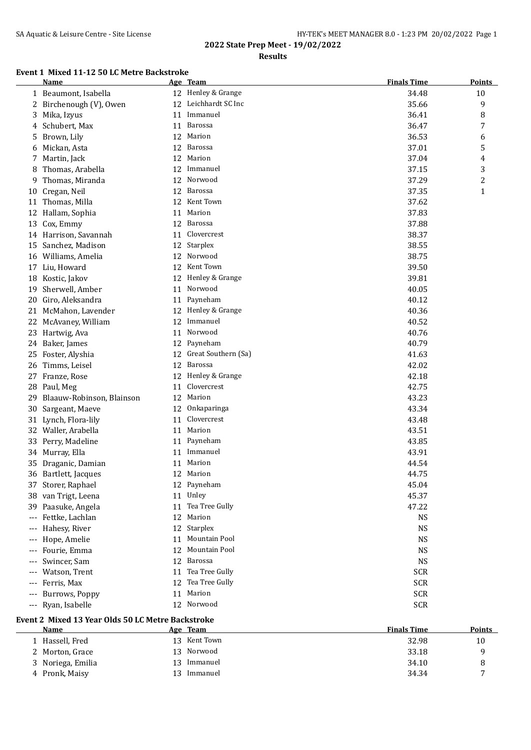## **Results**

## **Event 1 Mixed 11-12 50 LC Metre Backstroke**

|       | Name                      |    | Age Team             | <b>Finals Time</b> | <b>Points</b> |
|-------|---------------------------|----|----------------------|--------------------|---------------|
|       | 1 Beaumont, Isabella      |    | 12 Henley & Grange   | 34.48              | 10            |
|       | 2 Birchenough (V), Owen   |    | 12 Leichhardt SC Inc | 35.66              | 9             |
| 3     | Mika, Izyus               | 11 | Immanuel             | 36.41              | 8             |
| 4     | Schubert, Max             | 11 | Barossa              | 36.47              | 7             |
| 5     | Brown, Lily               | 12 | Marion               | 36.53              | 6             |
| 6     | Mickan, Asta              | 12 | Barossa              | 37.01              | 5             |
| 7     | Martin, Jack              | 12 | Marion               | 37.04              | 4             |
| 8     | Thomas, Arabella          | 12 | Immanuel             | 37.15              | 3             |
| 9     | Thomas, Miranda           | 12 | Norwood              | 37.29              | 2             |
| 10    | Cregan, Neil              | 12 | Barossa              | 37.35              | $\mathbf{1}$  |
| 11    | Thomas, Milla             | 12 | Kent Town            | 37.62              |               |
| 12    | Hallam, Sophia            | 11 | Marion               | 37.83              |               |
| 13    | Cox, Emmy                 | 12 | <b>Barossa</b>       | 37.88              |               |
| 14    | Harrison, Savannah        | 11 | Clovercrest          | 38.37              |               |
| 15    | Sanchez, Madison          | 12 | Starplex             | 38.55              |               |
|       | 16 Williams, Amelia       | 12 | Norwood              | 38.75              |               |
| 17    | Liu, Howard               | 12 | Kent Town            | 39.50              |               |
|       | 18 Kostic, Jakov          | 12 | Henley & Grange      | 39.81              |               |
| 19    | Sherwell, Amber           | 11 | Norwood              | 40.05              |               |
| 20    | Giro, Aleksandra          | 11 | Payneham             | 40.12              |               |
| 21    | McMahon, Lavender         | 12 | Henley & Grange      | 40.36              |               |
| 22    | McAvaney, William         | 12 | Immanuel             | 40.52              |               |
|       | 23 Hartwig, Ava           | 11 | Norwood              | 40.76              |               |
|       | 24 Baker, James           | 12 | Payneham             | 40.79              |               |
| 25    | Foster, Alyshia           | 12 | Great Southern (Sa)  | 41.63              |               |
| 26    | Timms, Leisel             |    | 12 Barossa           | 42.02              |               |
|       | 27 Franze, Rose           | 12 | Henley & Grange      | 42.18              |               |
| 28    | Paul, Meg                 | 11 | Clovercrest          | 42.75              |               |
| 29    | Blaauw-Robinson, Blainson | 12 | Marion               | 43.23              |               |
| 30    | Sargeant, Maeve           | 12 | Onkaparinga          | 43.34              |               |
|       | 31 Lynch, Flora-lily      | 11 | Clovercrest          | 43.48              |               |
| 32    | Waller, Arabella          | 11 | Marion               | 43.51              |               |
| 33    | Perry, Madeline           | 11 | Payneham             | 43.85              |               |
|       | 34 Murray, Ella           | 11 | Immanuel             | 43.91              |               |
| 35    | Draganic, Damian          | 11 | Marion               | 44.54              |               |
|       | 36 Bartlett, Jacques      |    | 12 Marion            | 44.75              |               |
|       | 37 Storer, Raphael        |    | 12 Payneham          | 45.04              |               |
|       | 38 van Trigt, Leena       | 11 | Unley                | 45.37              |               |
| 39    | Paasuke, Angela           | 11 | Tea Tree Gully       | 47.22              |               |
| $---$ | Fettke, Lachlan           | 12 | Marion               | <b>NS</b>          |               |
| $---$ | Hahesy, River             | 12 | Starplex             | <b>NS</b>          |               |
| $---$ | Hope, Amelie              | 11 | Mountain Pool        | <b>NS</b>          |               |
| $---$ | Fourie, Emma              | 12 | Mountain Pool        | <b>NS</b>          |               |
| $---$ | Swincer, Sam              | 12 | Barossa              | <b>NS</b>          |               |
| $---$ | Watson, Trent             | 11 | Tea Tree Gully       | <b>SCR</b>         |               |
| ---   | Ferris, Max               | 12 | Tea Tree Gully       | <b>SCR</b>         |               |
| ---   | Burrows, Poppy            | 11 | Marion               | <b>SCR</b>         |               |
| $---$ | Ryan, Isabelle            |    | 12 Norwood           | <b>SCR</b>         |               |
|       |                           |    |                      |                    |               |

## **Event 2 Mixed 13 Year Olds 50 LC Metre Backstroke**

| Name              |                  | Age Team   | <b>Finals Time</b> | <b>Points</b> |
|-------------------|------------------|------------|--------------------|---------------|
| 1 Hassell, Fred   | 13               | Kent Town  | 32.98              | 10            |
| 2 Morton, Grace   |                  | 13 Norwood | 33.18              |               |
| 3 Noriega, Emilia | 13 <sup>13</sup> | Immanuel   | 34.10              |               |
| 4 Pronk, Maisy    |                  | Immanuel   | 34.34              | -             |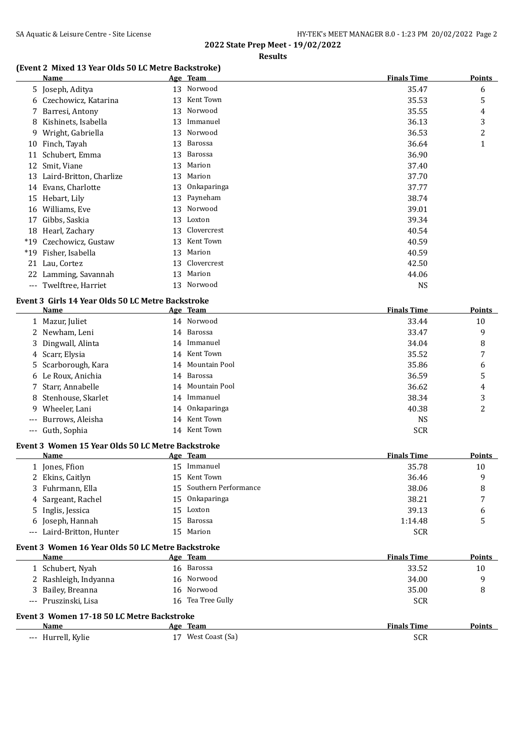## **(Event 2 Mixed 13 Year Olds 50 LC Metre Backstroke)**

|       | Name                    |    | Age Team    | <b>Finals Time</b> | <b>Points</b>  |
|-------|-------------------------|----|-------------|--------------------|----------------|
|       | 5 Joseph, Aditya        |    | 13 Norwood  | 35.47              | 6              |
|       | 6 Czechowicz, Katarina  | 13 | Kent Town   | 35.53              | 5              |
|       | 7 Barresi, Antony       | 13 | Norwood     | 35.55              | 4              |
| 8     | Kishinets, Isabella     | 13 | Immanuel    | 36.13              | 3              |
| 9     | Wright, Gabriella       | 13 | Norwood     | 36.53              | $\overline{2}$ |
| 10    | Finch, Tayah            | 13 | Barossa     | 36.64              | 1              |
| 11    | Schubert, Emma          | 13 | Barossa     | 36.90              |                |
| 12    | Smit, Viane             | 13 | Marion      | 37.40              |                |
| 13    | Laird-Britton, Charlize | 13 | Marion      | 37.70              |                |
| 14    | Evans, Charlotte        | 13 | Onkaparinga | 37.77              |                |
|       | 15 Hebart, Lily         |    | 13 Payneham | 38.74              |                |
| 16    | Williams, Eve           | 13 | Norwood     | 39.01              |                |
| 17    | Gibbs, Saskia           | 13 | Loxton      | 39.34              |                |
| 18    | Hearl, Zachary          | 13 | Clovercrest | 40.54              |                |
| $*19$ | Czechowicz, Gustaw      | 13 | Kent Town   | 40.59              |                |
| $*19$ | Fisher, Isabella        | 13 | Marion      | 40.59              |                |
| 21    | Lau, Cortez             | 13 | Clovercrest | 42.50              |                |
| 22    | Lamming, Savannah       | 13 | Marion      | 44.06              |                |
|       | --- Twelftree, Harriet  | 13 | Norwood     | <b>NS</b>          |                |

#### **Event 3 Girls 14 Year Olds 50 LC Metre Backstroke**

| Name                 | Age Team         | <b>Finals Time</b> | <b>Points</b> |
|----------------------|------------------|--------------------|---------------|
| 1 Mazur, Juliet      | 14 Norwood       | 33.44              | 10            |
| 2 Newham, Leni       | 14 Barossa       | 33.47              | 9             |
| 3 Dingwall, Alinta   | 14 Immanuel      | 34.04              | 8             |
| 4 Scarr, Elysia      | 14 Kent Town     | 35.52              | 7             |
| 5 Scarborough, Kara  | 14 Mountain Pool | 35.86              | 6             |
| 6 Le Roux, Anichia   | 14 Barossa       | 36.59              | 5             |
| 7 Starr, Annabelle   | 14 Mountain Pool | 36.62              | 4             |
| 8 Stenhouse, Skarlet | 14 Immanuel      | 38.34              | 3             |
| 9 Wheeler, Lani      | 14 Onkaparinga   | 40.38              | 2             |
| --- Burrows, Aleisha | 14 Kent Town     | <b>NS</b>          |               |
| --- Guth, Sophia     | 14 Kent Town     | <b>SCR</b>         |               |

#### **Event 3 Women 15 Year Olds 50 LC Metre Backstroke**

| Name                      |     | Age Team                | <b>Finals Time</b> | <b>Points</b> |
|---------------------------|-----|-------------------------|--------------------|---------------|
| 1 Jones, Ffion            | 15. | Immanuel                | 35.78              | 10            |
| 2 Ekins, Caitlyn          |     | 15 Kent Town            | 36.46              | q             |
| 3 Fuhrmann, Ella          |     | 15 Southern Performance | 38.06              | 8             |
| 4 Sargeant, Rachel        |     | 15 Onkaparinga          | 38.21              | 7             |
| 5 Inglis, Jessica         |     | 15 Loxton               | 39.13              | 6             |
| 6 Joseph, Hannah          |     | 15 Barossa              | 1:14.48            |               |
| --- Laird-Britton, Hunter |     | 15 Marion               | <b>SCR</b>         |               |

# **Event 3 Women 16 Year Olds 50 LC Metre Backstroke**

| Name                                       | Age Team              | <b>Finals Time</b> | <b>Points</b> |
|--------------------------------------------|-----------------------|--------------------|---------------|
| 1 Schubert, Nyah                           | 16 Barossa            | 33.52              | 10            |
| 2 Rashleigh, Indyanna                      | 16 Norwood            | 34.00              | 9             |
| 3 Bailey, Breanna                          | 16 Norwood            | 35.00              | 8             |
| --- Pruszinski, Lisa                       | Tea Tree Gully<br>16. | <b>SCR</b>         |               |
| Event 3 Women 17-18 50 LC Metre Backstroke |                       |                    |               |
| Name                                       | Age Team              | <b>Finals Time</b> | Points        |
| --- Hurrell, Kylie                         | West Coast (Sa)       | <b>SCR</b>         |               |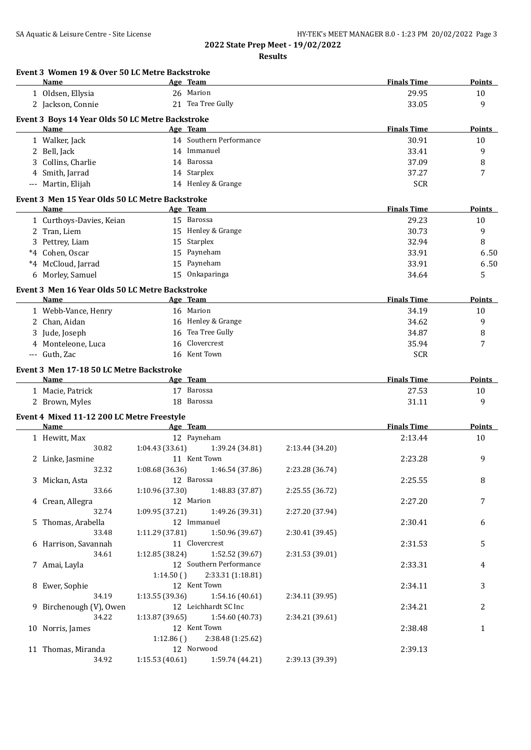**Results**

|   | Event 3 Women 19 & Over 50 LC Metre Backstroke<br><b>Name</b> |                 | Age Team                          |                 | <b>Finals Time</b> | Points        |
|---|---------------------------------------------------------------|-----------------|-----------------------------------|-----------------|--------------------|---------------|
|   | 1 Oldsen, Ellysia                                             |                 | 26 Marion                         |                 | 29.95              | 10            |
|   | 2 Jackson, Connie                                             |                 | 21 Tea Tree Gully                 |                 | 33.05              | 9             |
|   |                                                               |                 |                                   |                 |                    |               |
|   | Event 3 Boys 14 Year Olds 50 LC Metre Backstroke<br>Name      |                 | Age Team                          |                 | <b>Finals Time</b> | Points        |
|   |                                                               |                 | 14 Southern Performance           |                 |                    |               |
|   | 1 Walker, Jack                                                |                 | 14 Immanuel                       |                 | 30.91<br>33.41     | 10            |
|   | 2 Bell, Jack                                                  |                 | 14 Barossa                        |                 |                    | 9             |
| 3 | Collins, Charlie                                              |                 |                                   |                 | 37.09              | 8             |
|   | 4 Smith, Jarrad                                               |                 | 14 Starplex<br>14 Henley & Grange |                 | 37.27              | 7             |
|   | --- Martin, Elijah                                            |                 |                                   |                 | <b>SCR</b>         |               |
|   | Event 3 Men 15 Year Olds 50 LC Metre Backstroke               |                 |                                   |                 |                    |               |
|   | <b>Name</b>                                                   |                 | Age Team                          |                 | <b>Finals Time</b> | Points        |
|   | 1 Curthoys-Davies, Keian                                      |                 | 15 Barossa                        |                 | 29.23              | 10            |
|   | 2 Tran, Liem                                                  |                 | 15 Henley & Grange                |                 | 30.73              | 9             |
| 3 | Pettrey, Liam                                                 |                 | 15 Starplex                       |                 | 32.94              | 8             |
|   | *4 Cohen, Oscar                                               | 15              | Payneham                          |                 | 33.91              | 6.50          |
|   | *4 McCloud, Jarrad                                            | 15              | Payneham                          |                 | 33.91              | 6.50          |
|   | 6 Morley, Samuel                                              | 15              | Onkaparinga                       |                 | 34.64              | 5             |
|   | Event 3 Men 16 Year Olds 50 LC Metre Backstroke               |                 |                                   |                 |                    |               |
|   | Name                                                          |                 | Age Team                          |                 | <b>Finals Time</b> | Points        |
|   | 1 Webb-Vance, Henry                                           |                 | 16 Marion                         |                 | 34.19              | 10            |
|   | 2 Chan, Aidan                                                 |                 | 16 Henley & Grange                |                 | 34.62              | 9             |
|   | 3 Jude, Joseph                                                | 16              | Tea Tree Gully                    |                 | 34.87              | 8             |
|   | 4 Monteleone, Luca                                            | 16              | Clovercrest                       |                 | 35.94              | 7             |
|   | --- Guth, Zac                                                 | 16              | Kent Town                         |                 | <b>SCR</b>         |               |
|   | Event 3 Men 17-18 50 LC Metre Backstroke                      |                 |                                   |                 |                    |               |
|   | Name                                                          |                 | Age Team                          |                 | <b>Finals Time</b> | <b>Points</b> |
|   | 1 Macie, Patrick                                              |                 | 17 Barossa                        |                 | 27.53              | 10            |
|   | 2 Brown, Myles                                                |                 | 18 Barossa                        |                 | 31.11              | 9             |
|   | Event 4 Mixed 11-12 200 LC Metre Freestyle                    |                 |                                   |                 |                    |               |
|   | <b>Name</b>                                                   |                 | Age Team                          |                 | <b>Finals Time</b> | Points        |
|   | 1 Hewitt, Max                                                 |                 | 12 Payneham                       |                 | 2:13.44            | 10            |
|   | 30.82                                                         | 1:04.43 (33.61) | 1:39.24 (34.81)                   | 2:13.44 (34.20) |                    |               |
|   | 2 Linke, Jasmine                                              |                 | 11 Kent Town                      |                 | 2:23.28            | 9             |
|   | 32.32                                                         | 1:08.68 (36.36) | 1:46.54 (37.86)                   | 2:23.28 (36.74) |                    |               |
|   | 3 Mickan, Asta                                                |                 | 12 Barossa                        |                 | 2:25.55            | 8             |
|   | 33.66                                                         | 1:10.96 (37.30) | 1:48.83 (37.87)                   | 2:25.55 (36.72) |                    |               |
|   | 4 Crean, Allegra                                              |                 | 12 Marion                         |                 | 2:27.20            | 7             |
|   | 32.74                                                         | 1:09.95 (37.21) | 1:49.26 (39.31)                   | 2:27.20 (37.94) |                    |               |
|   | 5 Thomas, Arabella                                            |                 | 12 Immanuel                       |                 | 2:30.41            | 6             |
|   | 33.48                                                         | 1:11.29 (37.81) | 1:50.96 (39.67)                   | 2:30.41 (39.45) |                    |               |
|   | 6 Harrison, Savannah                                          |                 | 11 Clovercrest                    |                 | 2:31.53            | 5             |
|   | 34.61                                                         | 1:12.85(38.24)  | 1:52.52 (39.67)                   | 2:31.53 (39.01) |                    |               |
|   | 7 Amai, Layla                                                 |                 | 12 Southern Performance           |                 | 2:33.31            | 4             |
|   |                                                               | 1:14.50()       | 2:33.31 (1:18.81)                 |                 |                    |               |
|   | 8 Ewer, Sophie                                                |                 | 12 Kent Town                      |                 | 2:34.11            | 3             |
|   | 34.19                                                         | 1:13.55(39.36)  | 1:54.16 (40.61)                   | 2:34.11 (39.95) |                    |               |
|   | 9 Birchenough (V), Owen                                       |                 | 12 Leichhardt SC Inc              |                 | 2:34.21            | 2             |
|   | 34.22                                                         | 1:13.87 (39.65) | 1:54.60 (40.73)                   | 2:34.21 (39.61) |                    |               |
|   | 10 Norris, James                                              |                 | 12 Kent Town                      |                 | 2:38.48            | 1             |
|   |                                                               | 1:12.86()       | 2:38.48 (1:25.62)                 |                 |                    |               |
|   | 11 Thomas, Miranda<br>34.92                                   |                 | 12 Norwood                        |                 | 2:39.13            |               |
|   |                                                               | 1:15.53(40.61)  | 1:59.74 (44.21)                   | 2:39.13 (39.39) |                    |               |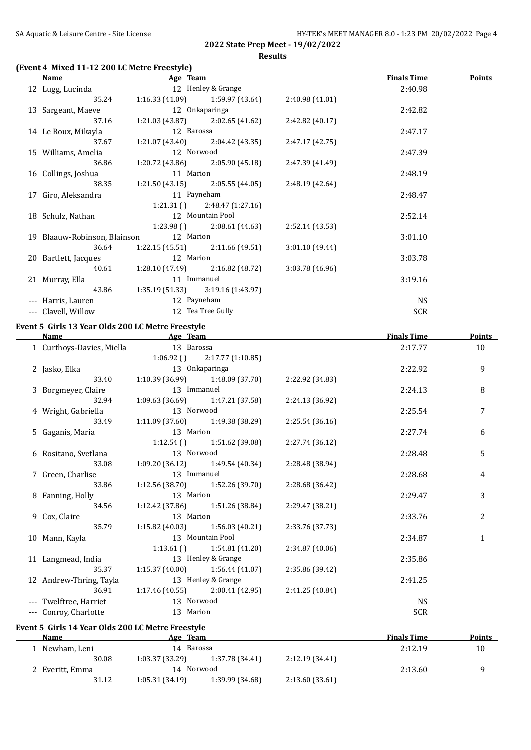## **(Event 4 Mixed 11-12 200 LC Metre Freestyle)**

| <b>Name</b> |                                                                                                                                                                                                                                                 |       |                                                                                                                                                                                                                                                                                                                                                                                                                                                                                                     | <b>Finals Time</b>                                                                                          | <b>Points</b> |
|-------------|-------------------------------------------------------------------------------------------------------------------------------------------------------------------------------------------------------------------------------------------------|-------|-----------------------------------------------------------------------------------------------------------------------------------------------------------------------------------------------------------------------------------------------------------------------------------------------------------------------------------------------------------------------------------------------------------------------------------------------------------------------------------------------------|-------------------------------------------------------------------------------------------------------------|---------------|
|             |                                                                                                                                                                                                                                                 |       |                                                                                                                                                                                                                                                                                                                                                                                                                                                                                                     | 2:40.98                                                                                                     |               |
| 35.24       |                                                                                                                                                                                                                                                 |       | 2:40.98(41.01)                                                                                                                                                                                                                                                                                                                                                                                                                                                                                      |                                                                                                             |               |
|             |                                                                                                                                                                                                                                                 |       |                                                                                                                                                                                                                                                                                                                                                                                                                                                                                                     | 2:42.82                                                                                                     |               |
| 37.16       |                                                                                                                                                                                                                                                 |       | 2:42.82 (40.17)                                                                                                                                                                                                                                                                                                                                                                                                                                                                                     |                                                                                                             |               |
|             |                                                                                                                                                                                                                                                 |       |                                                                                                                                                                                                                                                                                                                                                                                                                                                                                                     | 2:47.17                                                                                                     |               |
| 37.67       |                                                                                                                                                                                                                                                 |       | 2:47.17(42.75)                                                                                                                                                                                                                                                                                                                                                                                                                                                                                      |                                                                                                             |               |
|             |                                                                                                                                                                                                                                                 |       |                                                                                                                                                                                                                                                                                                                                                                                                                                                                                                     | 2:47.39                                                                                                     |               |
| 36.86       |                                                                                                                                                                                                                                                 |       | 2:47.39 (41.49)                                                                                                                                                                                                                                                                                                                                                                                                                                                                                     |                                                                                                             |               |
|             |                                                                                                                                                                                                                                                 |       |                                                                                                                                                                                                                                                                                                                                                                                                                                                                                                     | 2:48.19                                                                                                     |               |
| 38.35       |                                                                                                                                                                                                                                                 |       | 2:48.19(42.64)                                                                                                                                                                                                                                                                                                                                                                                                                                                                                      |                                                                                                             |               |
|             |                                                                                                                                                                                                                                                 |       |                                                                                                                                                                                                                                                                                                                                                                                                                                                                                                     | 2:48.47                                                                                                     |               |
|             |                                                                                                                                                                                                                                                 |       |                                                                                                                                                                                                                                                                                                                                                                                                                                                                                                     |                                                                                                             |               |
|             |                                                                                                                                                                                                                                                 |       |                                                                                                                                                                                                                                                                                                                                                                                                                                                                                                     | 2:52.14                                                                                                     |               |
|             |                                                                                                                                                                                                                                                 |       | 2:52.14(43.53)                                                                                                                                                                                                                                                                                                                                                                                                                                                                                      |                                                                                                             |               |
|             |                                                                                                                                                                                                                                                 |       |                                                                                                                                                                                                                                                                                                                                                                                                                                                                                                     | 3:01.10                                                                                                     |               |
| 36.64       |                                                                                                                                                                                                                                                 |       | 3:01.10(49.44)                                                                                                                                                                                                                                                                                                                                                                                                                                                                                      |                                                                                                             |               |
|             |                                                                                                                                                                                                                                                 |       |                                                                                                                                                                                                                                                                                                                                                                                                                                                                                                     | 3:03.78                                                                                                     |               |
|             |                                                                                                                                                                                                                                                 |       | 3:03.78 (46.96)                                                                                                                                                                                                                                                                                                                                                                                                                                                                                     |                                                                                                             |               |
|             |                                                                                                                                                                                                                                                 |       |                                                                                                                                                                                                                                                                                                                                                                                                                                                                                                     | 3:19.16                                                                                                     |               |
| 43.86       |                                                                                                                                                                                                                                                 |       |                                                                                                                                                                                                                                                                                                                                                                                                                                                                                                     |                                                                                                             |               |
|             |                                                                                                                                                                                                                                                 |       |                                                                                                                                                                                                                                                                                                                                                                                                                                                                                                     | <b>NS</b>                                                                                                   |               |
|             |                                                                                                                                                                                                                                                 |       |                                                                                                                                                                                                                                                                                                                                                                                                                                                                                                     | <b>SCR</b>                                                                                                  |               |
|             | 12 Lugg, Lucinda<br>13 Sargeant, Maeve<br>14 Le Roux, Mikayla<br>15 Williams, Amelia<br>16 Collings, Joshua<br>17 Giro, Aleksandra<br>18 Schulz, Nathan<br>20 Bartlett, Jacques<br>21 Murray, Ella<br>--- Harris, Lauren<br>--- Clavell, Willow | 40.61 | Age Team<br>12 Henley & Grange<br>$1:16.33(41.09)$ $1:59.97(43.64)$<br>12 Onkaparinga<br>$1:21.03(43.87)$ $2:02.65(41.62)$<br>12 Barossa<br>$1:21.07(43.40)$ $2:04.42(43.35)$<br>12 Norwood<br>$1:20.72(43.86)$ $2:05.90(45.18)$<br>11 Marion<br>11 Payneham<br>$1:21.31()$ $2:48.47(1:27.16)$<br>12 Mountain Pool<br>$1:23.98()$ $2:08.61(44.63)$<br>19 Blaauw-Robinson, Blainson 12 Marion<br>12 Marion<br>11 Immanuel<br>$1:35.19(51.33)$ $3:19.16(1:43.97)$<br>12 Payneham<br>12 Tea Tree Gully | $1:21.50(43.15)$ $2:05.55(44.05)$<br>$1:22.15(45.51)$ $2:11.66(49.51)$<br>$1:28.10(47.49)$ $2:16.82(48.72)$ |               |

## **Event 5 Girls 13 Year Olds 200 LC Metre Freestyle**

| <b>Name</b>                                                                                                                                                            | Age Team           |                                     |                 | <b>Finals Time</b> | <b>Points</b> |
|------------------------------------------------------------------------------------------------------------------------------------------------------------------------|--------------------|-------------------------------------|-----------------|--------------------|---------------|
| 1 Curthoys-Davies, Miella                                                                                                                                              | 13 Barossa         |                                     |                 | 2:17.77            | 10            |
|                                                                                                                                                                        |                    | $1:06.92$ () $2:17.77$ (1:10.85)    |                 |                    |               |
| 2 Jasko, Elka                                                                                                                                                          |                    | 13 Onkaparinga                      |                 | 2:22.92            | 9             |
| 33.40                                                                                                                                                                  |                    | $1:10.39(36.99)$ $1:48.09(37.70)$   | 2:22.92 (34.83) |                    |               |
| 3 Borgmeyer, Claire                                                                                                                                                    | 13 Immanuel        |                                     |                 | 2:24.13            | 8             |
| 32.94                                                                                                                                                                  |                    | $1:09.63(36.69)$ $1:47.21(37.58)$   | 2:24.13 (36.92) |                    |               |
| 4 Wright, Gabriella                                                                                                                                                    | 13 Norwood         |                                     |                 | 2:25.54            | 7             |
| 33.49                                                                                                                                                                  |                    | $1:11.09$ (37.60) $1:49.38$ (38.29) | 2:25.54(36.16)  |                    |               |
| 5 Gaganis, Maria                                                                                                                                                       | 13 Marion          |                                     |                 | 2:27.74            | 6             |
|                                                                                                                                                                        |                    | $1:12.54$ () $1:51.62$ (39.08)      | 2:27.74 (36.12) |                    |               |
| 6 Rositano, Svetlana                                                                                                                                                   | 13 Norwood         |                                     |                 | 2:28.48            | 5             |
| 33.08                                                                                                                                                                  |                    | $1:09.20(36.12)$ $1:49.54(40.34)$   | 2:28.48 (38.94) |                    |               |
| 7 Green, Charlise                                                                                                                                                      | 13 Immanuel        |                                     |                 | 2:28.68            | 4             |
| 33.86                                                                                                                                                                  |                    | $1:12.56(38.70)$ $1:52.26(39.70)$   | 2:28.68 (36.42) |                    |               |
| 8 Fanning, Holly                                                                                                                                                       | 13 Marion          |                                     |                 | 2:29.47            | 3             |
| 34.56                                                                                                                                                                  |                    | 1:12.42 (37.86) 1:51.26 (38.84)     | 2:29.47 (38.21) |                    |               |
| 9 Cox, Claire                                                                                                                                                          | 13 Marion          |                                     |                 | 2:33.76            | 2             |
| 35.79                                                                                                                                                                  |                    | $1:15.82$ (40.03) $1:56.03$ (40.21) | 2:33.76 (37.73) |                    |               |
| 10 Mann, Kayla                                                                                                                                                         | 13 Mountain Pool   |                                     |                 | 2:34.87            | $\mathbf{1}$  |
|                                                                                                                                                                        |                    | $1:13.61()$ $1:54.81(41.20)$        | 2:34.87 (40.06) |                    |               |
| 11 Langmead, India                                                                                                                                                     | 13 Henley & Grange |                                     |                 | 2:35.86            |               |
| 35.37                                                                                                                                                                  |                    | $1:15.37(40.00)$ $1:56.44(41.07)$   | 2:35.86 (39.42) |                    |               |
| 12 Andrew-Thring, Tayla                                                                                                                                                | 13 Henley & Grange |                                     |                 | 2:41.25            |               |
| 36.91                                                                                                                                                                  |                    | $1:17.46(40.55)$ $2:00.41(42.95)$   | 2:41.25 (40.84) |                    |               |
| --- Twelftree, Harriet                                                                                                                                                 | 13 Norwood         |                                     |                 | NS                 |               |
| --- Conroy, Charlotte                                                                                                                                                  | 13 Marion          |                                     |                 | <b>SCR</b>         |               |
| $\mathbf{r} = \mathbf{r} \cdot \mathbf{r} + \mathbf{r} \cdot \mathbf{r}$ and $\mathbf{r} = \mathbf{r} \cdot \mathbf{r}$ and $\mathbf{r} = \mathbf{r} \cdot \mathbf{r}$ |                    |                                     |                 |                    |               |

## **Event 5 Girls 14 Year Olds 200 LC Metre Freestyle**

| Name            |       | Age Team       |                 |                | <b>Finals Time</b> | <b>Points</b> |
|-----------------|-------|----------------|-----------------|----------------|--------------------|---------------|
| 1 Newham, Leni  |       | 14             | Barossa         |                | 2:12.19            | 10            |
|                 | 30.08 | 1:03.37(33.29) | 1:37.78 (34.41) | 2:12.19(34.41) |                    |               |
| 2 Everitt, Emma |       | 14             | Norwood         |                | 2:13.60            |               |
|                 | 31.12 | 1:05.31(34.19) | 1:39.99 (34.68) | 2:13.60(33.61) |                    |               |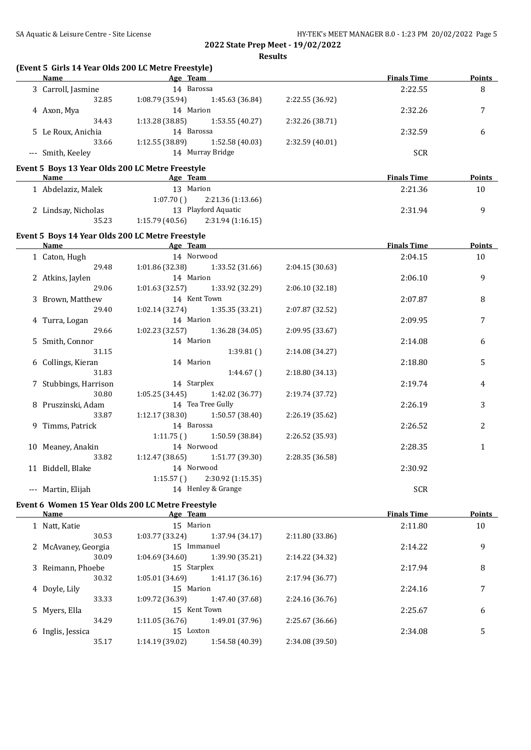**Results**

| <b>Name</b>                                              | (Event 5 Girls 14 Year Olds 200 LC Metre Freestyle)<br>Age Team |                 | <b>Finals Time</b> | <b>Points</b> |
|----------------------------------------------------------|-----------------------------------------------------------------|-----------------|--------------------|---------------|
| 3 Carroll, Jasmine                                       | 14 Barossa                                                      |                 | 2:22.55            | 8             |
| 32.85                                                    | 1:08.79 (35.94)<br>1:45.63 (36.84)                              | 2:22.55 (36.92) |                    |               |
| 4 Axon, Mya                                              | 14 Marion                                                       |                 | 2:32.26            | 7             |
| 34.43                                                    | 1:13.28 (38.85)<br>1:53.55 (40.27)                              | 2:32.26 (38.71) |                    |               |
| 5 Le Roux, Anichia                                       | 14 Barossa                                                      |                 | 2:32.59            | 6             |
| 33.66                                                    | 1:12.55 (38.89)<br>1:52.58(40.03)                               | 2:32.59 (40.01) |                    |               |
| --- Smith, Keeley                                        | 14 Murray Bridge                                                |                 | <b>SCR</b>         |               |
|                                                          |                                                                 |                 |                    |               |
| Event 5 Boys 13 Year Olds 200 LC Metre Freestyle<br>Name | <b>Example 2</b> Age Team                                       |                 | <b>Finals Time</b> | Points        |
| 1 Abdelaziz, Malek                                       | 13 Marion                                                       |                 | 2:21.36            | 10            |
|                                                          | 1:07.70()<br>2:21.36 (1:13.66)                                  |                 |                    |               |
| 2 Lindsay, Nicholas                                      | 13 Playford Aquatic                                             |                 | 2:31.94            | 9             |
| 35.23                                                    | 1:15.79(40.56)<br>2:31.94 (1:16.15)                             |                 |                    |               |
|                                                          |                                                                 |                 |                    |               |
| Event 5 Boys 14 Year Olds 200 LC Metre Freestyle         |                                                                 |                 |                    |               |
| Name                                                     | <b>Example 2</b> Age Team                                       |                 | <b>Finals Time</b> | Points        |
| 1 Caton, Hugh                                            | 14 Norwood                                                      |                 | 2:04.15            | 10            |
| 29.48                                                    | 1:01.86 (32.38)<br>1:33.52 (31.66)                              | 2:04.15(30.63)  |                    |               |
| 2 Atkins, Jaylen                                         | 14 Marion                                                       |                 | 2:06.10            | 9             |
| 29.06                                                    | 1:01.63(32.57)<br>1:33.92 (32.29)                               | 2:06.10 (32.18) |                    |               |
| 3 Brown, Matthew                                         | 14 Kent Town                                                    |                 | 2:07.87            | 8             |
| 29.40                                                    | $1:02.14(32.74)$ $1:35.35(33.21)$                               | 2:07.87 (32.52) |                    |               |
| 4 Turra, Logan                                           | 14 Marion                                                       |                 | 2:09.95            | 7             |
| 29.66                                                    | 1:36.28 (34.05)<br>1:02.23 (32.57)                              | 2:09.95 (33.67) |                    |               |
| 5 Smith, Connor                                          | 14 Marion                                                       |                 | 2:14.08            | 6             |
| 31.15                                                    | 1:39.81()                                                       | 2:14.08 (34.27) |                    |               |
| 6 Collings, Kieran                                       | 14 Marion                                                       |                 | 2:18.80            | 5             |
| 31.83                                                    | 1:44.67()                                                       | 2:18.80 (34.13) |                    |               |
| 7 Stubbings, Harrison                                    | 14 Starplex                                                     |                 | 2:19.74            | 4             |
| 30.80                                                    | $1:05.25(34.45)$ $1:42.02(36.77)$                               | 2:19.74 (37.72) |                    |               |
| 8 Pruszinski, Adam                                       | 14 Tea Tree Gully                                               |                 | 2:26.19            | 3             |
| 33.87                                                    | $1:12.17(38.30)$ $1:50.57(38.40)$                               | 2:26.19 (35.62) |                    |               |
| 9 Timms, Patrick                                         | 14 Barossa                                                      |                 | 2:26.52            | 2             |
|                                                          | 1:11.75()<br>1:50.59 (38.84)                                    | 2:26.52 (35.93) |                    |               |
| 10 Meaney, Anakin                                        | 14 Norwood                                                      |                 | 2:28.35            | 1             |
| 33.82                                                    | 1:12.47(38.65)<br>1:51.77 (39.30)                               | 2:28.35 (36.58) |                    |               |
| 11 Biddell, Blake                                        | 14 Norwood                                                      |                 | 2:30.92            |               |
|                                                          | 1:15.57()<br>2:30.92 (1:15.35)                                  |                 |                    |               |
| --- Martin, Elijah                                       | 14 Henley & Grange                                              |                 | <b>SCR</b>         |               |
|                                                          | Event 6 Women 15 Year Olds 200 LC Metre Freestyle               |                 |                    |               |
| <u>Name</u>                                              | Age Team                                                        |                 | <b>Finals Time</b> | <b>Points</b> |
| 1 Natt, Katie                                            | 15 Marion                                                       |                 | 2:11.80            | 10            |
| 30.53                                                    | 1:03.77 (33.24)<br>1:37.94 (34.17)                              | 2:11.80 (33.86) |                    |               |
| 2 McAvaney, Georgia                                      | 15 Immanuel                                                     |                 | 2:14.22            | 9             |
| 30.09                                                    | 1:39.90 (35.21)<br>1:04.69 (34.60)                              | 2:14.22 (34.32) |                    |               |
| 3 Reimann, Phoebe                                        | 15 Starplex                                                     |                 | 2:17.94            | 8             |
| 30.32                                                    | 1:05.01 (34.69)<br>1:41.17 (36.16)                              | 2:17.94 (36.77) |                    |               |
| 4 Doyle, Lily                                            | 15 Marion                                                       |                 | 2:24.16            | 7             |
| 33.33                                                    | 1:09.72 (36.39)<br>1:47.40 (37.68)                              | 2:24.16 (36.76) |                    |               |
| 5 Myers, Ella                                            | 15 Kent Town                                                    |                 | 2:25.67            | 6             |
| 34.29                                                    | 1:11.05 (36.76)<br>1:49.01 (37.96)                              | 2:25.67 (36.66) |                    |               |
| 6 Inglis, Jessica                                        | 15 Loxton                                                       |                 | 2:34.08            | 5             |
| 35.17                                                    | 1:14.19 (39.02)<br>1:54.58 (40.39)                              | 2:34.08 (39.50) |                    |               |
|                                                          |                                                                 |                 |                    |               |

35.17 1:14.19 (39.02) 1:54.58 (40.39)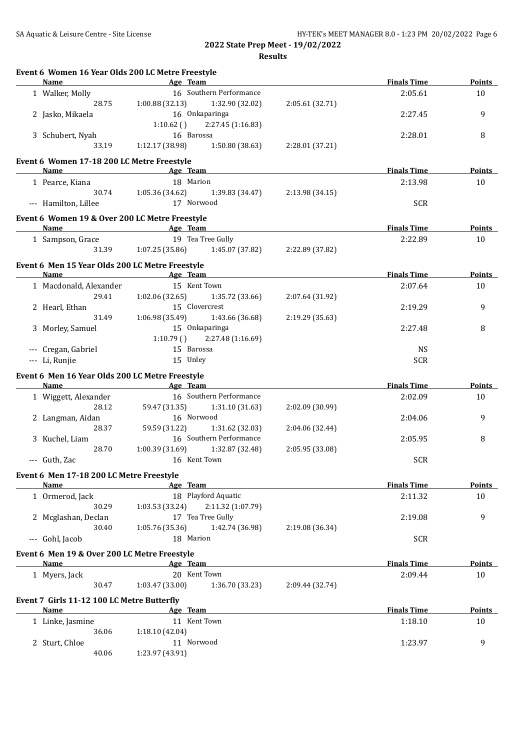| Name                                            | <b>Example 2018</b> Age Team        |                         |                 | <b>Finals Time</b> | Points                         |
|-------------------------------------------------|-------------------------------------|-------------------------|-----------------|--------------------|--------------------------------|
| 1 Walker, Molly                                 |                                     | 16 Southern Performance |                 | 2:05.61            | 10                             |
| 28.75                                           | $1:00.88$ (32.13) $1:32.90$ (32.02) |                         | 2:05.61 (32.71) |                    |                                |
| 2 Jasko, Mikaela                                | 16 Onkaparinga                      |                         |                 | 2:27.45            | 9                              |
|                                                 | $1:10.62$ () $2:27.45$ (1:16.83)    |                         |                 |                    |                                |
| 3 Schubert, Nyah                                | 16 Barossa                          |                         |                 | 2:28.01            | 8                              |
| 33.19                                           | $1:12.17$ (38.98) $1:50.80$ (38.63) |                         | 2:28.01 (37.21) |                    |                                |
| Event 6 Women 17-18 200 LC Metre Freestyle      |                                     |                         |                 |                    |                                |
| Name                                            | <b>Example 2018</b> Age Team        |                         |                 | <b>Finals Time</b> | <b>Points</b>                  |
| 1 Pearce, Kiana                                 | 18 Marion                           |                         |                 | 2:13.98            | 10                             |
| 30.74                                           | 1:05.36 (34.62)                     | 1:39.83 (34.47)         | 2:13.98 (34.15) |                    |                                |
| --- Hamilton, Lillee                            | 17 Norwood                          |                         |                 | <b>SCR</b>         |                                |
|                                                 |                                     |                         |                 |                    |                                |
| Event 6 Women 19 & Over 200 LC Metre Freestyle  |                                     |                         |                 |                    |                                |
| Name Age Team                                   |                                     |                         |                 | <b>Finals Time</b> | Points                         |
| 1 Sampson, Grace                                | 19 Tea Tree Gully                   |                         |                 | 2:22.89            | 10                             |
| 31.39                                           | $1:07.25(35.86)$ $1:45.07(37.82)$   |                         | 2:22.89 (37.82) |                    |                                |
| Event 6 Men 15 Year Olds 200 LC Metre Freestyle |                                     |                         |                 |                    |                                |
| Name Age Team                                   |                                     |                         |                 | <b>Finals Time</b> | Points                         |
| 1 Macdonald, Alexander                          | 15 Kent Town                        |                         |                 | 2:07.64            | 10                             |
| 29.41                                           | $1:02.06(32.65)$ $1:35.72(33.66)$   |                         | 2:07.64 (31.92) |                    |                                |
| 2 Hearl, Ethan                                  | 15 Clovercrest                      |                         |                 | 2:19.29            | 9                              |
| 31.49                                           | $1:06.98(35.49)$ $1:43.66(36.68)$   |                         | 2:19.29 (35.63) |                    |                                |
| 3 Morley, Samuel                                | 15 Onkaparinga                      |                         |                 | 2:27.48            | 8                              |
|                                                 | 1:10.79()                           | 2:27.48 (1:16.69)       |                 |                    |                                |
| --- Cregan, Gabriel                             | 15 Barossa                          |                         |                 | <b>NS</b>          |                                |
| --- Li, Runjie                                  | 15 Unley                            |                         |                 | <b>SCR</b>         |                                |
| Event 6 Men 16 Year Olds 200 LC Metre Freestyle |                                     |                         |                 |                    |                                |
| Name                                            | Age Team                            |                         |                 | <b>Finals Time</b> | Points                         |
| 1 Wiggett, Alexander                            |                                     | 16 Southern Performance |                 | 2:02.09            | 10                             |
| 28.12                                           | 59.47 (31.35)                       | 1:31.10 (31.63)         | 2:02.09 (30.99) |                    |                                |
|                                                 |                                     |                         |                 |                    |                                |
| 2 Langman, Aidan                                | 16 Norwood                          |                         |                 | 2:04.06            | 9                              |
| 28.37                                           | 59.59 (31.22)                       | 1:31.62 (32.03)         | 2:04.06 (32.44) |                    |                                |
| 3 Kuchel, Liam                                  |                                     | 16 Southern Performance |                 | 2:05.95            | 8                              |
| 28.70                                           | 1:00.39(31.69)                      | 1:32.87 (32.48)         | 2:05.95 (33.08) |                    |                                |
| --- Guth, Zac                                   | 16 Kent Town                        |                         |                 | <b>SCR</b>         |                                |
|                                                 |                                     |                         |                 |                    |                                |
| Event 6 Men 17-18 200 LC Metre Freestyle        |                                     |                         |                 |                    |                                |
| Name                                            | Age Team                            |                         |                 | <b>Finals Time</b> |                                |
| 1 Ormerod, Jack                                 | 18 Playford Aquatic                 |                         |                 | 2:11.32            | 10                             |
| 30.29                                           | 1:03.53 (33.24)                     | 2:11.32 (1:07.79)       |                 |                    |                                |
| 2 Mcglashan, Declan                             | 17 Tea Tree Gully                   |                         |                 | 2:19.08            | 9                              |
| 30.40                                           | 1:05.76 (35.36)                     | 1:42.74 (36.98)         | 2:19.08 (36.34) |                    |                                |
| --- Gohl, Jacob                                 | 18 Marion                           |                         |                 | <b>SCR</b>         |                                |
| Event 6 Men 19 & Over 200 LC Metre Freestyle    |                                     |                         |                 |                    |                                |
| Name                                            | Age Team                            |                         |                 | <b>Finals Time</b> |                                |
| 1 Myers, Jack                                   | 20 Kent Town                        |                         |                 | 2:09.44            | 10                             |
| 30.47                                           | 1:03.47(33.00)                      | 1:36.70 (33.23)         | 2:09.44 (32.74) |                    | <b>Points</b><br><b>Points</b> |
| Event 7 Girls 11-12 100 LC Metre Butterfly      |                                     |                         |                 |                    |                                |
| Name                                            | Age Team                            |                         |                 | <b>Finals Time</b> |                                |
| 1 Linke, Jasmine                                | 11 Kent Town                        |                         |                 | 1:18.10            | 10                             |
| 36.06                                           | 1:18.10 (42.04)                     |                         |                 |                    | <b>Points</b>                  |
| 2 Sturt, Chloe                                  | 11 Norwood                          |                         |                 | 1:23.97            | 9                              |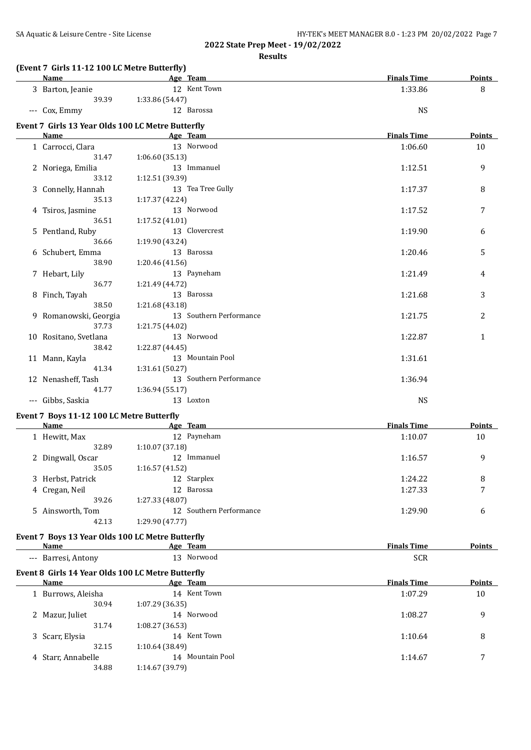**Results**

## **(Event 7 Girls 11-12 100 LC Metre Butterfly)**

| 12 Kent Town<br>3 Barton, Jeanie<br>1:33.86<br>39.39<br>1:33.86 (54.47)<br><b>NS</b><br>--- Cox, Emmy<br>12 Barossa<br>Event 7 Girls 13 Year Olds 100 LC Metre Butterfly<br><b>Finals Time</b><br>Name<br>Age Team<br>13 Norwood<br>1 Carrocci, Clara<br>1:06.60<br>1:06.60 (35.13)<br>31.47<br>13 Immanuel<br>2 Noriega, Emilia<br>1:12.51<br>33.12<br>1:12.51 (39.39)<br>13 Tea Tree Gully<br>3 Connelly, Hannah<br>1:17.37<br>1:17.37 (42.24)<br>35.13<br>13 Norwood<br>4 Tsiros, Jasmine<br>1:17.52<br>36.51<br>1:17.52 (41.01)<br>13 Clovercrest<br>5 Pentland, Ruby<br>1:19.90<br>1:19.90 (43.24)<br>36.66<br>13 Barossa<br>6 Schubert, Emma<br>1:20.46<br>38.90<br>1:20.46 (41.56)<br>7 Hebart, Lily<br>13 Payneham<br>1:21.49<br>36.77<br>1:21.49 (44.72)<br>13 Barossa<br>8 Finch, Tayah<br>1:21.68<br>38.50<br>1:21.68 (43.18)<br>13 Southern Performance<br>9 Romanowski, Georgia<br>1:21.75<br>37.73<br>1:21.75 (44.02)<br>13 Norwood<br>10 Rositano, Svetlana<br>1:22.87<br>38.42<br>1:22.87 (44.45)<br>13 Mountain Pool<br>11 Mann, Kayla<br>1:31.61<br>41.34<br>1:31.61 (50.27)<br>13 Southern Performance<br>12 Nenasheff, Tash<br>1:36.94<br>41.77<br>1:36.94 (55.17)<br>13 Loxton<br><b>NS</b><br>--- Gibbs, Saskia<br>Event 7 Boys 11-12 100 LC Metre Butterfly<br><b>Example 2</b> Age Team<br><b>Finals Time</b><br>Name<br>12 Payneham<br>1 Hewitt, Max<br>1:10.07<br>1:10.07 (37.18)<br>32.89<br>12 Immanuel<br>2 Dingwall, Oscar<br>1:16.57<br>1:16.57(41.52)<br>35.05 | 8<br>Points<br>10<br>9<br>8<br>7<br>6<br>5<br>4<br>3 |
|------------------------------------------------------------------------------------------------------------------------------------------------------------------------------------------------------------------------------------------------------------------------------------------------------------------------------------------------------------------------------------------------------------------------------------------------------------------------------------------------------------------------------------------------------------------------------------------------------------------------------------------------------------------------------------------------------------------------------------------------------------------------------------------------------------------------------------------------------------------------------------------------------------------------------------------------------------------------------------------------------------------------------------------------------------------------------------------------------------------------------------------------------------------------------------------------------------------------------------------------------------------------------------------------------------------------------------------------------------------------------------------------------------------------------------------------------------------------------------------------|------------------------------------------------------|
|                                                                                                                                                                                                                                                                                                                                                                                                                                                                                                                                                                                                                                                                                                                                                                                                                                                                                                                                                                                                                                                                                                                                                                                                                                                                                                                                                                                                                                                                                                |                                                      |
|                                                                                                                                                                                                                                                                                                                                                                                                                                                                                                                                                                                                                                                                                                                                                                                                                                                                                                                                                                                                                                                                                                                                                                                                                                                                                                                                                                                                                                                                                                |                                                      |
|                                                                                                                                                                                                                                                                                                                                                                                                                                                                                                                                                                                                                                                                                                                                                                                                                                                                                                                                                                                                                                                                                                                                                                                                                                                                                                                                                                                                                                                                                                |                                                      |
|                                                                                                                                                                                                                                                                                                                                                                                                                                                                                                                                                                                                                                                                                                                                                                                                                                                                                                                                                                                                                                                                                                                                                                                                                                                                                                                                                                                                                                                                                                |                                                      |
|                                                                                                                                                                                                                                                                                                                                                                                                                                                                                                                                                                                                                                                                                                                                                                                                                                                                                                                                                                                                                                                                                                                                                                                                                                                                                                                                                                                                                                                                                                |                                                      |
|                                                                                                                                                                                                                                                                                                                                                                                                                                                                                                                                                                                                                                                                                                                                                                                                                                                                                                                                                                                                                                                                                                                                                                                                                                                                                                                                                                                                                                                                                                |                                                      |
|                                                                                                                                                                                                                                                                                                                                                                                                                                                                                                                                                                                                                                                                                                                                                                                                                                                                                                                                                                                                                                                                                                                                                                                                                                                                                                                                                                                                                                                                                                |                                                      |
|                                                                                                                                                                                                                                                                                                                                                                                                                                                                                                                                                                                                                                                                                                                                                                                                                                                                                                                                                                                                                                                                                                                                                                                                                                                                                                                                                                                                                                                                                                |                                                      |
|                                                                                                                                                                                                                                                                                                                                                                                                                                                                                                                                                                                                                                                                                                                                                                                                                                                                                                                                                                                                                                                                                                                                                                                                                                                                                                                                                                                                                                                                                                |                                                      |
|                                                                                                                                                                                                                                                                                                                                                                                                                                                                                                                                                                                                                                                                                                                                                                                                                                                                                                                                                                                                                                                                                                                                                                                                                                                                                                                                                                                                                                                                                                |                                                      |
|                                                                                                                                                                                                                                                                                                                                                                                                                                                                                                                                                                                                                                                                                                                                                                                                                                                                                                                                                                                                                                                                                                                                                                                                                                                                                                                                                                                                                                                                                                |                                                      |
|                                                                                                                                                                                                                                                                                                                                                                                                                                                                                                                                                                                                                                                                                                                                                                                                                                                                                                                                                                                                                                                                                                                                                                                                                                                                                                                                                                                                                                                                                                |                                                      |
|                                                                                                                                                                                                                                                                                                                                                                                                                                                                                                                                                                                                                                                                                                                                                                                                                                                                                                                                                                                                                                                                                                                                                                                                                                                                                                                                                                                                                                                                                                |                                                      |
|                                                                                                                                                                                                                                                                                                                                                                                                                                                                                                                                                                                                                                                                                                                                                                                                                                                                                                                                                                                                                                                                                                                                                                                                                                                                                                                                                                                                                                                                                                |                                                      |
|                                                                                                                                                                                                                                                                                                                                                                                                                                                                                                                                                                                                                                                                                                                                                                                                                                                                                                                                                                                                                                                                                                                                                                                                                                                                                                                                                                                                                                                                                                |                                                      |
|                                                                                                                                                                                                                                                                                                                                                                                                                                                                                                                                                                                                                                                                                                                                                                                                                                                                                                                                                                                                                                                                                                                                                                                                                                                                                                                                                                                                                                                                                                |                                                      |
|                                                                                                                                                                                                                                                                                                                                                                                                                                                                                                                                                                                                                                                                                                                                                                                                                                                                                                                                                                                                                                                                                                                                                                                                                                                                                                                                                                                                                                                                                                |                                                      |
|                                                                                                                                                                                                                                                                                                                                                                                                                                                                                                                                                                                                                                                                                                                                                                                                                                                                                                                                                                                                                                                                                                                                                                                                                                                                                                                                                                                                                                                                                                |                                                      |
|                                                                                                                                                                                                                                                                                                                                                                                                                                                                                                                                                                                                                                                                                                                                                                                                                                                                                                                                                                                                                                                                                                                                                                                                                                                                                                                                                                                                                                                                                                |                                                      |
|                                                                                                                                                                                                                                                                                                                                                                                                                                                                                                                                                                                                                                                                                                                                                                                                                                                                                                                                                                                                                                                                                                                                                                                                                                                                                                                                                                                                                                                                                                |                                                      |
|                                                                                                                                                                                                                                                                                                                                                                                                                                                                                                                                                                                                                                                                                                                                                                                                                                                                                                                                                                                                                                                                                                                                                                                                                                                                                                                                                                                                                                                                                                |                                                      |
|                                                                                                                                                                                                                                                                                                                                                                                                                                                                                                                                                                                                                                                                                                                                                                                                                                                                                                                                                                                                                                                                                                                                                                                                                                                                                                                                                                                                                                                                                                | 2                                                    |
|                                                                                                                                                                                                                                                                                                                                                                                                                                                                                                                                                                                                                                                                                                                                                                                                                                                                                                                                                                                                                                                                                                                                                                                                                                                                                                                                                                                                                                                                                                |                                                      |
|                                                                                                                                                                                                                                                                                                                                                                                                                                                                                                                                                                                                                                                                                                                                                                                                                                                                                                                                                                                                                                                                                                                                                                                                                                                                                                                                                                                                                                                                                                | 1                                                    |
|                                                                                                                                                                                                                                                                                                                                                                                                                                                                                                                                                                                                                                                                                                                                                                                                                                                                                                                                                                                                                                                                                                                                                                                                                                                                                                                                                                                                                                                                                                |                                                      |
|                                                                                                                                                                                                                                                                                                                                                                                                                                                                                                                                                                                                                                                                                                                                                                                                                                                                                                                                                                                                                                                                                                                                                                                                                                                                                                                                                                                                                                                                                                |                                                      |
|                                                                                                                                                                                                                                                                                                                                                                                                                                                                                                                                                                                                                                                                                                                                                                                                                                                                                                                                                                                                                                                                                                                                                                                                                                                                                                                                                                                                                                                                                                |                                                      |
|                                                                                                                                                                                                                                                                                                                                                                                                                                                                                                                                                                                                                                                                                                                                                                                                                                                                                                                                                                                                                                                                                                                                                                                                                                                                                                                                                                                                                                                                                                |                                                      |
|                                                                                                                                                                                                                                                                                                                                                                                                                                                                                                                                                                                                                                                                                                                                                                                                                                                                                                                                                                                                                                                                                                                                                                                                                                                                                                                                                                                                                                                                                                |                                                      |
|                                                                                                                                                                                                                                                                                                                                                                                                                                                                                                                                                                                                                                                                                                                                                                                                                                                                                                                                                                                                                                                                                                                                                                                                                                                                                                                                                                                                                                                                                                |                                                      |
|                                                                                                                                                                                                                                                                                                                                                                                                                                                                                                                                                                                                                                                                                                                                                                                                                                                                                                                                                                                                                                                                                                                                                                                                                                                                                                                                                                                                                                                                                                |                                                      |
|                                                                                                                                                                                                                                                                                                                                                                                                                                                                                                                                                                                                                                                                                                                                                                                                                                                                                                                                                                                                                                                                                                                                                                                                                                                                                                                                                                                                                                                                                                | Points                                               |
|                                                                                                                                                                                                                                                                                                                                                                                                                                                                                                                                                                                                                                                                                                                                                                                                                                                                                                                                                                                                                                                                                                                                                                                                                                                                                                                                                                                                                                                                                                | 10                                                   |
|                                                                                                                                                                                                                                                                                                                                                                                                                                                                                                                                                                                                                                                                                                                                                                                                                                                                                                                                                                                                                                                                                                                                                                                                                                                                                                                                                                                                                                                                                                |                                                      |
|                                                                                                                                                                                                                                                                                                                                                                                                                                                                                                                                                                                                                                                                                                                                                                                                                                                                                                                                                                                                                                                                                                                                                                                                                                                                                                                                                                                                                                                                                                | 9                                                    |
|                                                                                                                                                                                                                                                                                                                                                                                                                                                                                                                                                                                                                                                                                                                                                                                                                                                                                                                                                                                                                                                                                                                                                                                                                                                                                                                                                                                                                                                                                                |                                                      |
| 12 Starplex<br>3 Herbst, Patrick<br>1:24.22                                                                                                                                                                                                                                                                                                                                                                                                                                                                                                                                                                                                                                                                                                                                                                                                                                                                                                                                                                                                                                                                                                                                                                                                                                                                                                                                                                                                                                                    | 8                                                    |
| 12 Barossa<br>1:27.33<br>4 Cregan, Neil                                                                                                                                                                                                                                                                                                                                                                                                                                                                                                                                                                                                                                                                                                                                                                                                                                                                                                                                                                                                                                                                                                                                                                                                                                                                                                                                                                                                                                                        | 7                                                    |
| 39.26<br>1:27.33 (48.07)                                                                                                                                                                                                                                                                                                                                                                                                                                                                                                                                                                                                                                                                                                                                                                                                                                                                                                                                                                                                                                                                                                                                                                                                                                                                                                                                                                                                                                                                       |                                                      |
| 12 Southern Performance<br>5 Ainsworth, Tom<br>1:29.90                                                                                                                                                                                                                                                                                                                                                                                                                                                                                                                                                                                                                                                                                                                                                                                                                                                                                                                                                                                                                                                                                                                                                                                                                                                                                                                                                                                                                                         | 6                                                    |
| 42.13<br>1:29.90 (47.77)                                                                                                                                                                                                                                                                                                                                                                                                                                                                                                                                                                                                                                                                                                                                                                                                                                                                                                                                                                                                                                                                                                                                                                                                                                                                                                                                                                                                                                                                       |                                                      |
|                                                                                                                                                                                                                                                                                                                                                                                                                                                                                                                                                                                                                                                                                                                                                                                                                                                                                                                                                                                                                                                                                                                                                                                                                                                                                                                                                                                                                                                                                                |                                                      |
| Event 7 Boys 13 Year Olds 100 LC Metre Butterfly                                                                                                                                                                                                                                                                                                                                                                                                                                                                                                                                                                                                                                                                                                                                                                                                                                                                                                                                                                                                                                                                                                                                                                                                                                                                                                                                                                                                                                               |                                                      |
| <b>Finals Time</b><br>Name<br>Age Team                                                                                                                                                                                                                                                                                                                                                                                                                                                                                                                                                                                                                                                                                                                                                                                                                                                                                                                                                                                                                                                                                                                                                                                                                                                                                                                                                                                                                                                         | <b>Points</b>                                        |
| 13 Norwood<br><b>SCR</b><br>--- Barresi, Antony                                                                                                                                                                                                                                                                                                                                                                                                                                                                                                                                                                                                                                                                                                                                                                                                                                                                                                                                                                                                                                                                                                                                                                                                                                                                                                                                                                                                                                                |                                                      |
| Event 8 Girls 14 Year Olds 100 LC Metre Butterfly                                                                                                                                                                                                                                                                                                                                                                                                                                                                                                                                                                                                                                                                                                                                                                                                                                                                                                                                                                                                                                                                                                                                                                                                                                                                                                                                                                                                                                              |                                                      |
| Age Team<br><b>Finals Time</b><br>Name                                                                                                                                                                                                                                                                                                                                                                                                                                                                                                                                                                                                                                                                                                                                                                                                                                                                                                                                                                                                                                                                                                                                                                                                                                                                                                                                                                                                                                                         | <b>Points</b>                                        |
| 14 Kent Town<br>1 Burrows, Aleisha<br>1:07.29                                                                                                                                                                                                                                                                                                                                                                                                                                                                                                                                                                                                                                                                                                                                                                                                                                                                                                                                                                                                                                                                                                                                                                                                                                                                                                                                                                                                                                                  | 10                                                   |
| 30.94<br>1:07.29 (36.35)                                                                                                                                                                                                                                                                                                                                                                                                                                                                                                                                                                                                                                                                                                                                                                                                                                                                                                                                                                                                                                                                                                                                                                                                                                                                                                                                                                                                                                                                       |                                                      |
| 14 Norwood<br>2 Mazur, Juliet<br>1:08.27                                                                                                                                                                                                                                                                                                                                                                                                                                                                                                                                                                                                                                                                                                                                                                                                                                                                                                                                                                                                                                                                                                                                                                                                                                                                                                                                                                                                                                                       | 9                                                    |
| 31.74<br>1:08.27 (36.53)                                                                                                                                                                                                                                                                                                                                                                                                                                                                                                                                                                                                                                                                                                                                                                                                                                                                                                                                                                                                                                                                                                                                                                                                                                                                                                                                                                                                                                                                       |                                                      |
| 14 Kent Town<br>1:10.64<br>3 Scarr, Elysia                                                                                                                                                                                                                                                                                                                                                                                                                                                                                                                                                                                                                                                                                                                                                                                                                                                                                                                                                                                                                                                                                                                                                                                                                                                                                                                                                                                                                                                     |                                                      |

4 Starr, Annabelle 14 Mountain Pool 1:14.67 7 7 1:14.67 7 7 1:14.67 7 1:14.67 7 1:14.67 1:14.67 1:14.67 1:14.67 1:14.67 1:14.67 1:14.67 1:14.67 1:14.67 1:14.67 1:14.67 1:14.67 1:14.67 1:14.67 1:14.67 1:14.67 1:14.67 1:14.6

32.15 1:10.64 (38.49)

34.88 1:14.67 (39.79)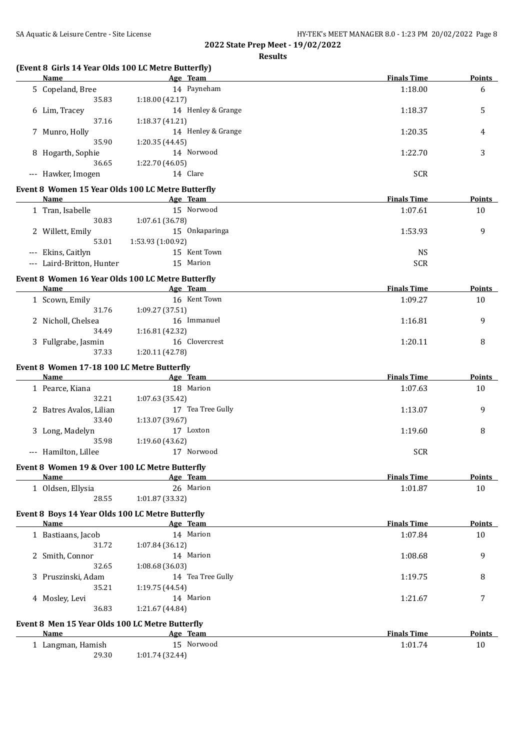## **Results**

## **(Event 8 Girls 14 Year Olds 100 LC Metre Butterfly)**

|   | <b>Name</b>                                       |                   | Age Team           | <b>Finals Time</b> | <b>Points</b>  |
|---|---------------------------------------------------|-------------------|--------------------|--------------------|----------------|
|   | 5 Copeland, Bree                                  |                   | 14 Payneham        | 1:18.00            | 6              |
|   | 35.83                                             | 1:18.00 (42.17)   |                    |                    |                |
|   | 6 Lim, Tracey                                     |                   | 14 Henley & Grange | 1:18.37            | 5              |
|   | 37.16                                             | 1:18.37 (41.21)   |                    |                    |                |
|   | 7 Munro, Holly                                    |                   | 14 Henley & Grange | 1:20.35            | 4              |
|   | 35.90                                             | 1:20.35 (44.45)   |                    |                    |                |
|   | 8 Hogarth, Sophie                                 |                   | 14 Norwood         | 1:22.70            | 3              |
|   | 36.65                                             | 1:22.70(46.05)    |                    |                    |                |
|   | --- Hawker, Imogen                                |                   | 14 Clare           | <b>SCR</b>         |                |
|   | Event 8 Women 15 Year Olds 100 LC Metre Butterfly |                   |                    |                    |                |
|   | Name                                              |                   | Age Team           | <b>Finals Time</b> | Points         |
|   | 1 Tran, Isabelle                                  |                   | 15 Norwood         | 1:07.61            | 10             |
|   | 30.83                                             | 1:07.61 (36.78)   |                    |                    |                |
|   | 2 Willett, Emily                                  |                   | 15 Onkaparinga     | 1:53.93            | 9              |
|   | 53.01                                             | 1:53.93 (1:00.92) |                    |                    |                |
|   | --- Ekins, Caitlyn                                |                   | 15 Kent Town       | <b>NS</b>          |                |
|   | --- Laird-Britton, Hunter                         |                   | 15 Marion          | <b>SCR</b>         |                |
|   |                                                   |                   |                    |                    |                |
|   | Event 8 Women 16 Year Olds 100 LC Metre Butterfly |                   |                    |                    |                |
|   | Name                                              |                   | Age Team           | <b>Finals Time</b> | <b>Points</b>  |
|   | 1 Scown, Emily                                    |                   | 16 Kent Town       | 1:09.27            | 10             |
|   | 31.76                                             | 1:09.27 (37.51)   |                    |                    |                |
|   | 2 Nicholl, Chelsea                                |                   | 16 Immanuel        | 1:16.81            | 9              |
|   | 34.49                                             | 1:16.81 (42.32)   |                    |                    |                |
|   | 3 Fullgrabe, Jasmin                               |                   | 16 Clovercrest     | 1:20.11            | 8              |
|   | 37.33                                             | 1:20.11 (42.78)   |                    |                    |                |
|   | Event 8 Women 17-18 100 LC Metre Butterfly        |                   |                    |                    |                |
|   | Name                                              |                   | Age Team           | <b>Finals Time</b> | Points         |
|   | 1 Pearce, Kiana                                   |                   | 18 Marion          | 1:07.63            | 10             |
|   | 32.21                                             | 1:07.63 (35.42)   |                    |                    |                |
|   | 2 Batres Avalos, Lilian                           |                   | 17 Tea Tree Gully  | 1:13.07            | 9              |
|   | 33.40                                             | 1:13.07 (39.67)   |                    |                    |                |
|   | 3 Long, Madelyn                                   |                   | 17 Loxton          | 1:19.60            | 8              |
|   | 35.98                                             | 1:19.60(43.62)    |                    |                    |                |
|   | --- Hamilton, Lillee                              |                   | 17 Norwood         | <b>SCR</b>         |                |
|   | Event 8 Women 19 & Over 100 LC Metre Butterfly    |                   |                    |                    |                |
|   | <u>Name</u>                                       |                   | <u>Age Team</u>    | <u>Finals Time</u> | <u>Points </u> |
|   | 1 Oldsen, Ellysia                                 |                   | 26 Marion          | 1:01.87            | 10             |
|   | 28.55                                             | 1:01.87 (33.32)   |                    |                    |                |
|   |                                                   |                   |                    |                    |                |
|   | Event 8 Boys 14 Year Olds 100 LC Metre Butterfly  |                   |                    |                    |                |
|   | <b>Name</b>                                       |                   | Age Team           | <b>Finals Time</b> | <b>Points</b>  |
|   | 1 Bastiaans, Jacob                                |                   | 14 Marion          | 1:07.84            | 10             |
|   | 31.72                                             | 1:07.84 (36.12)   |                    |                    |                |
|   | 2 Smith, Connor                                   |                   | 14 Marion          | 1:08.68            | 9              |
|   | 32.65                                             | 1:08.68(36.03)    |                    |                    |                |
| 3 | Pruszinski, Adam                                  |                   | 14 Tea Tree Gully  | 1:19.75            | 8              |
|   | 35.21                                             | 1:19.75 (44.54)   |                    |                    |                |
|   | 4 Mosley, Levi                                    |                   | 14 Marion          | 1:21.67            | 7              |
|   | 36.83                                             | 1:21.67 (44.84)   |                    |                    |                |
|   | Event 8 Men 15 Year Olds 100 LC Metre Butterfly   |                   |                    |                    |                |
|   | Name                                              |                   | Age Team           | <b>Finals Time</b> | <b>Points</b>  |
|   | 1 Langman, Hamish                                 |                   | 15 Norwood         | 1:01.74            | 10             |
|   | 29.30                                             | 1:01.74 (32.44)   |                    |                    |                |
|   |                                                   |                   |                    |                    |                |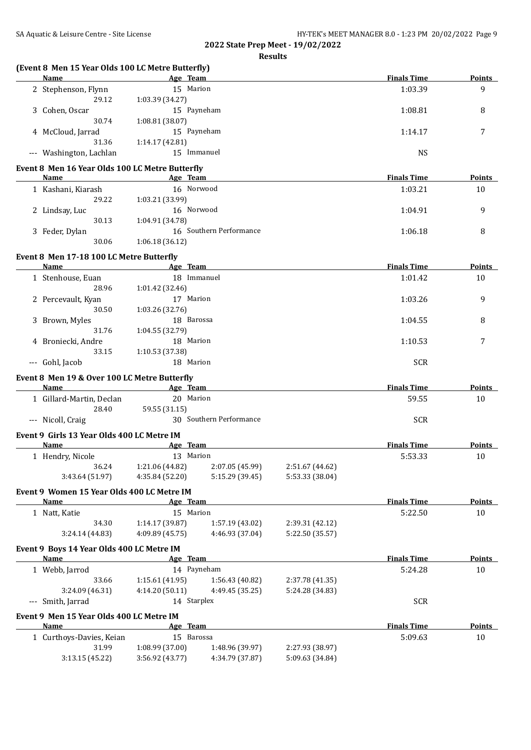|                                                   |                 | <b>Results</b>          |                 |                    |               |
|---------------------------------------------------|-----------------|-------------------------|-----------------|--------------------|---------------|
| (Event 8 Men 15 Year Olds 100 LC Metre Butterfly) |                 |                         |                 |                    |               |
| Name Age Team                                     |                 |                         |                 | <b>Finals Time</b> | <b>Points</b> |
| 2 Stephenson, Flynn                               | 15 Marion       |                         |                 | 1:03.39            | 9             |
| 29.12                                             | 1:03.39 (34.27) |                         |                 |                    |               |
| 3 Cohen, Oscar                                    | 15 Payneham     |                         |                 | 1:08.81            | 8             |
| 30.74                                             | 1:08.81 (38.07) |                         |                 |                    |               |
| 4 McCloud, Jarrad                                 | 15 Payneham     |                         |                 | 1:14.17            | 7             |
| 31.36                                             | 1:14.17 (42.81) |                         |                 |                    |               |
| --- Washington, Lachlan                           | 15 Immanuel     |                         |                 | <b>NS</b>          |               |
| Event 8 Men 16 Year Olds 100 LC Metre Butterfly   |                 |                         |                 |                    |               |
| Name                                              | Age Team        |                         |                 | <b>Finals Time</b> | <b>Points</b> |
| 1 Kashani, Kiarash                                | 16 Norwood      |                         |                 | 1:03.21            | 10            |
| 29.22                                             | 1:03.21 (33.99) |                         |                 |                    |               |
|                                                   | 16 Norwood      |                         |                 |                    | 9             |
| 2 Lindsay, Luc                                    |                 |                         |                 | 1:04.91            |               |
| 30.13                                             | 1:04.91 (34.78) |                         |                 |                    |               |
| 3 Feder, Dylan                                    |                 | 16 Southern Performance |                 | 1:06.18            | 8             |
| 30.06                                             | 1:06.18(36.12)  |                         |                 |                    |               |
| Event 8 Men 17-18 100 LC Metre Butterfly          |                 |                         |                 |                    |               |
| Name                                              | Age Team        |                         |                 | <b>Finals Time</b> | Points        |
| 1 Stenhouse, Euan                                 | 18 Immanuel     |                         |                 | 1:01.42            | 10            |
| 28.96                                             | 1:01.42 (32.46) |                         |                 |                    |               |
| 2 Percevault, Kyan                                | 17 Marion       |                         |                 | 1:03.26            | 9             |
| 30.50                                             | 1:03.26 (32.76) |                         |                 |                    |               |
| 3 Brown, Myles                                    | 18 Barossa      |                         |                 | 1:04.55            | 8             |
| 31.76                                             | 1:04.55 (32.79) |                         |                 |                    |               |
|                                                   |                 |                         |                 |                    |               |
| 4 Broniecki, Andre                                | 18 Marion       |                         |                 | 1:10.53            | 7             |
| 33.15                                             | 1:10.53 (37.38) |                         |                 |                    |               |
| --- Gohl, Jacob                                   | 18 Marion       |                         |                 | <b>SCR</b>         |               |
| Event 8 Men 19 & Over 100 LC Metre Butterfly      |                 |                         |                 |                    |               |
| Name                                              | Age Team        |                         |                 | <b>Finals Time</b> | <b>Points</b> |
| 1 Gillard-Martin, Declan                          | 20 Marion       |                         |                 | 59.55              | 10            |
| 28.40                                             | 59.55 (31.15)   |                         |                 |                    |               |
| --- Nicoll, Craig                                 |                 | 30 Southern Performance |                 | <b>SCR</b>         |               |
|                                                   |                 |                         |                 |                    |               |
| Event 9 Girls 13 Year Olds 400 LC Metre IM        | Age Team        |                         |                 | <b>Finals Time</b> |               |
| Name                                              |                 |                         |                 |                    | Points        |
| 1 Hendry, Nicole                                  | 13 Marion       |                         |                 | 5:53.33            | 10            |
| 36.24                                             | 1:21.06 (44.82) | 2:07.05 (45.99)         | 2:51.67 (44.62) |                    |               |
| 3:43.64 (51.97)                                   | 4:35.84 (52.20) | 5:15.29 (39.45)         | 5:53.33 (38.04) |                    |               |
| Event 9 Women 15 Year Olds 400 LC Metre IM        |                 |                         |                 |                    |               |
| <b>Name</b>                                       | Age Team        |                         |                 | <b>Finals Time</b> | <b>Points</b> |
| 1 Natt, Katie                                     | 15 Marion       |                         |                 | 5:22.50            | 10            |
| 34.30                                             | 1:14.17 (39.87) | 1:57.19 (43.02)         | 2:39.31 (42.12) |                    |               |
| 3:24.14 (44.83)                                   | 4:09.89 (45.75) | 4:46.93 (37.04)         | 5:22.50 (35.57) |                    |               |
|                                                   |                 |                         |                 |                    |               |
| Event 9 Boys 14 Year Olds 400 LC Metre IM         |                 |                         |                 | <b>Finals Time</b> |               |
| Name                                              | Age Team        |                         |                 |                    | <b>Points</b> |
| 1 Webb, Jarrod                                    | 14 Payneham     |                         |                 | 5:24.28            | 10            |
| 33.66                                             | 1:15.61 (41.95) | 1:56.43 (40.82)         | 2:37.78 (41.35) |                    |               |
| 3:24.09 (46.31)                                   | 4:14.20 (50.11) | 4:49.45 (35.25)         | 5:24.28 (34.83) |                    |               |
| --- Smith, Jarrad                                 | 14 Starplex     |                         |                 | <b>SCR</b>         |               |
| Event 9 Men 15 Year Olds 400 LC Metre IM          |                 |                         |                 |                    |               |
| Name                                              | Age Team        |                         |                 | <b>Finals Time</b> | <b>Points</b> |
| 1 Curthoys-Davies, Keian                          | 15 Barossa      |                         |                 | 5:09.63            | 10            |
|                                                   |                 |                         |                 |                    |               |
| 31.99                                             | 1:08.99 (37.00) | 1:48.96 (39.97)         | 2:27.93 (38.97) |                    |               |
| 3:13.15 (45.22)                                   | 3:56.92 (43.77) | 4:34.79 (37.87)         | 5:09.63 (34.84) |                    |               |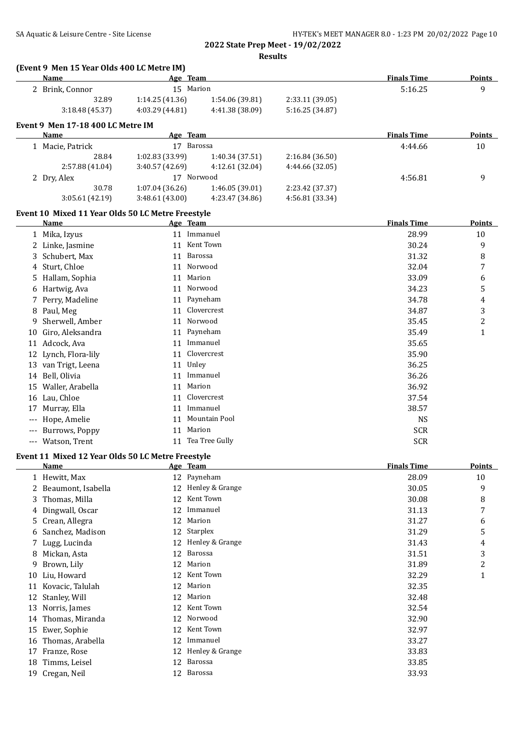|                                            |  | HY-TEK's MEET MANAGER 8.0 - 1:23 PM 20/02/2022 Page 10<br>$0.00000 \cdot \cdot \cdot \cdot$ $0.1000000$ |
|--------------------------------------------|--|---------------------------------------------------------------------------------------------------------|
| SA Aquatic & Leisure Centre - Site License |  |                                                                                                         |

|    | <b>Name</b>                                       | Age Team        |                         |                 | <b>Finals Time</b> | <b>Points</b> |
|----|---------------------------------------------------|-----------------|-------------------------|-----------------|--------------------|---------------|
|    | 2 Brink, Connor                                   |                 | 15 Marion               |                 | 5:16.25            | 9             |
|    | 32.89                                             | 1:14.25 (41.36) | 1:54.06 (39.81)         | 2:33.11 (39.05) |                    |               |
|    | 3:18.48 (45.37)                                   | 4:03.29 (44.81) | 4:41.38 (38.09)         | 5:16.25 (34.87) |                    |               |
|    | Event 9 Men 17-18 400 LC Metre IM                 |                 |                         |                 |                    |               |
|    | Name                                              | Age Team        |                         |                 | <b>Finals Time</b> | <b>Points</b> |
|    | 1 Macie, Patrick                                  |                 | 17 Barossa              |                 | 4:44.66            | 10            |
|    | 28.84                                             | 1:02.83 (33.99) | 1:40.34 (37.51)         | 2:16.84(36.50)  |                    |               |
|    | 2:57.88 (41.04)                                   | 3:40.57 (42.69) | 4:12.61 (32.04)         | 4:44.66 (32.05) |                    |               |
|    | 2 Dry, Alex                                       |                 | 17 Norwood              |                 | 4:56.81            | 9             |
|    | 30.78                                             | 1:07.04 (36.26) | 1:46.05 (39.01)         | 2:23.42 (37.37) |                    |               |
|    | 3:05.61 (42.19)                                   | 3:48.61 (43.00) | 4:23.47 (34.86)         | 4:56.81 (33.34) |                    |               |
|    | Event 10 Mixed 11 Year Olds 50 LC Metre Freestyle |                 |                         |                 | <b>Finals Time</b> | Points        |
|    | Name<br>1 Mika, Izyus                             | Age Team        | 11 Immanuel             |                 | 28.99              | 10            |
|    | 2 Linke, Jasmine                                  |                 | 11 Kent Town            |                 | 30.24              | 9             |
|    |                                                   |                 | 11 Barossa              |                 |                    |               |
|    | 3 Schubert, Max                                   |                 |                         |                 | 31.32              | 8             |
|    | 4 Sturt, Chloe                                    |                 | 11 Norwood<br>11 Marion |                 | 32.04              | 7             |
|    | 5 Hallam, Sophia                                  |                 |                         |                 | 33.09              | 6             |
|    | 6 Hartwig, Ava                                    |                 | 11 Norwood              |                 | 34.23              | 5             |
|    | 7 Perry, Madeline                                 |                 | 11 Payneham             |                 | 34.78              | 4             |
|    | 8 Paul, Meg                                       |                 | 11 Clovercrest          |                 | 34.87              | 3             |
| 9  | Sherwell, Amber                                   |                 | 11 Norwood              |                 | 35.45              | 2             |
|    | 10 Giro, Aleksandra                               |                 | 11 Payneham             |                 | 35.49              | $\mathbf{1}$  |
|    | 11 Adcock, Ava                                    |                 | 11 Immanuel             |                 | 35.65              |               |
|    | 12 Lynch, Flora-lily                              |                 | 11 Clovercrest          |                 | 35.90              |               |
|    | 13 van Trigt, Leena                               |                 | 11 Unley                |                 | 36.25              |               |
|    | 14 Bell, Olivia                                   |                 | 11 Immanuel             |                 | 36.26              |               |
|    | 15 Waller, Arabella                               |                 | 11 Marion               |                 | 36.92              |               |
|    | 16 Lau, Chloe                                     |                 | 11 Clovercrest          |                 | 37.54              |               |
| 17 | Murray, Ella                                      |                 | 11 Immanuel             |                 | 38.57              |               |
|    | Hope, Amelie                                      |                 | 11 Mountain Pool        |                 | <b>NS</b>          |               |
|    | --- Burrows, Poppy                                |                 | 11 Marion               |                 | <b>SCR</b>         |               |
|    | --- Watson, Trent                                 |                 | 11 Tea Tree Gully       |                 | <b>SCR</b>         |               |
|    | Event 11 Mixed 12 Year Olds 50 LC Metre Freestyle |                 |                         |                 |                    |               |
|    | Name                                              | Age Team        |                         |                 | <b>Finals Time</b> | <b>Points</b> |
|    | 1 Hewitt, Max                                     |                 | 12 Payneham             |                 | 28.09              | 10            |
|    | 2 Beaumont, Isabella                              |                 | 12 Henley & Grange      |                 | 30.05              | 9             |
| 3  | Thomas, Milla                                     | 12              | Kent Town               |                 | 30.08              | 8             |
| 4  | Dingwall, Oscar                                   | 12              | Immanuel                |                 | 31.13              | 7             |
| 5  | Crean, Allegra                                    | 12              | Marion                  |                 | 31.27              | 6             |
| 6  | Sanchez, Madison                                  |                 | 12 Starplex             |                 | 31.29              | 5             |
|    | 7 Lugg, Lucinda                                   |                 | 12 Henley & Grange      |                 | 31.43              | 4             |
|    | 8 Mickan, Asta                                    |                 | 12 Barossa              |                 | 31.51              | 3             |
| 9  | Brown, Lily                                       |                 | 12 Marion               |                 | 31.89              | 2             |
| 10 | Liu, Howard                                       |                 | 12 Kent Town            |                 | 32.29              | 1             |
|    | 11 Kovacic, Talulah                               |                 | 12 Marion               |                 | 32.35              |               |
|    | 12 Stanley, Will                                  |                 | 12 Marion               |                 | 32.48              |               |
|    | 13 Norris, James                                  |                 | 12 Kent Town            |                 | 32.54              |               |
|    | 14 Thomas, Miranda                                |                 | 12 Norwood              |                 | 32.90              |               |
|    | 15 Ewer, Sophie                                   |                 | 12 Kent Town            |                 | 32.97              |               |
|    | 16 Thomas, Arabella                               |                 | 12 Immanuel             |                 | 33.27              |               |
|    | 17 Franze, Rose                                   |                 | 12 Henley & Grange      |                 | 33.83              |               |
|    |                                                   |                 |                         |                 |                    |               |
|    | 18 Timms, Leisel                                  |                 | 12 Barossa              |                 | 33.85              |               |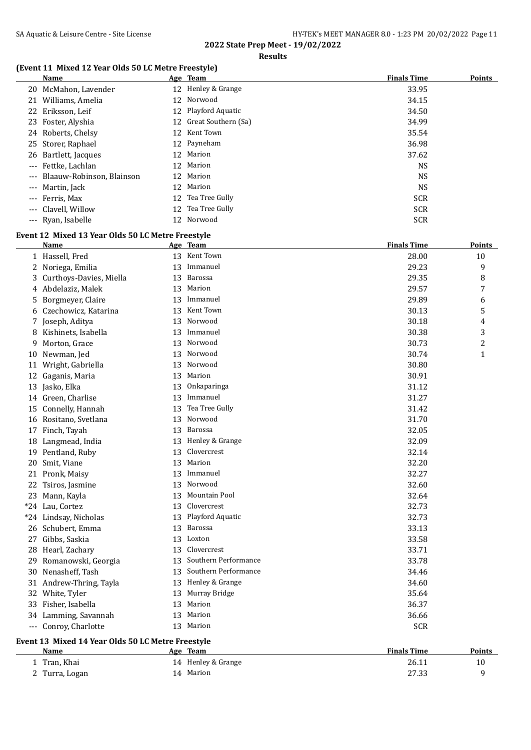## **Results**

## **(Event 11 Mixed 12 Year Olds 50 LC Metre Freestyle)**

| <b>Name</b>                   |    | Age Team               | <b>Finals Time</b> | <b>Points</b> |
|-------------------------------|----|------------------------|--------------------|---------------|
| 20 McMahon, Lavender          |    | 12 Henley & Grange     | 33.95              |               |
| 21 Williams, Amelia           |    | 12 Norwood             | 34.15              |               |
| 22 Eriksson, Leif             |    | 12 Playford Aquatic    | 34.50              |               |
| 23 Foster, Alyshia            |    | 12 Great Southern (Sa) | 34.99              |               |
| 24 Roberts, Chelsy            |    | 12 Kent Town           | 35.54              |               |
| 25 Storer, Raphael            |    | 12 Payneham            | 36.98              |               |
| 26 Bartlett, Jacques          | 12 | Marion                 | 37.62              |               |
| --- Fettke, Lachlan           |    | 12 Marion              | NS                 |               |
| --- Blaauw-Robinson, Blainson |    | 12 Marion              | NS                 |               |
| --- Martin, Jack              | 12 | Marion                 | NS                 |               |
| --- Ferris, Max               |    | 12 Tea Tree Gully      | <b>SCR</b>         |               |
| --- Clavell, Willow           |    | 12 Tea Tree Gully      | <b>SCR</b>         |               |
| --- Ryan, Isabelle            |    | 12 Norwood             | <b>SCR</b>         |               |

## **Event 12 Mixed 13 Year Olds 50 LC Metre Freestyle**

|    | <b>Name</b>                                       |    | Age Team                | <b>Finals Time</b> | <b>Points</b> |
|----|---------------------------------------------------|----|-------------------------|--------------------|---------------|
|    | 1 Hassell, Fred                                   |    | 13 Kent Town            | 28.00              | 10            |
|    | 2 Noriega, Emilia                                 | 13 | Immanuel                | 29.23              | 9             |
| 3  | Curthoys-Davies, Miella                           |    | 13 Barossa              | 29.35              | 8             |
|    | 4 Abdelaziz, Malek                                | 13 | Marion                  | 29.57              | 7             |
| 5. | Borgmeyer, Claire                                 | 13 | Immanuel                | 29.89              | 6             |
|    | 6 Czechowicz, Katarina                            | 13 | Kent Town               | 30.13              | 5             |
|    | 7 Joseph, Aditya                                  | 13 | Norwood                 | 30.18              | 4             |
|    | 8 Kishinets, Isabella                             | 13 | Immanuel                | 30.38              | 3             |
| 9  | Morton, Grace                                     |    | 13 Norwood              | 30.73              | 2             |
|    | 10 Newman, Jed                                    |    | 13 Norwood              | 30.74              | 1             |
|    | 11 Wright, Gabriella                              |    | 13 Norwood              | 30.80              |               |
|    | 12 Gaganis, Maria                                 | 13 | Marion                  | 30.91              |               |
|    | 13 Jasko, Elka                                    | 13 | Onkaparinga             | 31.12              |               |
|    | 14 Green, Charlise                                | 13 | Immanuel                | 31.27              |               |
|    | 15 Connelly, Hannah                               | 13 | Tea Tree Gully          | 31.42              |               |
|    | 16 Rositano, Svetlana                             | 13 | Norwood                 | 31.70              |               |
|    | 17 Finch, Tayah                                   | 13 | Barossa                 | 32.05              |               |
|    | 18 Langmead, India                                |    | 13 Henley & Grange      | 32.09              |               |
|    | 19 Pentland, Ruby                                 |    | 13 Clovercrest          | 32.14              |               |
|    | 20 Smit, Viane                                    | 13 | Marion                  | 32.20              |               |
|    | 21 Pronk, Maisy                                   |    | 13 Immanuel             | 32.27              |               |
|    | 22 Tsiros, Jasmine                                |    | 13 Norwood              | 32.60              |               |
|    | 23 Mann, Kayla                                    | 13 | Mountain Pool           | 32.64              |               |
|    | *24 Lau, Cortez                                   |    | 13 Clovercrest          | 32.73              |               |
|    | *24 Lindsay, Nicholas                             | 13 | Playford Aquatic        | 32.73              |               |
|    | 26 Schubert, Emma                                 | 13 | Barossa                 | 33.13              |               |
|    | 27 Gibbs, Saskia                                  |    | 13 Loxton               | 33.58              |               |
|    | 28 Hearl, Zachary                                 |    | 13 Clovercrest          | 33.71              |               |
|    | 29 Romanowski, Georgia                            |    | 13 Southern Performance | 33.78              |               |
|    | 30 Nenasheff, Tash                                |    | 13 Southern Performance | 34.46              |               |
|    | 31 Andrew-Thring, Tayla                           |    | 13 Henley & Grange      | 34.60              |               |
|    | 32 White, Tyler                                   | 13 | Murray Bridge           | 35.64              |               |
|    | 33 Fisher, Isabella                               | 13 | Marion                  | 36.37              |               |
|    | 34 Lamming, Savannah                              | 13 | Marion                  | 36.66              |               |
|    | --- Conroy, Charlotte                             |    | 13 Marion               | <b>SCR</b>         |               |
|    | Event 13 Mixed 14 Year Olds 50 LC Metre Freestyle |    |                         |                    |               |
|    | Name                                              |    | Age Team                | <b>Finals Time</b> | Points        |

| 1 Tran, Khai   | 14 Henley & Grange | 26.11 |  |
|----------------|--------------------|-------|--|
| 2 Turra, Logan | 14 Marion          | 27.33 |  |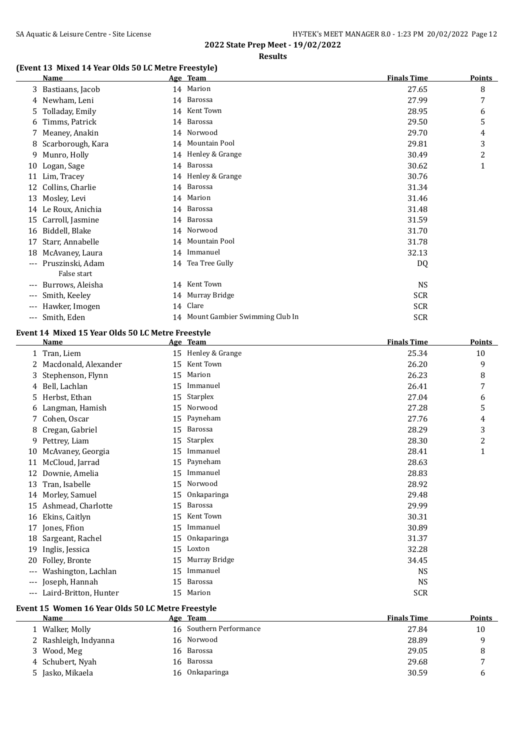#### **(Event 13 Mixed 14 Year Olds 50 LC Metre Freestyle)**

|       | Name                            | Age Team                          | <b>Finals Time</b> | <b>Points</b> |
|-------|---------------------------------|-----------------------------------|--------------------|---------------|
|       | 3 Bastiaans, Jacob              | 14 Marion                         | 27.65              | 8             |
|       | 4 Newham, Leni                  | 14 Barossa                        | 27.99              | 7             |
| 5     | Tolladay, Emily                 | 14 Kent Town                      | 28.95              | 6             |
| 6     | Timms, Patrick                  | 14 Barossa                        | 29.50              | 5             |
|       | Meaney, Anakin                  | 14 Norwood                        | 29.70              | 4             |
| 8     | Scarborough, Kara               | 14 Mountain Pool                  | 29.81              | 3             |
| 9     | Munro, Holly                    | 14 Henley & Grange                | 30.49              | 2             |
| 10    | Logan, Sage                     | 14 Barossa                        | 30.62              | $\mathbf{1}$  |
| 11    | Lim, Tracey                     | 14 Henley & Grange                | 30.76              |               |
| 12    | Collins, Charlie                | 14 Barossa                        | 31.34              |               |
| 13    | Mosley, Levi                    | 14 Marion                         | 31.46              |               |
| 14    | Le Roux, Anichia                | 14 Barossa                        | 31.48              |               |
| 15    | Carroll, Jasmine                | 14 Barossa                        | 31.59              |               |
| 16    | Biddell, Blake                  | 14 Norwood                        | 31.70              |               |
| 17    | Starr, Annabelle                | 14 Mountain Pool                  | 31.78              |               |
| 18    | McAvaney, Laura                 | 14 Immanuel                       | 32.13              |               |
| $---$ | Pruszinski, Adam<br>False start | 14 Tea Tree Gully                 | DQ                 |               |
| ---   | Burrows, Aleisha                | 14 Kent Town                      | <b>NS</b>          |               |
| $---$ | Smith, Keeley                   | 14 Murray Bridge                  | <b>SCR</b>         |               |
| $---$ | Hawker, Imogen                  | 14 Clare                          | <b>SCR</b>         |               |
| ---   | Smith, Eden                     | 14 Mount Gambier Swimming Club In | <b>SCR</b>         |               |
|       |                                 |                                   |                    |               |

## **Event 14 Mixed 15 Year Olds 50 LC Metre Freestyle**

|       | <b>Name</b>           |    | Age Team        | <b>Finals Time</b> | <b>Points</b> |
|-------|-----------------------|----|-----------------|--------------------|---------------|
| 1     | Tran, Liem            | 15 | Henley & Grange | 25.34              | 10            |
|       | Macdonald, Alexander  | 15 | Kent Town       | 26.20              | 9             |
| 3     | Stephenson, Flynn     | 15 | Marion          | 26.23              | 8             |
| 4     | Bell, Lachlan         | 15 | Immanuel        | 26.41              | 7             |
| 5     | Herbst, Ethan         | 15 | Starplex        | 27.04              | 6             |
| 6     | Langman, Hamish       | 15 | Norwood         | 27.28              | 5             |
| 7     | Cohen, Oscar          | 15 | Payneham        | 27.76              | 4             |
| 8     | Cregan, Gabriel       | 15 | Barossa         | 28.29              | 3             |
| 9     | Pettrey, Liam         | 15 | Starplex        | 28.30              | 2             |
| 10    | McAvaney, Georgia     | 15 | Immanuel        | 28.41              | 1             |
| 11    | McCloud, Jarrad       | 15 | Payneham        | 28.63              |               |
| 12    | Downie, Amelia        | 15 | Immanuel        | 28.83              |               |
| 13    | Tran, Isabelle        | 15 | Norwood         | 28.92              |               |
|       | 14 Morley, Samuel     | 15 | Onkaparinga     | 29.48              |               |
| 15    | Ashmead, Charlotte    | 15 | Barossa         | 29.99              |               |
| 16    | Ekins, Caitlyn        | 15 | Kent Town       | 30.31              |               |
| 17    | Jones, Ffion          | 15 | Immanuel        | 30.89              |               |
| 18    | Sargeant, Rachel      | 15 | Onkaparinga     | 31.37              |               |
| 19    | Inglis, Jessica       | 15 | Loxton          | 32.28              |               |
| 20    | Folley, Bronte        | 15 | Murray Bridge   | 34.45              |               |
| $---$ | Washington, Lachlan   | 15 | Immanuel        | <b>NS</b>          |               |
| $---$ | Joseph, Hannah        | 15 | Barossa         | <b>NS</b>          |               |
| $---$ | Laird-Britton, Hunter | 15 | Marion          | <b>SCR</b>         |               |

## **Event 15 Women 16 Year Olds 50 LC Metre Freestyle**

| Name                  | Age Team                | <b>Finals Time</b> | Points |
|-----------------------|-------------------------|--------------------|--------|
| 1 Walker, Molly       | 16 Southern Performance | 27.84              | 10     |
| 2 Rashleigh, Indyanna | 16 Norwood              | 28.89              | Q      |
| 3 Wood, Meg           | 16 Barossa              | 29.05              | 8      |
| 4 Schubert, Nyah      | 16 Barossa              | 29.68              |        |
| 5 Jasko, Mikaela      | Onkaparinga<br>16       | 30.59              | h      |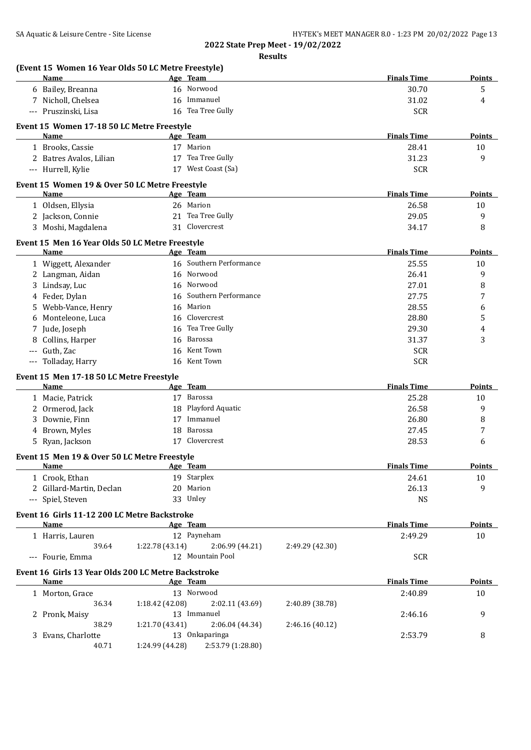| <b>Name</b>                                                        |                           | Age Team                       |                 | <b>Finals Time</b>            | <b>Points</b>       |
|--------------------------------------------------------------------|---------------------------|--------------------------------|-----------------|-------------------------------|---------------------|
| 6 Bailey, Breanna                                                  |                           | 16 Norwood                     |                 | 30.70                         | 5                   |
| 7 Nicholl, Chelsea                                                 |                           | 16 Immanuel                    |                 | 31.02                         | 4                   |
| --- Pruszinski, Lisa                                               |                           | 16 Tea Tree Gully              |                 | <b>SCR</b>                    |                     |
|                                                                    |                           |                                |                 |                               |                     |
| Event 15 Women 17-18 50 LC Metre Freestyle<br>Name                 |                           | Age Team                       |                 | <b>Finals Time</b>            | Points              |
| 1 Brooks, Cassie                                                   |                           | 17 Marion                      |                 | 28.41                         | 10                  |
| 2 Batres Avalos, Lilian                                            |                           | 17 Tea Tree Gully              |                 | 31.23                         | 9                   |
| --- Hurrell, Kylie                                                 |                           | 17 West Coast (Sa)             |                 | <b>SCR</b>                    |                     |
|                                                                    |                           |                                |                 |                               |                     |
| Event 15 Women 19 & Over 50 LC Metre Freestyle                     |                           |                                |                 |                               |                     |
| <b>Name</b>                                                        |                           | Age Team                       |                 | <b>Finals Time</b>            | <b>Points</b>       |
| 1 Oldsen, Ellysia                                                  |                           | 26 Marion                      |                 | 26.58                         | 10                  |
| 2 Jackson, Connie                                                  |                           | 21 Tea Tree Gully              |                 | 29.05                         | 9                   |
| 3 Moshi, Magdalena                                                 |                           | 31 Clovercrest                 |                 | 34.17                         | 8                   |
| Event 15 Men 16 Year Olds 50 LC Metre Freestyle                    |                           |                                |                 |                               |                     |
| <b>Name</b>                                                        |                           | Age Team                       |                 | <b>Finals Time</b>            | <b>Points</b>       |
| 1 Wiggett, Alexander                                               |                           | 16 Southern Performance        |                 | 25.55                         | 10                  |
| 2 Langman, Aidan                                                   |                           | 16 Norwood                     |                 | 26.41                         | 9                   |
| 3 Lindsay, Luc                                                     |                           | 16 Norwood                     |                 | 27.01                         | 8                   |
| 4 Feder, Dylan                                                     |                           | 16 Southern Performance        |                 | 27.75                         | 7                   |
| 5 Webb-Vance, Henry                                                |                           | 16 Marion                      |                 | 28.55                         | 6                   |
| 6 Monteleone, Luca                                                 |                           | 16 Clovercrest                 |                 | 28.80                         | 5                   |
| 7 Jude, Joseph                                                     |                           | 16 Tea Tree Gully              |                 | 29.30                         | 4                   |
| 8 Collins, Harper                                                  |                           | 16 Barossa                     |                 | 31.37                         | 3                   |
| --- Guth, Zac                                                      |                           | 16 Kent Town                   |                 | <b>SCR</b>                    |                     |
| --- Tolladay, Harry                                                |                           | 16 Kent Town                   |                 | <b>SCR</b>                    |                     |
| Event 15 Men 17-18 50 LC Metre Freestyle                           |                           |                                |                 |                               |                     |
| Name                                                               |                           | Age Team                       |                 | <b>Finals Time</b>            | <b>Points</b>       |
| 1 Macie, Patrick                                                   |                           | 17 Barossa                     |                 | 25.28                         | 10                  |
| 2 Ormerod, Jack                                                    |                           | 18 Playford Aquatic            |                 | 26.58                         | 9                   |
| 3 Downie, Finn                                                     |                           | 17 Immanuel                    |                 | 26.80                         | 8                   |
| 4 Brown, Myles                                                     |                           | 18 Barossa                     |                 | 27.45                         | 7                   |
| 5 Ryan, Jackson                                                    |                           | 17 Clovercrest                 |                 |                               |                     |
|                                                                    |                           |                                |                 |                               |                     |
|                                                                    |                           |                                |                 | 28.53                         | 6                   |
| Event 15 Men 19 & Over 50 LC Metre Freestyle                       |                           |                                |                 |                               |                     |
| <u>Name</u>                                                        |                           | <u>Age Team</u>                |                 | <b>Finals Time</b>            | <u>Points</u>       |
| 1 Crook, Ethan                                                     |                           | 19 Starplex                    |                 | 24.61                         | 10                  |
| 2 Gillard-Martin, Declan                                           |                           | 20 Marion                      |                 | 26.13                         | 9                   |
| --- Spiel, Steven                                                  |                           | 33 Unley                       |                 | <b>NS</b>                     |                     |
| Event 16 Girls 11-12 200 LC Metre Backstroke                       |                           |                                |                 |                               |                     |
| Name                                                               |                           | Age Team                       |                 | <b>Finals Time</b>            | <b>Points</b>       |
| 1 Harris, Lauren                                                   |                           | 12 Payneham                    |                 | 2:49.29                       | 10                  |
|                                                                    | 39.64 1:22.78 (43.14)     | 2:06.99 (44.21)                | 2:49.29 (42.30) |                               |                     |
| --- Fourie, Emma                                                   |                           | 12 Mountain Pool               |                 | <b>SCR</b>                    |                     |
|                                                                    |                           |                                |                 |                               |                     |
| Event 16 Girls 13 Year Olds 200 LC Metre Backstroke<br><b>Name</b> |                           |                                |                 |                               |                     |
|                                                                    | <b>Example 2</b> Age Team | 13 Norwood                     |                 | <b>Finals Time</b><br>2:40.89 | <b>Points</b><br>10 |
| 1 Morton, Grace<br>36.34                                           |                           |                                |                 |                               |                     |
|                                                                    | 1:18.42(42.08)            | 2:02.11 (43.69)<br>13 Immanuel | 2:40.89 (38.78) |                               | 9                   |
| 2 Pronk, Maisy<br>38.29                                            | 1:21.70(43.41)            | 2:06.04 (44.34)                | 2:46.16(40.12)  | 2:46.16                       |                     |
| 3 Evans, Charlotte                                                 |                           | 13 Onkaparinga                 |                 | 2:53.79                       | 8                   |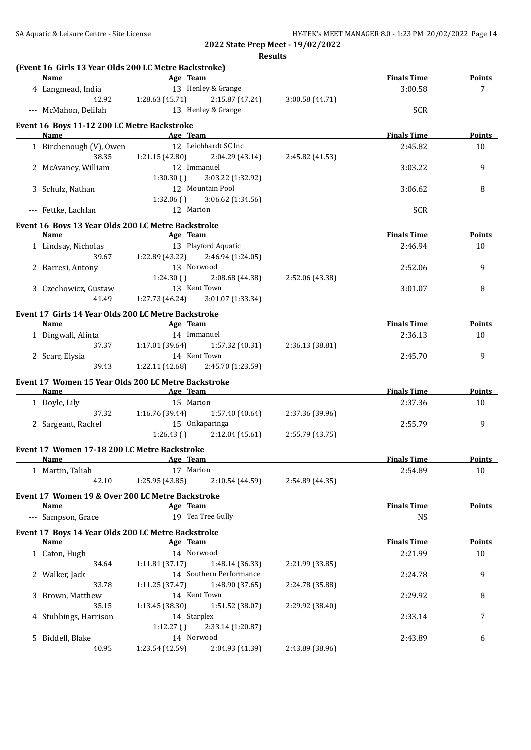|                 | 4 Langmead, India<br>--- McMahon, Delilah           |                                                                                                                               | Name Age Team<br>13 Henley & Grange   |                 | <b>Finals Time</b><br>3:00.58 | Points<br>7   |
|-----------------|-----------------------------------------------------|-------------------------------------------------------------------------------------------------------------------------------|---------------------------------------|-----------------|-------------------------------|---------------|
|                 |                                                     |                                                                                                                               |                                       |                 |                               |               |
|                 |                                                     |                                                                                                                               | 42.92 1:28.63 (45.71) 2:15.87 (47.24) | 3:00.58 (44.71) |                               |               |
|                 |                                                     |                                                                                                                               | 13 Henley & Grange                    |                 | <b>SCR</b>                    |               |
|                 | Event 16 Boys 11-12 200 LC Metre Backstroke         |                                                                                                                               |                                       |                 |                               |               |
|                 | Name Age Team                                       |                                                                                                                               |                                       |                 | <b>Finals Time</b>            | Points        |
|                 | 1 Birchenough (V), Owen                             |                                                                                                                               | 12 Leichhardt SC Inc                  |                 | 2:45.82                       | 10            |
|                 | 38.35                                               |                                                                                                                               | $1:21.15(42.80)$ $2:04.29(43.14)$     | 2:45.82 (41.53) |                               |               |
|                 | 2 McAvaney, William                                 | 12 Immanuel                                                                                                                   |                                       |                 | 3:03.22                       | 9             |
|                 |                                                     | 1:30.30()                                                                                                                     | 3:03.22 (1:32.92)                     |                 |                               |               |
|                 | 3 Schulz, Nathan                                    |                                                                                                                               | 12 Mountain Pool                      |                 | 3:06.62                       | 8             |
|                 |                                                     | 1:32.06(                                                                                                                      | 3:06.62 (1:34.56)                     |                 |                               |               |
|                 | --- Fettke, Lachlan                                 | 12 Marion                                                                                                                     |                                       |                 | <b>SCR</b>                    |               |
|                 | Event 16 Boys 13 Year Olds 200 LC Metre Backstroke  |                                                                                                                               |                                       |                 |                               |               |
| Name            |                                                     | <b>Example 2018</b> Age Team                                                                                                  |                                       |                 | <b>Finals Time</b>            | <b>Points</b> |
|                 | 1 Lindsay, Nicholas                                 |                                                                                                                               | 13 Playford Aquatic                   |                 | 2:46.94                       | 10            |
|                 | 39.67                                               | 1:22.89 (43.22)                                                                                                               | 2:46.94 (1:24.05)                     |                 |                               |               |
|                 | 2 Barresi, Antony                                   | 13 Norwood                                                                                                                    |                                       |                 | 2:52.06                       | 9             |
|                 |                                                     | 1:24.30()                                                                                                                     | 2:08.68 (44.38)                       | 2:52.06 (43.38) |                               |               |
|                 | 3 Czechowicz, Gustaw                                |                                                                                                                               | 13 Kent Town                          |                 | 3:01.07                       | 8             |
|                 | 41.49                                               | 1:27.73 (46.24)                                                                                                               | 3:01.07 (1:33.34)                     |                 |                               |               |
|                 |                                                     |                                                                                                                               |                                       |                 |                               |               |
| Name            | Event 17 Girls 14 Year Olds 200 LC Metre Backstroke |                                                                                                                               |                                       |                 | <b>Finals Time</b>            | Points        |
|                 |                                                     | and the same state of the same state of the same state of the same state of the same state of the same state o<br>14 Immanuel |                                       |                 |                               |               |
|                 | 1 Dingwall, Alinta<br>37.37                         |                                                                                                                               | $1:17.01(39.64)$ $1:57.32(40.31)$     |                 | 2:36.13                       | 10            |
| 2 Scarr, Elysia |                                                     |                                                                                                                               | 14 Kent Town                          | 2:36.13 (38.81) | 2:45.70                       | 9             |
|                 | 39.43                                               |                                                                                                                               | 1:22.11 (42.68) 2:45.70 (1:23.59)     |                 |                               |               |
|                 |                                                     |                                                                                                                               |                                       |                 |                               |               |
|                 | Event 17 Women 15 Year Olds 200 LC Metre Backstroke |                                                                                                                               |                                       |                 |                               |               |
|                 | Name Age Team                                       |                                                                                                                               |                                       |                 | <b>Finals Time</b>            | <b>Points</b> |
| 1 Doyle, Lily   |                                                     | 15 Marion                                                                                                                     |                                       |                 | 2:37.36                       | 10            |
|                 | 37.32                                               |                                                                                                                               | $1:16.76(39.44)$ $1:57.40(40.64)$     | 2:37.36 (39.96) |                               |               |
|                 | 2 Sargeant, Rachel                                  | 15 Onkaparinga                                                                                                                |                                       |                 | 2:55.79                       | 9             |
|                 |                                                     | 1:26.43()                                                                                                                     | 2:12.04(45.61)                        | 2:55.79 (43.75) |                               |               |
|                 | Event 17 Women 17-18 200 LC Metre Backstroke        |                                                                                                                               |                                       |                 |                               |               |
| <u>Name</u>     |                                                     | Age Team                                                                                                                      |                                       |                 | <b>Finals Time</b>            | <u>Points</u> |
|                 | 1 Martin, Taliah                                    | 17 Marion                                                                                                                     |                                       |                 | 2:54.89                       | 10            |
|                 | 42.10                                               | 1:25.95 (43.85)                                                                                                               | 2:10.54 (44.59)                       | 2:54.89 (44.35) |                               |               |
|                 | Event 17 Women 19 & Over 200 LC Metre Backstroke    |                                                                                                                               |                                       |                 |                               |               |
| Name            |                                                     | Age Team                                                                                                                      |                                       |                 | <b>Finals Time</b>            | <b>Points</b> |
|                 | --- Sampson, Grace                                  |                                                                                                                               | 19 Tea Tree Gully                     |                 | <b>NS</b>                     |               |
|                 |                                                     |                                                                                                                               |                                       |                 |                               |               |
| Name            | Event 17 Boys 14 Year Olds 200 LC Metre Backstroke  | Age Team                                                                                                                      |                                       |                 | <b>Finals Time</b>            | <b>Points</b> |
| 1 Caton, Hugh   |                                                     | 14 Norwood                                                                                                                    |                                       |                 | 2:21.99                       | $10\,$        |
|                 | 34.64                                               | 1:11.81(37.17)                                                                                                                | 1:48.14 (36.33)                       | 2:21.99 (33.85) |                               |               |
|                 |                                                     |                                                                                                                               | 14 Southern Performance               |                 | 2:24.78                       | 9             |
| 2 Walker, Jack  | 33.78                                               | 1:11.25 (37.47)                                                                                                               | 1:48.90 (37.65)                       | 2:24.78 (35.88) |                               |               |
|                 | 3 Brown, Matthew                                    |                                                                                                                               | 14 Kent Town                          |                 | 2:29.92                       | 8             |
|                 | 35.15                                               | 1:13.45(38.30)                                                                                                                | 1:51.52 (38.07)                       | 2:29.92 (38.40) |                               |               |
|                 | 4 Stubbings, Harrison                               | 14 Starplex                                                                                                                   |                                       |                 | 2:33.14                       | 7             |
|                 |                                                     | 1:12.27()                                                                                                                     | 2:33.14 (1:20.87)                     |                 |                               |               |
|                 | 5 Biddell, Blake                                    | 14 Norwood                                                                                                                    |                                       |                 | 2:43.89                       | 6             |
|                 | 40.95                                               | 1:23.54 (42.59)                                                                                                               | 2:04.93 (41.39)                       | 2:43.89 (38.96) |                               |               |
|                 |                                                     |                                                                                                                               |                                       |                 |                               |               |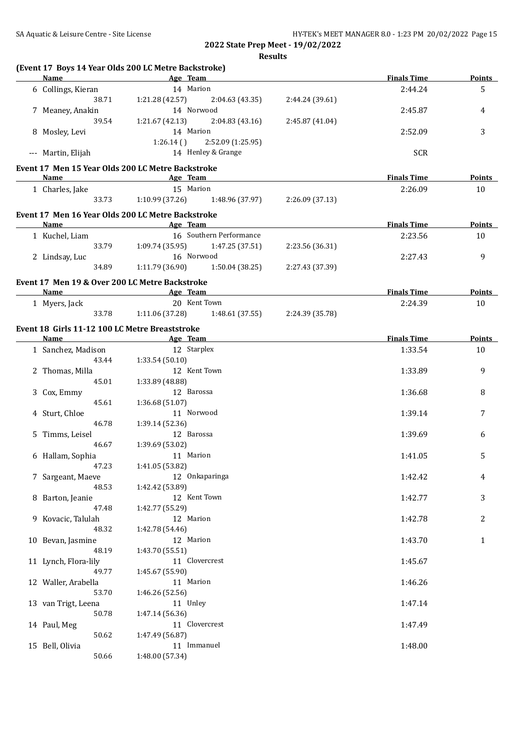| (Event 17 Boys 14 Year Olds 200 LC Metre Backstroke)<br>Name Age Team |                                                          |                                   |                 | <b>Finals Time</b> | <b>Points</b> |
|-----------------------------------------------------------------------|----------------------------------------------------------|-----------------------------------|-----------------|--------------------|---------------|
| 6 Collings, Kieran                                                    | 14 Marion                                                |                                   |                 | 2:44.24            | 5             |
| 38.71                                                                 | 1:21.28 (42.57)                                          | 2:04.63 (43.35)                   | 2:44.24 (39.61) |                    |               |
| 7 Meaney, Anakin                                                      | 14 Norwood                                               |                                   |                 | 2:45.87            | 4             |
| 39.54                                                                 | 1:21.67 (42.13)                                          | 2:04.83(43.16)                    | 2:45.87 (41.04) |                    |               |
| 8 Mosley, Levi                                                        | 14 Marion                                                |                                   |                 | 2:52.09            | 3             |
|                                                                       |                                                          | $1:26.14$ () $2:52.09$ (1:25.95)  |                 |                    |               |
| --- Martin, Elijah                                                    |                                                          | 14 Henley & Grange                |                 | <b>SCR</b>         |               |
| Event 17 Men 15 Year Olds 200 LC Metre Backstroke                     |                                                          |                                   |                 |                    |               |
| Name                                                                  | <b>Example 2</b> Age Team                                |                                   |                 | <b>Finals Time</b> | <b>Points</b> |
| 1 Charles, Jake                                                       | 15 Marion                                                |                                   |                 | 2:26.09            | 10            |
| 33.73                                                                 |                                                          | $1:10.99(37.26)$ $1:48.96(37.97)$ | 2:26.09 (37.13) |                    |               |
| Event 17 Men 16 Year Olds 200 LC Metre Backstroke                     |                                                          |                                   |                 |                    |               |
| <b>Name</b>                                                           | Age Team<br>the control of the control of the control of |                                   |                 | <b>Finals Time</b> | Points        |
| 1 Kuchel, Liam                                                        |                                                          | 16 Southern Performance           |                 | 2:23.56            | 10            |
| 33.79                                                                 | 1:09.74(35.95)                                           | 1:47.25 (37.51)                   | 2:23.56 (36.31) |                    |               |
| 2 Lindsay, Luc                                                        | 16 Norwood                                               |                                   |                 | 2:27.43            | 9             |
| 34.89                                                                 | 1:11.79(36.90)                                           | 1:50.04(38.25)                    | 2:27.43 (37.39) |                    |               |
|                                                                       |                                                          |                                   |                 |                    |               |
| Event 17 Men 19 & Over 200 LC Metre Backstroke<br>Name                | <b>Example 2016</b> Age Team                             |                                   |                 | <b>Finals Time</b> | Points        |
| 1 Myers, Jack                                                         |                                                          | 20 Kent Town                      |                 | 2:24.39            | 10            |
| 33.78                                                                 |                                                          | $1:11.06(37.28)$ $1:48.61(37.55)$ | 2:24.39 (35.78) |                    |               |
|                                                                       |                                                          |                                   |                 |                    |               |
| Event 18 Girls 11-12 100 LC Metre Breaststroke                        |                                                          |                                   |                 |                    |               |
| Name Age Team                                                         |                                                          |                                   |                 | <b>Finals Time</b> | <b>Points</b> |
| 1 Sanchez, Madison                                                    | 12 Starplex                                              |                                   |                 | 1:33.54            | 10            |
| 43.44                                                                 | 1:33.54(50.10)                                           | 12 Kent Town                      |                 |                    | 9             |
| 2 Thomas, Milla<br>45.01                                              | 1:33.89 (48.88)                                          |                                   |                 | 1:33.89            |               |
| 3 Cox, Emmy                                                           | 12 Barossa                                               |                                   |                 | 1:36.68            | 8             |
| 45.61                                                                 | 1:36.68(51.07)                                           |                                   |                 |                    |               |
| 4 Sturt, Chloe                                                        | 11 Norwood                                               |                                   |                 | 1:39.14            | 7             |
| 46.78                                                                 | 1:39.14 (52.36)                                          |                                   |                 |                    |               |
| 5 Timms, Leisel                                                       | 12 Barossa                                               |                                   |                 | 1:39.69            | 6             |
| 46.67                                                                 | 1:39.69 (53.02)                                          |                                   |                 |                    |               |
| 6 Hallam, Sophia                                                      | 11 Marion                                                |                                   |                 | 1:41.05            | 5             |
| 47.23                                                                 | 1:41.05 (53.82)                                          |                                   |                 |                    |               |
| 7 Sargeant, Maeve                                                     |                                                          | 12 Onkaparinga                    |                 | 1:42.42            | 4             |
| 48.53                                                                 | 1:42.42 (53.89)                                          |                                   |                 |                    |               |
| 8 Barton, Jeanie                                                      |                                                          | 12 Kent Town                      |                 | 1:42.77            | 3             |
| 47.48                                                                 | 1:42.77 (55.29)                                          |                                   |                 |                    |               |
| 9 Kovacic, Talulah                                                    | 12 Marion                                                |                                   |                 | 1:42.78            | 2             |
| 48.32                                                                 | 1:42.78 (54.46)                                          |                                   |                 |                    |               |
| 10 Bevan, Jasmine                                                     | 12 Marion                                                |                                   |                 | 1:43.70            | $\mathbf{1}$  |
| 48.19                                                                 | 1:43.70 (55.51)                                          |                                   |                 |                    |               |
| 11 Lynch, Flora-lily                                                  |                                                          | 11 Clovercrest                    |                 | 1:45.67            |               |
| 49.77                                                                 | 1:45.67 (55.90)                                          |                                   |                 |                    |               |
| 12 Waller, Arabella                                                   | 11 Marion                                                |                                   |                 | 1:46.26            |               |
| 53.70                                                                 | 1:46.26 (52.56)                                          |                                   |                 |                    |               |
| 13 van Trigt, Leena                                                   | 11 Unley                                                 |                                   |                 | 1:47.14            |               |
| 50.78                                                                 | 1:47.14 (56.36)                                          |                                   |                 |                    |               |
| 14 Paul, Meg                                                          |                                                          | 11 Clovercrest                    |                 | 1:47.49            |               |
| 50.62                                                                 | 1:47.49 (56.87)                                          |                                   |                 |                    |               |
| 15 Bell, Olivia                                                       |                                                          | 11 Immanuel                       |                 | 1:48.00            |               |
|                                                                       |                                                          |                                   |                 |                    |               |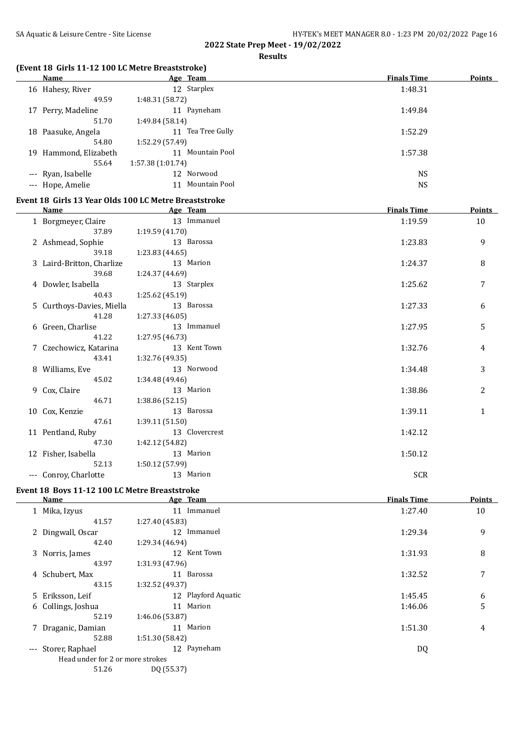## **Results**

## **(Event 18 Girls 11-12 100 LC Metre Breaststroke)**

|    | Name               | Age Team         |                  | <b>Finals Time</b> | <b>Points</b> |
|----|--------------------|------------------|------------------|--------------------|---------------|
|    | 16 Hahesy, River   |                  | 12 Starplex      | 1:48.31            |               |
|    | 49.59              | 1:48.31 (58.72)  |                  |                    |               |
| 17 | Perry, Madeline    |                  | 11 Payneham      | 1:49.84            |               |
|    | 51.70              | 1:49.84(58.14)   |                  |                    |               |
| 18 | Paasuke, Angela    | 11               | Tea Tree Gully   | 1:52.29            |               |
|    | 54.80              | 1:52.29 (57.49)  |                  |                    |               |
| 19 | Hammond, Elizabeth |                  | 11 Mountain Pool | 1:57.38            |               |
|    | 55.64              | 1:57.38(1:01.74) |                  |                    |               |
|    | --- Ryan, Isabelle |                  | 12 Norwood       | <b>NS</b>          |               |
|    | --- Hope, Amelie   |                  | 11 Mountain Pool | <b>NS</b>          |               |

#### **Event 18 Girls 13 Year Olds 100 LC Metre Breaststroke**

| Name                      |                 | Age Team       | <b>Finals Time</b> | <b>Points</b> |
|---------------------------|-----------------|----------------|--------------------|---------------|
| 1 Borgmeyer, Claire       |                 | 13 Immanuel    | 1:19.59            | 10            |
| 37.89                     | 1:19.59 (41.70) |                |                    |               |
| 2 Ashmead, Sophie         |                 | 13 Barossa     | 1:23.83            | 9             |
| 39.18                     | 1:23.83 (44.65) |                |                    |               |
| 3 Laird-Britton, Charlize |                 | 13 Marion      | 1:24.37            | 8             |
| 39.68                     | 1:24.37 (44.69) |                |                    |               |
| 4 Dowler, Isabella        |                 | 13 Starplex    | 1:25.62            | 7             |
| 40.43                     | 1:25.62 (45.19) |                |                    |               |
| 5 Curthoys-Davies, Miella |                 | 13 Barossa     | 1:27.33            | 6             |
| 41.28                     | 1:27.33(46.05)  |                |                    |               |
| 6 Green, Charlise         |                 | 13 Immanuel    | 1:27.95            | 5             |
| 41.22                     | 1:27.95 (46.73) |                |                    |               |
| 7 Czechowicz, Katarina    |                 | 13 Kent Town   | 1:32.76            | 4             |
| 43.41                     | 1:32.76 (49.35) |                |                    |               |
| 8 Williams, Eve           |                 | 13 Norwood     | 1:34.48            | 3             |
| 45.02                     | 1:34.48(49.46)  |                |                    |               |
| 9 Cox, Claire             |                 | 13 Marion      | 1:38.86            | 2             |
| 46.71                     | 1:38.86(52.15)  |                |                    |               |
| 10 Cox, Kenzie            |                 | 13 Barossa     | 1:39.11            | $\mathbf{1}$  |
| 47.61                     | 1:39.11(51.50)  |                |                    |               |
| 11 Pentland, Ruby         |                 | 13 Clovercrest | 1:42.12            |               |
| 47.30                     | 1:42.12 (54.82) |                |                    |               |
| 12 Fisher, Isabella       |                 | 13 Marion      | 1:50.12            |               |
| 52.13                     | 1:50.12 (57.99) |                |                    |               |
| --- Conroy, Charlotte     |                 | 13 Marion      | <b>SCR</b>         |               |
|                           |                 |                |                    |               |

#### **Event 18 Boys 11-12 100 LC Metre Breaststroke**

| Name                             | Age Team            | <b>Finals Time</b> | <b>Points</b> |
|----------------------------------|---------------------|--------------------|---------------|
| 1 Mika, Izyus                    | Immanuel<br>11      | 1:27.40            | 10            |
| 41.57                            | 1:27.40 (45.83)     |                    |               |
| 2 Dingwall, Oscar                | 12 Immanuel         | 1:29.34            | 9             |
| 42.40                            | 1:29.34 (46.94)     |                    |               |
| 3 Norris, James                  | 12 Kent Town        | 1:31.93            | 8             |
| 43.97                            | 1:31.93 (47.96)     |                    |               |
| 4 Schubert, Max                  | 11 Barossa          | 1:32.52            | 7             |
| 43.15                            | 1:32.52 (49.37)     |                    |               |
| 5 Eriksson, Leif                 | 12 Playford Aquatic | 1:45.45            | 6             |
| 6 Collings, Joshua               | Marion<br>11        | 1:46.06            | 5             |
| 52.19                            | 1:46.06 (53.87)     |                    |               |
| 7 Draganic, Damian               | 11 Marion           | 1:51.30            | 4             |
| 52.88                            | 1:51.30 (58.42)     |                    |               |
| --- Storer, Raphael              | 12 Payneham         | DQ                 |               |
| Head under for 2 or more strokes |                     |                    |               |
| 51.26                            | DQ (55.37)          |                    |               |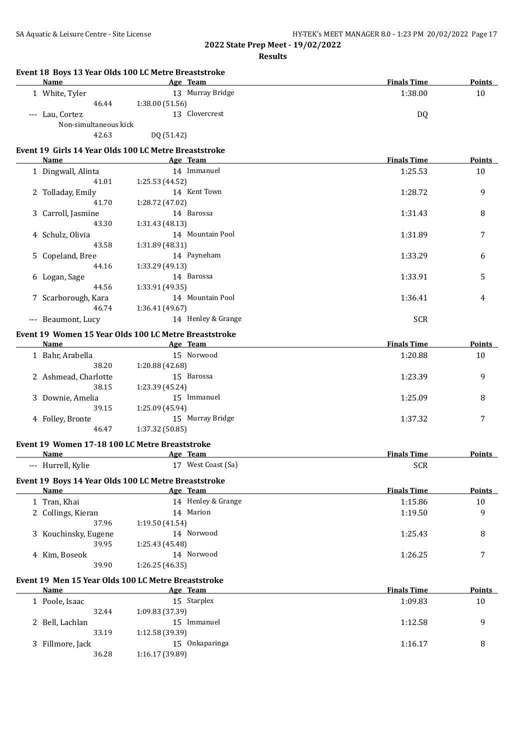|   | Name                  | Event 18 Boys 13 Year Olds 100 LC Metre Breaststroke<br>Age Team | <b>Finals Time</b> | Points        |
|---|-----------------------|------------------------------------------------------------------|--------------------|---------------|
|   | 1 White, Tyler        | 13 Murray Bridge                                                 | 1:38.00            | 10            |
|   | 46.44                 | 1:38.00 (51.56)                                                  |                    |               |
|   | --- Lau, Cortez       | 13 Clovercrest                                                   | DQ                 |               |
|   | Non-simultaneous kick |                                                                  |                    |               |
|   | 42.63                 | DQ (51.42)                                                       |                    |               |
|   |                       | Event 19 Girls 14 Year Olds 100 LC Metre Breaststroke            |                    |               |
|   | Name                  | Age Team                                                         | <b>Finals Time</b> | Points        |
|   | 1 Dingwall, Alinta    | 14 Immanuel                                                      | 1:25.53            | 10            |
|   | 41.01                 | 1:25.53 (44.52)                                                  |                    |               |
|   | 2 Tolladay, Emily     | 14 Kent Town                                                     | 1:28.72            | 9             |
|   | 41.70                 | 1:28.72 (47.02)                                                  |                    |               |
|   | 3 Carroll, Jasmine    | 14 Barossa                                                       | 1:31.43            | 8             |
|   | 43.30                 | 1:31.43 (48.13)                                                  |                    |               |
|   | 4 Schulz, Olivia      | 14 Mountain Pool                                                 | 1:31.89            | 7             |
|   | 43.58                 | 1:31.89 (48.31)                                                  |                    |               |
|   | 5 Copeland, Bree      | 14 Payneham                                                      | 1:33.29            | 6             |
|   | 44.16                 | 1:33.29 (49.13)                                                  |                    |               |
|   | 6 Logan, Sage         | 14 Barossa                                                       | 1:33.91            | 5             |
|   | 44.56                 | 1:33.91 (49.35)                                                  |                    |               |
|   | 7 Scarborough, Kara   | 14 Mountain Pool                                                 | 1:36.41            | 4             |
|   | 46.74                 | 1:36.41 (49.67)                                                  |                    |               |
|   | --- Beaumont, Lucy    | 14 Henley & Grange                                               | <b>SCR</b>         |               |
|   |                       | Event 19 Women 15 Year Olds 100 LC Metre Breaststroke            |                    |               |
|   | Name                  | Age Team                                                         | <b>Finals Time</b> | <b>Points</b> |
|   | 1 Bahr, Arabella      | 15 Norwood                                                       | 1:20.88            | 10            |
|   | 38.20                 | 1:20.88 (42.68)                                                  |                    |               |
|   | 2 Ashmead, Charlotte  | 15 Barossa                                                       | 1:23.39            | 9             |
|   | 38.15                 | 1:23.39 (45.24)                                                  |                    |               |
|   | 3 Downie, Amelia      | 15 Immanuel                                                      | 1:25.09            | 8             |
|   | 39.15                 | 1:25.09 (45.94)                                                  |                    |               |
|   | 4 Folley, Bronte      | 15 Murray Bridge                                                 | 1:37.32            | 7             |
|   | 46.47                 | 1:37.32 (50.85)                                                  |                    |               |
|   |                       | Event 19 Women 17-18 100 LC Metre Breaststroke                   |                    |               |
|   | Name                  | Age Team                                                         | <b>Finals Time</b> | Points        |
|   | --- Hurrell, Kylie    | 17 West Coast (Sa)                                               | <b>SCR</b>         |               |
|   |                       | Event 19 Boys 14 Year Olds 100 LC Metre Breaststroke             |                    |               |
|   | <b>Name</b>           | Age Team                                                         | <b>Finals Time</b> | <b>Points</b> |
|   | 1 Tran, Khai          | 14 Henley & Grange                                               | 1:15.86            | 10            |
|   | 2 Collings, Kieran    | 14 Marion                                                        | 1:19.50            | 9             |
|   | 37.96                 | 1:19.50 (41.54)                                                  |                    |               |
|   | 3 Kouchinsky, Eugene  | 14 Norwood                                                       | 1:25.43            | 8             |
|   | 39.95                 | 1:25.43 (45.48)                                                  |                    |               |
|   | 4 Kim, Boseok         | 14 Norwood                                                       | 1:26.25            | 7             |
|   | 39.90                 | 1:26.25 (46.35)                                                  |                    |               |
|   |                       | Event 19 Men 15 Year Olds 100 LC Metre Breaststroke              |                    |               |
|   | Name                  | Age Team                                                         | <b>Finals Time</b> | <b>Points</b> |
|   | 1 Poole, Isaac        | 15 Starplex                                                      | 1:09.83            | 10            |
|   | 32.44                 | 1:09.83 (37.39)                                                  |                    |               |
|   | Bell, Lachlan         | 15 Immanuel                                                      | 1:12.58            | 9             |
| 2 |                       |                                                                  |                    |               |
|   | 33.19                 | 1:12.58 (39.39)                                                  |                    |               |
| 3 | Fillmore, Jack        | 15 Onkaparinga                                                   | 1:16.17            | 8             |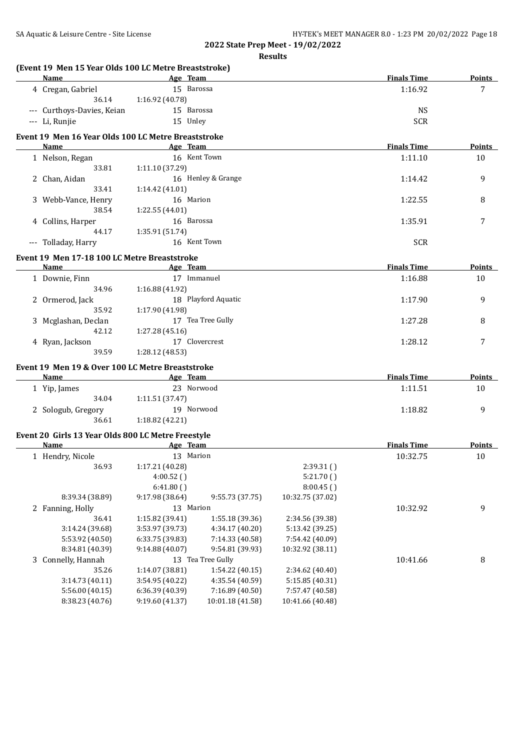| (Event 19 Men 15 Year Olds 100 LC Metre Breaststroke)      |                 |                     |                  |                    |               |
|------------------------------------------------------------|-----------------|---------------------|------------------|--------------------|---------------|
| <b>Name</b>                                                | Age Team        |                     |                  | <b>Finals Time</b> | <b>Points</b> |
| 4 Cregan, Gabriel                                          |                 | 15 Barossa          |                  | 1:16.92            | 7             |
| 36.14                                                      | 1:16.92 (40.78) |                     |                  |                    |               |
| --- Curthoys-Davies, Keian                                 |                 | 15 Barossa          |                  | <b>NS</b>          |               |
| --- Li, Runjie                                             | 15 Unley        |                     |                  | <b>SCR</b>         |               |
| Event 19 Men 16 Year Olds 100 LC Metre Breaststroke        |                 |                     |                  |                    |               |
| Name                                                       | Age Team        |                     |                  | <b>Finals Time</b> | <b>Points</b> |
| 1 Nelson, Regan                                            |                 | 16 Kent Town        |                  | 1:11.10            | 10            |
| 33.81                                                      | 1:11.10 (37.29) |                     |                  |                    |               |
| 2 Chan, Aidan                                              |                 | 16 Henley & Grange  |                  | 1:14.42            | 9             |
| 33.41                                                      | 1:14.42 (41.01) |                     |                  |                    |               |
| 3 Webb-Vance, Henry                                        |                 | 16 Marion           |                  | 1:22.55            | 8             |
| 38.54                                                      | 1:22.55 (44.01) |                     |                  |                    |               |
| 4 Collins, Harper                                          |                 | 16 Barossa          |                  | 1:35.91            | 7             |
| 44.17                                                      | 1:35.91 (51.74) |                     |                  |                    |               |
| --- Tolladay, Harry                                        |                 | 16 Kent Town        |                  | <b>SCR</b>         |               |
| Event 19 Men 17-18 100 LC Metre Breaststroke               |                 |                     |                  |                    |               |
| Name                                                       | Age Team        |                     |                  | <b>Finals Time</b> | Points        |
| 1 Downie, Finn                                             |                 | 17 Immanuel         |                  | 1:16.88            | 10            |
| 34.96                                                      | 1:16.88 (41.92) |                     |                  |                    |               |
| 2 Ormerod, Jack                                            |                 | 18 Playford Aquatic |                  | 1:17.90            | 9             |
| 35.92                                                      | 1:17.90 (41.98) |                     |                  |                    |               |
| 3 Mcglashan, Declan                                        |                 | 17 Tea Tree Gully   |                  | 1:27.28            | 8             |
| 42.12                                                      | 1:27.28 (45.16) |                     |                  |                    |               |
| 4 Ryan, Jackson                                            |                 | 17 Clovercrest      |                  | 1:28.12            | 7             |
| 39.59                                                      | 1:28.12 (48.53) |                     |                  |                    |               |
| Event 19 Men 19 & Over 100 LC Metre Breaststroke           |                 |                     |                  |                    |               |
| Name                                                       | Age Team        |                     |                  | <b>Finals Time</b> | Points        |
| 1 Yip, James                                               |                 | 23 Norwood          |                  | 1:11.51            | 10            |
| 34.04                                                      | 1:11.51 (37.47) |                     |                  |                    |               |
| 2 Sologub, Gregory                                         |                 | 19 Norwood          |                  | 1:18.82            | 9             |
| 36.61                                                      | 1:18.82 (42.21) |                     |                  |                    |               |
|                                                            |                 |                     |                  |                    |               |
| Event 20 Girls 13 Year Olds 800 LC Metre Freestyle<br>Name | Age Team        |                     |                  | <b>Finals Time</b> | <b>Points</b> |
|                                                            |                 | 13 Marion           |                  | 10:32.75           | 10            |
| 1 Hendry, Nicole                                           |                 |                     |                  |                    |               |
| 36.93                                                      | 1:17.21 (40.28) |                     | 2:39.31()        |                    |               |
|                                                            | 4:00.52()       |                     | 5:21.70()        |                    |               |
|                                                            | 6:41.80()       |                     | 8:00.45()        |                    |               |
| 8:39.34 (38.89)                                            | 9:17.98 (38.64) | 9:55.73 (37.75)     | 10:32.75 (37.02) |                    |               |
| 2 Fanning, Holly                                           |                 | 13 Marion           |                  | 10:32.92           | 9             |
| 36.41                                                      | 1:15.82 (39.41) | 1:55.18 (39.36)     | 2:34.56 (39.38)  |                    |               |
| 3:14.24 (39.68)                                            | 3:53.97 (39.73) | 4:34.17 (40.20)     | 5:13.42 (39.25)  |                    |               |
| 5:53.92 (40.50)                                            | 6:33.75 (39.83) | 7:14.33 (40.58)     | 7:54.42 (40.09)  |                    |               |
| 8:34.81 (40.39)                                            | 9:14.88 (40.07) | 9:54.81 (39.93)     | 10:32.92 (38.11) |                    |               |
| 3 Connelly, Hannah                                         |                 | 13 Tea Tree Gully   |                  | 10:41.66           | 8             |
| 35.26                                                      | 1:14.07 (38.81) | 1:54.22 (40.15)     | 2:34.62 (40.40)  |                    |               |
| 3:14.73 (40.11)                                            | 3:54.95 (40.22) | 4:35.54 (40.59)     | 5:15.85 (40.31)  |                    |               |
| 5:56.00 (40.15)                                            | 6:36.39 (40.39) | 7:16.89 (40.50)     | 7:57.47 (40.58)  |                    |               |
| 8:38.23 (40.76)                                            | 9:19.60 (41.37) | 10:01.18 (41.58)    | 10:41.66 (40.48) |                    |               |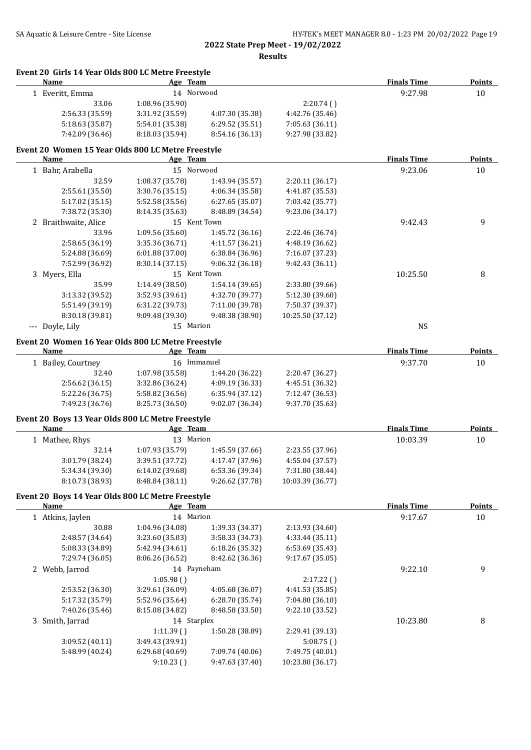| Name                                                              | Age Team        |                 |                                    | <b>Finals Time</b> | <b>Points</b> |
|-------------------------------------------------------------------|-----------------|-----------------|------------------------------------|--------------------|---------------|
| 1 Everitt, Emma                                                   | 14 Norwood      |                 |                                    | 9:27.98            | 10            |
| 33.06                                                             | 1:08.96 (35.90) |                 | 2:20.74()                          |                    |               |
| 2:56.33 (35.59)                                                   | 3:31.92 (35.59) | 4:07.30 (35.38) | 4:42.76 (35.46)                    |                    |               |
| 5:18.63 (35.87)                                                   | 5:54.01 (35.38) | 6:29.52 (35.51) | 7:05.63 (36.11)                    |                    |               |
| 7:42.09 (36.46)                                                   | 8:18.03 (35.94) | 8:54.16 (36.13) | 9:27.98 (33.82)                    |                    |               |
| Event 20 Women 15 Year Olds 800 LC Metre Freestyle<br><b>Name</b> | Age Team        |                 |                                    | <b>Finals Time</b> | <b>Points</b> |
| 1 Bahr, Arabella                                                  | 15 Norwood      |                 |                                    | 9:23.06            | 10            |
|                                                                   |                 |                 |                                    |                    |               |
| 32.59                                                             | 1:08.37 (35.78) | 1:43.94 (35.57) | 2:20.11 (36.17)                    |                    |               |
| 2:55.61 (35.50)                                                   | 3:30.76 (35.15) | 4:06.34 (35.58) | 4:41.87 (35.53)<br>7:03.42 (35.77) |                    |               |
| 5:17.02 (35.15)                                                   | 5:52.58 (35.56) | 6:27.65 (35.07) | 9:23.06 (34.17)                    |                    |               |
| 7:38.72 (35.30)                                                   | 8:14.35 (35.63) | 8:48.89 (34.54) |                                    |                    |               |
| 2 Braithwaite, Alice                                              | 15 Kent Town    |                 |                                    | 9:42.43            | 9             |
| 33.96                                                             | 1:09.56 (35.60) | 1:45.72 (36.16) | 2:22.46 (36.74)                    |                    |               |
| 2:58.65 (36.19)                                                   | 3:35.36 (36.71) | 4:11.57 (36.21) | 4:48.19 (36.62)                    |                    |               |
| 5:24.88 (36.69)                                                   | 6:01.88 (37.00) | 6:38.84 (36.96) | 7:16.07 (37.23)                    |                    |               |
| 7:52.99 (36.92)                                                   | 8:30.14 (37.15) | 9:06.32 (36.18) | 9:42.43 (36.11)                    |                    |               |
| 3 Myers, Ella                                                     | 15 Kent Town    |                 |                                    | 10:25.50           | 8             |
| 35.99                                                             | 1:14.49 (38.50) | 1:54.14 (39.65) | 2:33.80 (39.66)                    |                    |               |
| 3:13.32 (39.52)                                                   | 3:52.93 (39.61) | 4:32.70 (39.77) | 5:12.30 (39.60)                    |                    |               |
| 5:51.49 (39.19)                                                   | 6:31.22 (39.73) | 7:11.00 (39.78) | 7:50.37 (39.37)                    |                    |               |
| 8:30.18 (39.81)                                                   | 9:09.48 (39.30) | 9:48.38 (38.90) | 10:25.50 (37.12)                   |                    |               |
| --- Doyle, Lily                                                   | 15 Marion       |                 |                                    | $_{\rm NS}$        |               |
| Event 20 Women 16 Year Olds 800 LC Metre Freestyle                |                 |                 |                                    |                    |               |
| <b>Name</b>                                                       | Age Team        |                 |                                    | <b>Finals Time</b> | <b>Points</b> |
| 1 Bailey, Courtney                                                | 16 Immanuel     |                 |                                    | 9:37.70            | 10            |
| 32.40                                                             | 1:07.98 (35.58) | 1:44.20 (36.22) | 2:20.47 (36.27)                    |                    |               |
| 2:56.62 (36.15)                                                   | 3:32.86 (36.24) | 4:09.19 (36.33) | 4:45.51 (36.32)                    |                    |               |
| 5:22.26 (36.75)                                                   | 5:58.82 (36.56) | 6:35.94 (37.12) | 7:12.47 (36.53)                    |                    |               |
| 7:49.23 (36.76)                                                   | 8:25.73 (36.50) | 9:02.07 (36.34) | 9:37.70 (35.63)                    |                    |               |
| Event 20 Boys 13 Year Olds 800 LC Metre Freestyle<br>Name         | Age Team        |                 |                                    | <b>Finals Time</b> | <b>Points</b> |
| 1 Mathee, Rhys                                                    | 13 Marion       |                 |                                    | 10:03.39           |               |
|                                                                   |                 |                 |                                    |                    | 10            |
| 32.14                                                             | 1:07.93 (35.79) | 1:45.59 (37.66) | 2:23.55 (37.96)                    |                    |               |
| 3:01.79 (38.24)                                                   | 3:39.51 (37.72) | 4:17.47 (37.96) | 4:55.04 (37.57)                    |                    |               |
| 5:34.34 (39.30)                                                   | 6:14.02 (39.68) | 6:53.36 (39.34) | 7:31.80 (38.44)                    |                    |               |
| 8:10.73 (38.93)                                                   | 8:48.84 (38.11) | 9:26.62 (37.78) | 10:03.39 (36.77)                   |                    |               |
| Event 20 Boys 14 Year Olds 800 LC Metre Freestyle<br><b>Name</b>  | Age Team        |                 |                                    | <b>Finals Time</b> | <b>Points</b> |
| 1 Atkins, Jaylen                                                  | 14 Marion       |                 |                                    | 9:17.67            | 10            |
| 30.88                                                             | 1:04.96 (34.08) | 1:39.33 (34.37) | 2:13.93 (34.60)                    |                    |               |
| 2:48.57 (34.64)                                                   | 3:23.60 (35.03) | 3:58.33 (34.73) | 4:33.44 (35.11)                    |                    |               |
| 5:08.33 (34.89)                                                   | 5:42.94 (34.61) | 6:18.26 (35.32) | 6:53.69 (35.43)                    |                    |               |
| 7:29.74 (36.05)                                                   | 8:06.26 (36.52) | 8:42.62 (36.36) | 9:17.67 (35.05)                    |                    |               |
| 2 Webb, Jarrod                                                    | 14 Payneham     |                 |                                    | 9:22.10            | 9             |
|                                                                   |                 |                 |                                    |                    |               |
|                                                                   | 1:05.98()       |                 | 2:17.22()                          |                    |               |
| 2:53.52 (36.30)                                                   | 3:29.61 (36.09) | 4:05.68 (36.07) | 4:41.53 (35.85)                    |                    |               |
| 5:17.32 (35.79)                                                   | 5:52.96 (35.64) | 6:28.70 (35.74) | 7:04.80 (36.10)                    |                    |               |
| 7:40.26 (35.46)                                                   | 8:15.08 (34.82) | 8:48.58 (33.50) | 9:22.10 (33.52)                    |                    |               |
| 3 Smith, Jarrad                                                   | 14 Starplex     |                 |                                    | 10:23.80           | 8             |
|                                                                   | 1:11.39()       | 1:50.28 (38.89) | 2:29.41 (39.13)                    |                    |               |
| 3:09.52 (40.11)                                                   | 3:49.43 (39.91) |                 | 5:08.75()                          |                    |               |
| 5:48.99 (40.24)                                                   | 6:29.68 (40.69) | 7:09.74 (40.06) | 7:49.75 (40.01)                    |                    |               |
|                                                                   | 9:10.23()       | 9:47.63 (37.40) | 10:23.80 (36.17)                   |                    |               |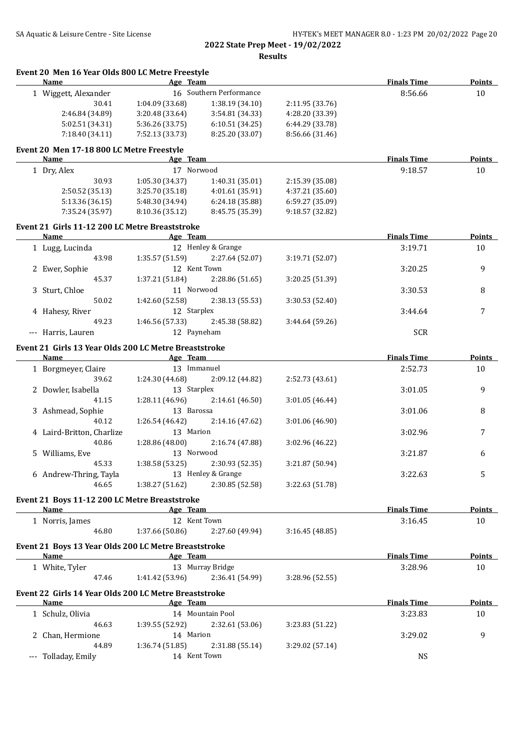**Event 20 Men 16 Year Olds 800 LC Metre Freestyle**

**Results**

| Name                                                         | Age Team                  |                         |                 | <b>Finals Time</b> | <b>Points</b> |
|--------------------------------------------------------------|---------------------------|-------------------------|-----------------|--------------------|---------------|
| 1 Wiggett, Alexander                                         |                           | 16 Southern Performance |                 | 8:56.66            | 10            |
| 30.41                                                        | 1:04.09 (33.68)           | 1:38.19(34.10)          | 2:11.95 (33.76) |                    |               |
| 2:46.84 (34.89)                                              | 3:20.48 (33.64)           | 3:54.81 (34.33)         | 4:28.20 (33.39) |                    |               |
| 5:02.51 (34.31)                                              | 5:36.26 (33.75)           | 6:10.51(34.25)          | 6:44.29 (33.78) |                    |               |
| 7:18.40(34.11)                                               | 7:52.13 (33.73)           | 8:25.20 (33.07)         | 8:56.66 (31.46) |                    |               |
| Event 20 Men 17-18 800 LC Metre Freestyle                    |                           |                         |                 |                    |               |
| Name                                                         | Age Team                  |                         |                 | <b>Finals Time</b> | Points        |
| 1 Dry, Alex                                                  | 17 Norwood                |                         |                 | 9:18.57            | 10            |
| 30.93                                                        | 1:05.30 (34.37)           | 1:40.31(35.01)          | 2:15.39 (35.08) |                    |               |
| 2:50.52 (35.13)                                              | 3:25.70(35.18)            | 4:01.61 (35.91)         | 4:37.21 (35.60) |                    |               |
| 5:13.36 (36.15)                                              | 5:48.30 (34.94)           | 6:24.18 (35.88)         | 6:59.27 (35.09) |                    |               |
| 7:35.24 (35.97)                                              | 8:10.36 (35.12)           | 8:45.75 (35.39)         | 9:18.57 (32.82) |                    |               |
| Event 21 Girls 11-12 200 LC Metre Breaststroke               |                           |                         |                 |                    |               |
| <b>Name</b>                                                  | Age Team                  |                         |                 | <b>Finals Time</b> | <b>Points</b> |
| 1 Lugg, Lucinda                                              |                           | 12 Henley & Grange      |                 | 3:19.71            | 10            |
| 43.98                                                        | 1:35.57(51.59)            | 2:27.64 (52.07)         | 3:19.71 (52.07) |                    |               |
| 2 Ewer, Sophie                                               | 12 Kent Town              |                         |                 | 3:20.25            | 9             |
| 45.37                                                        | 1:37.21(51.84)            | 2:28.86 (51.65)         | 3:20.25 (51.39) |                    |               |
| 3 Sturt, Chloe                                               | 11 Norwood                |                         |                 | 3:30.53            | 8             |
| 50.02                                                        | 1:42.60(52.58)            | 2:38.13 (55.53)         | 3:30.53 (52.40) |                    |               |
| 4 Hahesy, River                                              | 12 Starplex               |                         |                 | 3:44.64            | 7             |
| 49.23                                                        | 1:46.56(57.33)            | 2:45.38 (58.82)         | 3:44.64 (59.26) |                    |               |
| --- Harris, Lauren                                           | 12 Payneham               |                         |                 | <b>SCR</b>         |               |
|                                                              |                           |                         |                 |                    |               |
| Event 21 Girls 13 Year Olds 200 LC Metre Breaststroke        |                           |                         |                 |                    |               |
| Name                                                         | <b>Example 2</b> Age Team |                         |                 | <b>Finals Time</b> | <b>Points</b> |
| 1 Borgmeyer, Claire                                          | 13 Immanuel               |                         |                 | 2:52.73            | 10            |
| 39.62                                                        | 1:24.30 (44.68)           | 2:09.12 (44.82)         | 2:52.73 (43.61) |                    |               |
| 2 Dowler, Isabella                                           | 13 Starplex               |                         |                 | 3:01.05            | 9             |
| 41.15                                                        | 1:28.11 (46.96)           | 2:14.61 (46.50)         | 3:01.05 (46.44) |                    |               |
| 3 Ashmead, Sophie                                            | 13 Barossa                |                         |                 | 3:01.06            | 8             |
| 40.12                                                        | 1:26.54 (46.42)           | 2:14.16 (47.62)         | 3:01.06 (46.90) |                    |               |
| 4 Laird-Britton, Charlize                                    | 13 Marion                 |                         |                 | 3:02.96            | 7             |
| 40.86                                                        | 1:28.86 (48.00)           | 2:16.74 (47.88)         | 3:02.96 (46.22) |                    |               |
| 5 Williams, Eve                                              | 13 Norwood                |                         |                 | 3:21.87            | 6             |
| 45.33                                                        | 1:38.58(53.25)            | 2:30.93 (52.35)         | 3:21.87 (50.94) |                    |               |
| 6 Andrew-Thring, Tayla                                       |                           | 13 Henley & Grange      |                 | 3:22.63            | 5             |
| 46.65                                                        | 1:38.27 (51.62)           | 2:30.85 (52.58)         | 3:22.63 (51.78) |                    |               |
| Event 21 Boys 11-12 200 LC Metre Breaststroke                |                           |                         |                 |                    |               |
| Name                                                         | Age Team                  |                         |                 | <b>Finals Time</b> | <b>Points</b> |
| 1 Norris, James                                              | 12 Kent Town              |                         |                 | 3:16.45            | 10            |
| 46.80                                                        | 1:37.66(50.86)            | 2:27.60 (49.94)         | 3:16.45(48.85)  |                    |               |
|                                                              |                           |                         |                 |                    |               |
| Event 21 Boys 13 Year Olds 200 LC Metre Breaststroke<br>Name |                           |                         |                 |                    |               |
|                                                              | Age Team                  |                         |                 | <b>Finals Time</b> | <b>Points</b> |
| 1 White, Tyler                                               |                           | 13 Murray Bridge        |                 | 3:28.96            | 10            |
| 47.46                                                        | 1:41.42 (53.96)           | 2:36.41 (54.99)         | 3:28.96 (52.55) |                    |               |
| Event 22 Girls 14 Year Olds 200 LC Metre Breaststroke        |                           |                         |                 |                    |               |
| <b>Name</b>                                                  | Age Team                  |                         |                 | <b>Finals Time</b> | <b>Points</b> |
| 1 Schulz, Olivia                                             |                           | 14 Mountain Pool        |                 | 3:23.83            | 10            |
| 46.63                                                        | 1:39.55 (52.92)           | 2:32.61 (53.06)         | 3:23.83 (51.22) |                    |               |
| 2 Chan, Hermione                                             | 14 Marion                 |                         |                 | 3:29.02            | 9             |
| 44.89                                                        | 1:36.74 (51.85)           | 2:31.88 (55.14)         | 3:29.02 (57.14) |                    |               |
| --- Tolladay, Emily                                          | 14 Kent Town              |                         |                 | <b>NS</b>          |               |
|                                                              |                           |                         |                 |                    |               |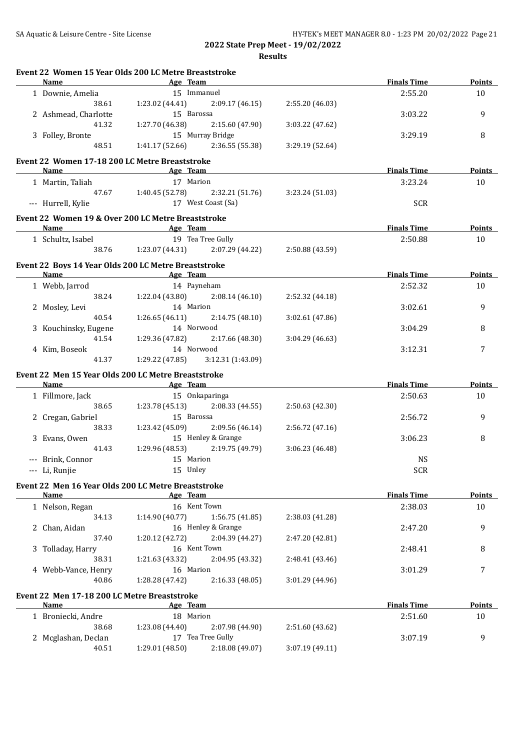|   | Name                                         | Event 22 Women 15 Year Olds 200 LC Metre Breaststroke<br>Age Team           |                 | <b>Finals Time</b> | Points        |
|---|----------------------------------------------|-----------------------------------------------------------------------------|-----------------|--------------------|---------------|
|   | 1 Downie, Amelia                             | 15 Immanuel                                                                 |                 | 2:55.20            | 10            |
|   | 38.61                                        | 1:23.02 (44.41)<br>2:09.17 (46.15)                                          | 2:55.20 (46.03) |                    |               |
|   | 2 Ashmead, Charlotte                         | 15 Barossa                                                                  |                 | 3:03.22            | 9             |
|   | 41.32                                        | 1:27.70 (46.38)<br>2:15.60 (47.90)                                          | 3:03.22 (47.62) |                    |               |
|   | 3 Folley, Bronte                             | 15 Murray Bridge                                                            |                 | 3:29.19            | 8             |
|   | 48.51                                        | 1:41.17(52.66)<br>2:36.55 (55.38)                                           | 3:29.19 (52.64) |                    |               |
|   |                                              |                                                                             |                 |                    |               |
|   | <b>Name</b>                                  | Event 22 Women 17-18 200 LC Metre Breaststroke<br><b>Example 2</b> Age Team |                 | <b>Finals Time</b> | <b>Points</b> |
|   | 1 Martin, Taliah                             | 17 Marion                                                                   |                 | 3:23.24            | 10            |
|   |                                              | 47.67 1:40.45 (52.78) 2:32.21 (51.76)                                       | 3:23.24 (51.03) |                    |               |
|   | --- Hurrell, Kylie                           | 17 West Coast (Sa)                                                          |                 | <b>SCR</b>         |               |
|   |                                              |                                                                             |                 |                    |               |
|   |                                              | Event 22 Women 19 & Over 200 LC Metre Breaststroke                          |                 |                    |               |
|   |                                              | Name Age Team                                                               |                 | <b>Finals Time</b> | <b>Points</b> |
|   | 1 Schultz, Isabel                            | 19 Tea Tree Gully                                                           |                 | 2:50.88            | 10            |
|   |                                              | 38.76 1:23.07 (44.31) 2:07.29 (44.22)                                       | 2:50.88 (43.59) |                    |               |
|   |                                              | Event 22 Boys 14 Year Olds 200 LC Metre Breaststroke                        |                 |                    |               |
|   | <b>Name</b>                                  | <b>Example 2</b> Age Team                                                   |                 | <b>Finals Time</b> | <b>Points</b> |
|   | 1 Webb, Jarrod                               | 14 Payneham                                                                 |                 | 2:52.32            | 10            |
|   | 38.24                                        | 1:22.04 (43.80)<br>2:08.14 (46.10)                                          | 2:52.32 (44.18) |                    |               |
|   | 2 Mosley, Levi                               | 14 Marion                                                                   |                 | 3:02.61            | 9             |
|   | 40.54                                        | 1:26.65(46.11)<br>2:14.75(48.10)                                            | 3:02.61 (47.86) |                    |               |
|   | 3 Kouchinsky, Eugene                         | 14 Norwood                                                                  |                 | 3:04.29            | 8             |
|   | 41.54                                        | 1:29.36 (47.82)<br>2:17.66 (48.30)                                          | 3:04.29 (46.63) |                    |               |
|   | 4 Kim, Boseok                                | 14 Norwood                                                                  |                 | 3:12.31            | 7             |
|   | 41.37                                        | 1:29.22 (47.85)<br>3:12.31(1:43.09)                                         |                 |                    |               |
|   |                                              | Event 22 Men 15 Year Olds 200 LC Metre Breaststroke                         |                 |                    |               |
|   | <b>Name</b>                                  | <b>Example 2</b> Age Team                                                   |                 | <b>Finals Time</b> | <b>Points</b> |
|   | 1 Fillmore, Jack                             | 15 Onkaparinga                                                              |                 | 2:50.63            | 10            |
|   | 38.65                                        | $1:23.78(45.13)$ $2:08.33(44.55)$                                           | 2:50.63 (42.30) |                    |               |
|   | 2 Cregan, Gabriel                            | 15 Barossa                                                                  |                 | 2:56.72            | 9             |
|   | 38.33                                        | $1:23.42$ (45.09) $2:09.56$ (46.14)                                         | 2:56.72 (47.16) |                    |               |
|   | 3 Evans, Owen                                | 15 Henley & Grange                                                          |                 | 3:06.23            | 8             |
|   | 41.43                                        | 2:19.75 (49.79)<br>1:29.96 (48.53)                                          | 3:06.23 (46.48) |                    |               |
|   | --- Brink, Connor                            | 15 Marion                                                                   |                 | <b>NS</b>          |               |
|   | --- Li, Runjie                               | 15 Unley                                                                    |                 | <b>SCR</b>         |               |
|   |                                              |                                                                             |                 |                    |               |
|   | <b>Name</b>                                  | Event 22 Men 16 Year Olds 200 LC Metre Breaststroke<br>Age Team             |                 | <b>Finals Time</b> | <b>Points</b> |
|   | 1 Nelson, Regan                              | 16 Kent Town                                                                |                 | 2:38.03            | 10            |
|   | 34.13                                        | 1:14.90 (40.77)                                                             | 2:38.03 (41.28) |                    |               |
|   | 2 Chan, Aidan                                | 1:56.75 (41.85)<br>16 Henley & Grange                                       |                 | 2:47.20            | 9             |
|   | 37.40                                        | 1:20.12 (42.72)                                                             |                 |                    |               |
|   |                                              | 2:04.39 (44.27)<br>16 Kent Town                                             | 2:47.20 (42.81) |                    | 8             |
| 3 | Tolladay, Harry<br>38.31                     | 1:21.63 (43.32)<br>2:04.95 (43.32)                                          |                 | 2:48.41            |               |
|   |                                              | 16 Marion                                                                   | 2:48.41 (43.46) |                    | 7             |
|   | 4 Webb-Vance, Henry<br>40.86                 | 1:28.28 (47.42)<br>2:16.33 (48.05)                                          |                 | 3:01.29            |               |
|   |                                              |                                                                             | 3:01.29 (44.96) |                    |               |
|   | Event 22 Men 17-18 200 LC Metre Breaststroke |                                                                             |                 |                    |               |
|   | Name                                         | Age Team                                                                    |                 | <b>Finals Time</b> | <b>Points</b> |
|   | 1 Broniecki, Andre                           | 18 Marion                                                                   |                 | 2:51.60            | 10            |
|   |                                              | 2:07.98 (44.90)<br>1:23.08 (44.40)                                          | 2:51.60 (43.62) |                    |               |
|   | 38.68                                        |                                                                             |                 |                    |               |
|   | 2 Mcglashan, Declan<br>40.51                 | 17 Tea Tree Gully<br>1:29.01 (48.50)<br>2:18.08 (49.07)                     | 3:07.19 (49.11) | 3:07.19            | 9             |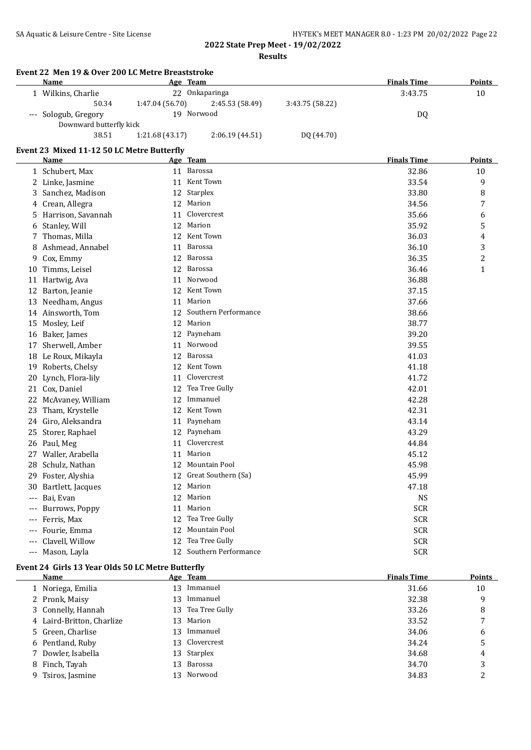|       | Name                                                             |                 | Age Team                |                 | <b>Finals Time</b> | Points        |
|-------|------------------------------------------------------------------|-----------------|-------------------------|-----------------|--------------------|---------------|
|       | 1 Wilkins, Charlie                                               |                 | 22 Onkaparinga          |                 | 3:43.75            | 10            |
|       | 50.34                                                            | 1:47.04 (56.70) | 2:45.53 (58.49)         | 3:43.75 (58.22) |                    |               |
|       | --- Sologub, Gregory<br>Downward butterfly kick                  |                 | 19 Norwood              |                 | DQ                 |               |
|       | 38.51                                                            | 1:21.68 (43.17) | 2:06.19 (44.51)         | DQ (44.70)      |                    |               |
|       | Event 23 Mixed 11-12 50 LC Metre Butterfly                       |                 |                         |                 |                    |               |
|       | Name                                                             |                 | Age Team                |                 | <b>Finals Time</b> | Points        |
|       | 1 Schubert, Max                                                  |                 | 11 Barossa              |                 | 32.86              | 10            |
|       | 2 Linke, Jasmine                                                 |                 | 11 Kent Town            |                 | 33.54              | 9             |
|       | 3 Sanchez, Madison                                               |                 | 12 Starplex             |                 | 33.80              | 8             |
|       | 4 Crean, Allegra                                                 |                 | 12 Marion               |                 | 34.56              | 7             |
|       | 5 Harrison, Savannah                                             | 11              | Clovercrest             |                 | 35.66              | 6             |
|       | 6 Stanley, Will                                                  |                 | 12 Marion               |                 | 35.92              | 5             |
| 7.    | Thomas, Milla                                                    |                 | 12 Kent Town            |                 | 36.03              | 4             |
| 8     | Ashmead, Annabel                                                 |                 | 11 Barossa              |                 | 36.10              | 3             |
|       | 9 Cox, Emmy                                                      |                 | 12 Barossa              |                 | 36.35              | 2             |
|       | 10 Timms, Leisel                                                 |                 | 12 Barossa              |                 | 36.46              | $\mathbf{1}$  |
|       | 11 Hartwig, Ava                                                  |                 | 11 Norwood              |                 | 36.88              |               |
|       | 12 Barton, Jeanie                                                |                 | 12 Kent Town            |                 | 37.15              |               |
|       | 13 Needham, Angus                                                |                 | 11 Marion               |                 | 37.66              |               |
|       | 14 Ainsworth, Tom                                                |                 | 12 Southern Performance |                 | 38.66              |               |
|       | 15 Mosley, Leif                                                  |                 | 12 Marion               |                 | 38.77              |               |
|       | 16 Baker, James                                                  |                 | 12 Payneham             |                 | 39.20              |               |
|       | 17 Sherwell, Amber                                               | 11              | Norwood                 |                 | 39.55              |               |
|       | 18 Le Roux, Mikayla                                              | 12              | Barossa                 |                 | 41.03              |               |
|       | 19 Roberts, Chelsy                                               | 12              | Kent Town               |                 | 41.18              |               |
|       | 20 Lynch, Flora-lily                                             | 11              | Clovercrest             |                 | 41.72              |               |
|       | 21 Cox, Daniel                                                   | 12              | Tea Tree Gully          |                 | 42.01              |               |
| 22    | McAvaney, William                                                | 12              | Immanuel                |                 | 42.28              |               |
|       | 23 Tham, Krystelle                                               | 12              | Kent Town               |                 | 42.31              |               |
|       | 24 Giro, Aleksandra                                              | 11              | Payneham                |                 | 43.14              |               |
|       | 25 Storer, Raphael                                               | 12              | Payneham                |                 | 43.29              |               |
|       | 26 Paul, Meg                                                     | 11              | Clovercrest             |                 | 44.84              |               |
|       | 27 Waller, Arabella                                              |                 | 11 Marion               |                 | 45.12              |               |
|       | 28 Schulz, Nathan                                                |                 | 12 Mountain Pool        |                 | 45.98              |               |
|       | 29 Foster, Alyshia                                               |                 | 12 Great Southern (Sa)  |                 | 45.99              |               |
|       | 30 Bartlett, Jacques                                             |                 | 12 Marion               |                 | 47.18              |               |
|       | Bai, Evan                                                        |                 | 12 Marion               |                 | <b>NS</b>          |               |
|       | Burrows, Poppy                                                   | 11              | Marion                  |                 | <b>SCR</b>         |               |
| $---$ | Ferris, Max                                                      | 12              | Tea Tree Gully          |                 | <b>SCR</b>         |               |
|       | Fourie, Emma                                                     | 12              | Mountain Pool           |                 | <b>SCR</b>         |               |
|       | Clavell, Willow                                                  | 12              | Tea Tree Gully          |                 | <b>SCR</b>         |               |
|       | --- Mason, Layla                                                 |                 | 12 Southern Performance |                 | <b>SCR</b>         |               |
|       | Event 24 Girls 13 Year Olds 50 LC Metre Butterfly<br><u>Name</u> |                 | Age Team                |                 | <b>Finals Time</b> | <b>Points</b> |
|       |                                                                  |                 | 13 Immanuel             |                 |                    | 10            |
|       | 1 Noriega, Emilia                                                |                 | 13 Immanuel             |                 | 31.66              | 9             |
|       | 2 Pronk, Maisy                                                   |                 | 13 Tea Tree Gully       |                 | 32.38              |               |
| 3     | Connelly, Hannah                                                 |                 | Marion                  |                 | 33.26              | 8             |
| 4     | Laird-Britton, Charlize                                          | 13              |                         |                 | 33.52              | 7             |
| 5.    | Green, Charlise                                                  |                 | 13 Immanuel             |                 | 34.06              | 6             |
| 6     | Pentland, Ruby                                                   | 13              | Clovercrest             |                 | 34.24              | 5             |
| 7     | Dowler, Isabella                                                 | 13              | Starplex                |                 | 34.68              | 4             |
|       | 8 Finch, Tayah                                                   |                 | 13 Barossa              |                 | 34.70              | 3             |

9 Tsiros, Jasmine 13 Norwood 13 Norwood 34.83 2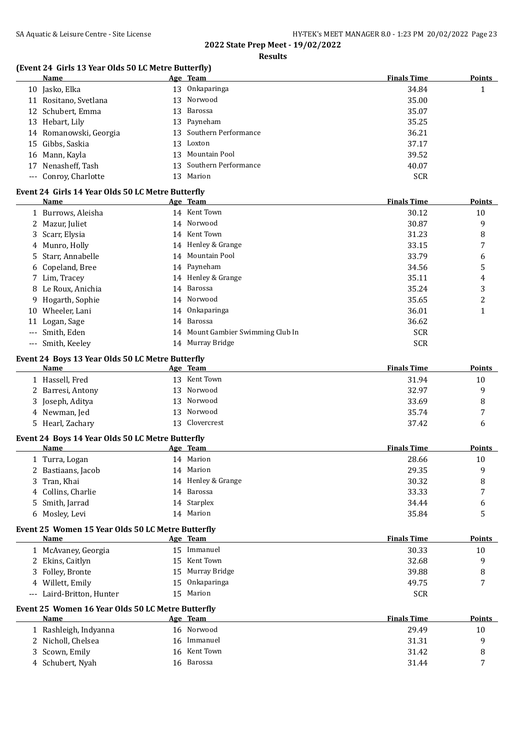**Results**

## **(Event 24 Girls 13 Year Olds 50 LC Metre Butterfly)**

|    | <b>Name</b>            | Age Team                | <b>Finals Time</b> | <b>Points</b> |
|----|------------------------|-------------------------|--------------------|---------------|
| 10 | Jasko, Elka            | 13 Onkaparinga          | 34.84              |               |
|    | 11 Rositano, Svetlana  | 13 Norwood              | 35.00              |               |
|    | 12 Schubert, Emma      | 13 Barossa              | 35.07              |               |
|    | 13 Hebart, Lily        | 13 Payneham             | 35.25              |               |
|    | 14 Romanowski, Georgia | 13 Southern Performance | 36.21              |               |
|    | 15 Gibbs, Saskia       | 13 Loxton               | 37.17              |               |
|    | 16 Mann, Kayla         | 13 Mountain Pool        | 39.52              |               |
|    | 17 Nenasheff, Tash     | 13 Southern Performance | 40.07              |               |
|    | --- Conroy, Charlotte  | 13 Marion               | <b>SCR</b>         |               |
|    |                        |                         |                    |               |

## **Event 24 Girls 14 Year Olds 50 LC Metre Butterfly**

|    | Name               |    | Age Team                          | <b>Finals Time</b> | <b>Points</b> |
|----|--------------------|----|-----------------------------------|--------------------|---------------|
|    | 1 Burrows, Aleisha |    | 14 Kent Town                      | 30.12              | 10            |
|    | 2 Mazur, Juliet    |    | 14 Norwood                        | 30.87              | 9             |
|    | 3 Scarr, Elysia    |    | 14 Kent Town                      | 31.23              | 8             |
|    | 4 Munro, Holly     |    | 14 Henley & Grange                | 33.15              | 7             |
|    | 5 Starr, Annabelle |    | 14 Mountain Pool                  | 33.79              | 6             |
|    | 6 Copeland, Bree   |    | 14 Payneham                       | 34.56              | 5             |
|    | 7 Lim, Tracey      |    | 14 Henley & Grange                | 35.11              | 4             |
|    | 8 Le Roux, Anichia |    | 14 Barossa                        | 35.24              | 3             |
|    | 9 Hogarth, Sophie  |    | 14 Norwood                        | 35.65              | 2             |
| 10 | Wheeler, Lani      |    | 14 Onkaparinga                    | 36.01              |               |
| 11 | Logan, Sage        | 14 | Barossa                           | 36.62              |               |
|    | --- Smith, Eden    |    | 14 Mount Gambier Swimming Club In | <b>SCR</b>         |               |
|    | --- Smith, Keeley  |    | 14 Murray Bridge                  | <b>SCR</b>         |               |

#### **Event 24 Boys 13 Year Olds 50 LC Metre Butterfly**

| Name              | Age Team       | <b>Finals Time</b> | <b>Points</b> |
|-------------------|----------------|--------------------|---------------|
| 1 Hassell, Fred   | 13 Kent Town   | 31.94              | 10            |
| 2 Barresi, Antony | 13 Norwood     | 32.97              | a             |
| 3 Joseph, Aditya  | 13 Norwood     | 33.69              |               |
| 4 Newman, Jed     | 13 Norwood     | 35.74              | -             |
| 5 Hearl, Zachary  | 13 Clovercrest | 37.42              | h             |

#### **Event 24 Boys 14 Year Olds 50 LC Metre Butterfly**

| Name               | Age Team           | <b>Finals Time</b> | <b>Points</b>  |
|--------------------|--------------------|--------------------|----------------|
| 1 Turra, Logan     | 14 Marion          | 28.66              | 10             |
| 2 Bastiaans, Jacob | 14 Marion          | 29.35              | a              |
| 3 Tran, Khai       | 14 Henley & Grange | 30.32              | 8              |
| 4 Collins, Charlie | 14 Barossa         | 33.33              | $\overline{ }$ |
| 5 Smith, Jarrad    | 14 Starplex        | 34.44              | 6              |
| 6 Mosley, Levi     | 14 Marion          | 35.84              |                |

#### **Event 25 Women 15 Year Olds 50 LC Metre Butterfly**

| Name                      | Age Team         | <b>Finals Time</b> | <b>Points</b> |
|---------------------------|------------------|--------------------|---------------|
| 1 McAvaney, Georgia       | 15 Immanuel      | 30.33              | 10            |
| 2 Ekins, Caitlyn          | 15 Kent Town     | 32.68              |               |
| 3 Folley, Bronte          | 15 Murray Bridge | 39.88              |               |
| 4 Willett, Emily          | 15 Onkaparinga   | 49.75              |               |
| --- Laird-Britton, Hunter | 15 Marion        | <b>SCR</b>         |               |

#### **Event 25 Women 16 Year Olds 50 LC Metre Butterfly**

| <b>Name</b>           | Age Team      | <b>Finals Time</b> | <b>Points</b> |
|-----------------------|---------------|--------------------|---------------|
| 1 Rashleigh, Indyanna | 16 Norwood    | 29.49              | 10            |
| 2 Nicholl, Chelsea    | 16 Immanuel   | 31.31              |               |
| 3 Scown, Emily        | 16 Kent Town  | 31.42              |               |
| 4 Schubert, Nyah      | Barossa<br>16 | 31.44              |               |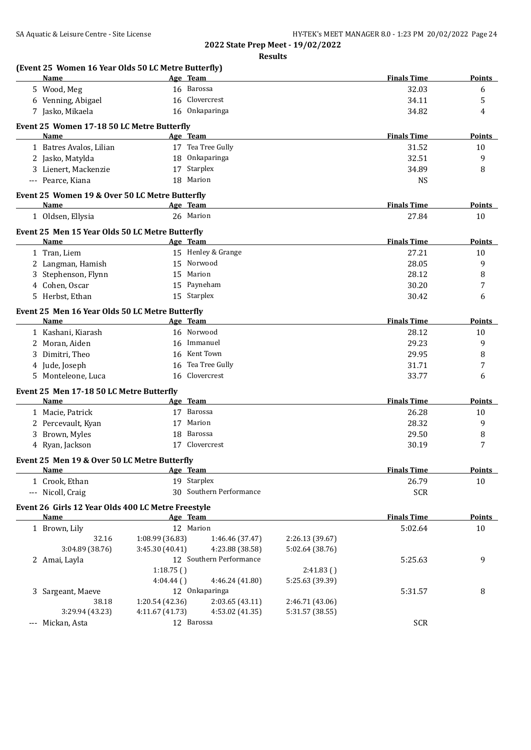|   | (Event 25 Women 16 Year Olds 50 LC Metre Butterfly)<br><b>Name</b> |                 | Age Team                |                 | <b>Finals Time</b> | <b>Points</b> |
|---|--------------------------------------------------------------------|-----------------|-------------------------|-----------------|--------------------|---------------|
|   | 5 Wood, Meg                                                        |                 | 16 Barossa              |                 | 32.03              | 6             |
|   | 6 Venning, Abigael                                                 |                 | 16 Clovercrest          |                 | 34.11              | 5             |
|   | 7 Jasko, Mikaela                                                   |                 | 16 Onkaparinga          |                 | 34.82              | 4             |
|   |                                                                    |                 |                         |                 |                    |               |
|   | Event 25 Women 17-18 50 LC Metre Butterfly                         |                 |                         |                 |                    |               |
|   | <b>Name</b>                                                        |                 | Age Team                |                 | <b>Finals Time</b> | Points        |
|   | 1 Batres Avalos, Lilian                                            |                 | 17 Tea Tree Gully       |                 | 31.52              | 10            |
|   | 2 Jasko, Matylda                                                   |                 | 18 Onkaparinga          |                 | 32.51              | 9             |
|   | 3 Lienert, Mackenzie                                               |                 | 17 Starplex             |                 | 34.89              | 8             |
|   | --- Pearce, Kiana                                                  |                 | 18 Marion               |                 | <b>NS</b>          |               |
|   | Event 25 Women 19 & Over 50 LC Metre Butterfly                     |                 |                         |                 |                    |               |
|   | Name                                                               |                 | Age Team                |                 | <b>Finals Time</b> | Points        |
|   | 1 Oldsen, Ellysia                                                  |                 | 26 Marion               |                 | 27.84              | 10            |
|   | Event 25 Men 15 Year Olds 50 LC Metre Butterfly                    |                 |                         |                 |                    |               |
|   | <b>Name</b>                                                        |                 | Age Team                |                 | <b>Finals Time</b> | <b>Points</b> |
|   | 1 Tran, Liem                                                       |                 | 15 Henley & Grange      |                 | 27.21              | 10            |
|   | 2 Langman, Hamish                                                  |                 | 15 Norwood              |                 | 28.05              | 9             |
| 3 | Stephenson, Flynn                                                  | 15              | Marion                  |                 | 28.12              | 8             |
|   | 4 Cohen, Oscar                                                     | 15              | Payneham                |                 | 30.20              | 7             |
|   | 5 Herbst, Ethan                                                    |                 | 15 Starplex             |                 | 30.42              | 6             |
|   |                                                                    |                 |                         |                 |                    |               |
|   | Event 25 Men 16 Year Olds 50 LC Metre Butterfly                    |                 |                         |                 |                    |               |
|   | Name                                                               |                 | Age Team                |                 | <b>Finals Time</b> | <b>Points</b> |
|   | 1 Kashani, Kiarash                                                 |                 | 16 Norwood              |                 | 28.12              | 10            |
| 2 | Moran, Aiden                                                       |                 | 16 Immanuel             |                 | 29.23              | 9             |
| 3 | Dimitri, Theo                                                      |                 | 16 Kent Town            |                 | 29.95              | 8             |
|   | 4 Jude, Joseph                                                     | 16              | Tea Tree Gully          |                 | 31.71              | 7             |
| 5 | Monteleone, Luca                                                   | 16              | Clovercrest             |                 | 33.77              | 6             |
|   | Event 25 Men 17-18 50 LC Metre Butterfly                           |                 |                         |                 |                    |               |
|   | Name                                                               |                 | Age Team                |                 | <b>Finals Time</b> | Points        |
|   | 1 Macie, Patrick                                                   |                 | 17 Barossa              |                 | 26.28              | 10            |
| 2 | Percevault, Kyan                                                   | 17              | Marion                  |                 | 28.32              | 9             |
| 3 | Brown, Myles                                                       | 18              | Barossa                 |                 | 29.50              | 8             |
|   | 4 Ryan, Jackson                                                    |                 | 17 Clovercrest          |                 | 30.19              | 7             |
|   |                                                                    |                 |                         |                 |                    |               |
|   | Event 25 Men 19 & Over 50 LC Metre Butterfly                       |                 |                         |                 | <b>Finals Time</b> |               |
|   | <b>Name</b>                                                        |                 | Age Team<br>19 Starplex |                 |                    | <b>Points</b> |
|   | 1 Crook, Ethan                                                     |                 | 30 Southern Performance |                 | 26.79              | $10\,$        |
|   | --- Nicoll, Craig                                                  |                 |                         |                 | <b>SCR</b>         |               |
|   | Event 26 Girls 12 Year Olds 400 LC Metre Freestyle                 |                 |                         |                 |                    |               |
|   | <b>Name</b>                                                        |                 | Age Team                |                 | <b>Finals Time</b> | <b>Points</b> |
|   | 1 Brown, Lily                                                      |                 | 12 Marion               |                 | 5:02.64            | 10            |
|   | 32.16                                                              | 1:08.99 (36.83) | 1:46.46 (37.47)         | 2:26.13 (39.67) |                    |               |
|   |                                                                    | 3:45.30 (40.41) | 4:23.88 (38.58)         | 5:02.64 (38.76) |                    |               |
|   | 3:04.89 (38.76)                                                    |                 |                         |                 | 5:25.63            | 9             |
|   | 2 Amai, Layla                                                      |                 | 12 Southern Performance |                 |                    |               |
|   |                                                                    | 1:18.75()       |                         | 2:41.83()       |                    |               |
|   |                                                                    | 4:04.44()       | 4:46.24 (41.80)         | 5:25.63 (39.39) |                    |               |
|   | 3 Sargeant, Maeve                                                  |                 | 12 Onkaparinga          |                 | 5:31.57            | 8             |
|   | 38.18                                                              | 1:20.54 (42.36) | 2:03.65 (43.11)         | 2:46.71 (43.06) |                    |               |
|   | 3:29.94 (43.23)                                                    | 4:11.67 (41.73) | 4:53.02 (41.35)         | 5:31.57 (38.55) |                    |               |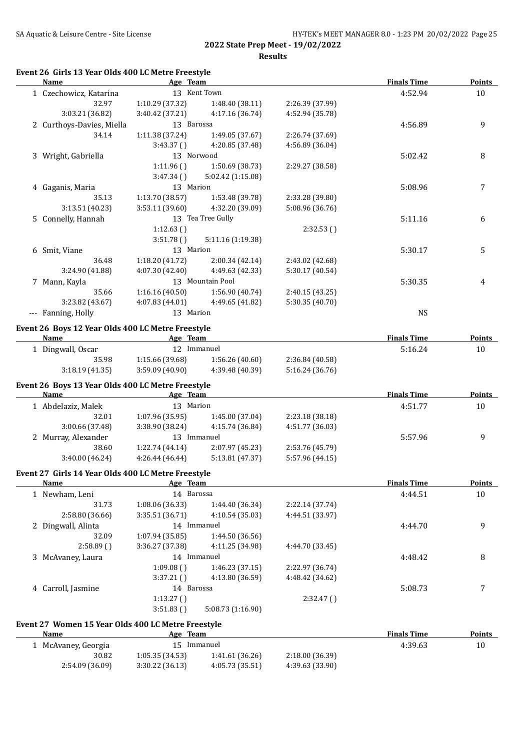| HY-TEK's MEET MANAGER 8.0 - 1:23 PM 20/02/2022 Page 25 |
|--------------------------------------------------------|
|                                                        |

## **Event 26 Girls 13 Year Olds 400 LC Metre Freestyle**

| Name                                               | Age Team        |                   |                 | <b>Finals Time</b> | <b>Points</b> |
|----------------------------------------------------|-----------------|-------------------|-----------------|--------------------|---------------|
| 1 Czechowicz, Katarina                             |                 | 13 Kent Town      |                 | 4:52.94            | 10            |
| 32.97                                              | 1:10.29 (37.32) | 1:48.40 (38.11)   | 2:26.39 (37.99) |                    |               |
| 3:03.21 (36.82)                                    | 3:40.42 (37.21) | 4:17.16 (36.74)   | 4:52.94 (35.78) |                    |               |
| 2 Curthoys-Davies, Miella                          | 13 Barossa      |                   |                 | 4:56.89            | 9             |
| 34.14                                              | 1:11.38 (37.24) | 1:49.05 (37.67)   | 2:26.74 (37.69) |                    |               |
|                                                    | 3:43.37()       | 4:20.85 (37.48)   | 4:56.89 (36.04) |                    |               |
| 3 Wright, Gabriella                                | 13 Norwood      |                   |                 | 5:02.42            | 8             |
|                                                    | 1:11.96()       | 1:50.69 (38.73)   | 2:29.27 (38.58) |                    |               |
|                                                    | 3:47.34()       | 5:02.42 (1:15.08) |                 |                    |               |
| 4 Gaganis, Maria                                   | 13 Marion       |                   |                 | 5:08.96            | 7             |
| 35.13                                              | 1:13.70 (38.57) | 1:53.48 (39.78)   | 2:33.28 (39.80) |                    |               |
| 3:13.51 (40.23)                                    | 3:53.11 (39.60) | 4:32.20 (39.09)   | 5:08.96 (36.76) |                    |               |
| 5 Connelly, Hannah                                 |                 | 13 Tea Tree Gully |                 | 5:11.16            | 6             |
|                                                    |                 |                   |                 |                    |               |
|                                                    | 1:12.63()       |                   | 2:32.53()       |                    |               |
|                                                    | 3:51.78()       | 5:11.16 (1:19.38) |                 |                    |               |
| 6 Smit, Viane                                      | 13 Marion       |                   |                 | 5:30.17            | 5             |
| 36.48                                              | 1:18.20(41.72)  | 2:00.34 (42.14)   | 2:43.02 (42.68) |                    |               |
| 3:24.90 (41.88)                                    | 4:07.30 (42.40) | 4:49.63 (42.33)   | 5:30.17 (40.54) |                    |               |
| 7 Mann, Kayla                                      |                 | 13 Mountain Pool  |                 | 5:30.35            | 4             |
| 35.66                                              | 1:16.16(40.50)  | 1:56.90 (40.74)   | 2:40.15 (43.25) |                    |               |
| 3:23.82 (43.67)                                    | 4:07.83(44.01)  | 4:49.65 (41.82)   | 5:30.35 (40.70) |                    |               |
| --- Fanning, Holly                                 | 13 Marion       |                   |                 | <b>NS</b>          |               |
| Event 26 Boys 12 Year Olds 400 LC Metre Freestyle  |                 |                   |                 |                    |               |
| Name                                               | Age Team        |                   |                 | <b>Finals Time</b> | <b>Points</b> |
| 1 Dingwall, Oscar                                  |                 | 12 Immanuel       |                 | 5:16.24            | 10            |
| 35.98                                              | 1:15.66 (39.68) | 1:56.26 (40.60)   | 2:36.84 (40.58) |                    |               |
| 3:18.19(41.35)                                     | 3:59.09(40.90)  | 4:39.48 (40.39)   | 5:16.24 (36.76) |                    |               |
|                                                    |                 |                   |                 |                    |               |
| Event 26 Boys 13 Year Olds 400 LC Metre Freestyle  |                 |                   |                 |                    |               |
| Name                                               | Age Team        |                   |                 | <b>Finals Time</b> | <b>Points</b> |
| 1 Abdelaziz, Malek                                 | 13 Marion       |                   |                 | 4:51.77            | 10            |
| 32.01                                              | 1:07.96 (35.95) | 1:45.00 (37.04)   | 2:23.18 (38.18) |                    |               |
| 3:00.66 (37.48)                                    | 3:38.90 (38.24) | 4:15.74 (36.84)   | 4:51.77 (36.03) |                    |               |
| 2 Murray, Alexander                                |                 | 13 Immanuel       |                 | 5:57.96            | 9             |
| 38.60                                              | 1:22.74(44.14)  | 2:07.97 (45.23)   | 2:53.76 (45.79) |                    |               |
| 3:40.00 (46.24)                                    | 4:26.44 (46.44) | 5:13.81 (47.37)   | 5:57.96 (44.15) |                    |               |
|                                                    |                 |                   |                 |                    |               |
| Event 27 Girls 14 Year Olds 400 LC Metre Freestyle |                 |                   |                 | <b>Finals Time</b> |               |
| <b>Name</b>                                        | Age Team        |                   |                 |                    | <b>Points</b> |
| 1 Newham, Leni                                     | 14 Barossa      |                   |                 | 4:44.51            | 10            |
| 31.73                                              | 1:08.06 (36.33) | 1:44.40 (36.34)   | 2:22.14 (37.74) |                    |               |
| 2:58.80 (36.66)                                    | 3:35.51 (36.71) | 4:10.54 (35.03)   | 4:44.51 (33.97) |                    |               |
| 2 Dingwall, Alinta                                 |                 | 14 Immanuel       |                 | 4:44.70            | 9             |
| 32.09                                              | 1:07.94 (35.85) | 1:44.50 (36.56)   |                 |                    |               |
| 2:58.89()                                          | 3:36.27 (37.38) | 4:11.25 (34.98)   | 4:44.70 (33.45) |                    |               |
| 3 McAvaney, Laura                                  |                 | 14 Immanuel       |                 | 4:48.42            | 8             |
|                                                    | 1:09.08()       | 1:46.23 (37.15)   | 2:22.97 (36.74) |                    |               |
|                                                    | 3:37.21()       | 4:13.80 (36.59)   | 4:48.42 (34.62) |                    |               |
| 4 Carroll, Jasmine                                 | 14 Barossa      |                   |                 | 5:08.73            | 7             |
|                                                    | 1:13.27()       |                   | 2:32.47()       |                    |               |
|                                                    | 3:51.83()       | 5:08.73 (1:16.90) |                 |                    |               |
|                                                    |                 |                   |                 |                    |               |
| Event 27 Women 15 Year Olds 400 LC Metre Freestyle |                 |                   |                 |                    |               |
| <b>Name</b>                                        | Age Team        |                   |                 | <b>Finals Time</b> | <b>Points</b> |
| 1 McAvaney, Georgia                                |                 | 15 Immanuel       |                 | 4:39.63            | 10            |
| 30.82                                              | 1:05.35 (34.53) | 1:41.61 (36.26)   | 2:18.00 (36.39) |                    |               |
| 2:54.09 (36.09)                                    | 3:30.22 (36.13) | 4:05.73 (35.51)   | 4:39.63 (33.90) |                    |               |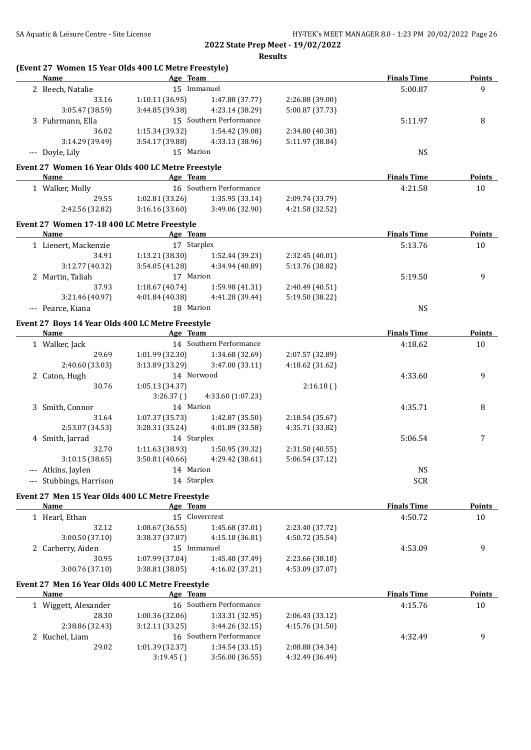| Name                                               | Age Team        |                         |                 | <b>Finals Time</b> | <b>Points</b> |
|----------------------------------------------------|-----------------|-------------------------|-----------------|--------------------|---------------|
| 2 Beech, Natalie                                   | 15 Immanuel     |                         |                 | 5:00.87            | 9             |
| 33.16                                              | 1:10.11(36.95)  | 1:47.88 (37.77)         | 2:26.88 (39.00) |                    |               |
| 3:05.47 (38.59)                                    | 3:44.85 (39.38) | 4:23.14 (38.29)         | 5:00.87 (37.73) |                    |               |
| 3 Fuhrmann, Ella                                   |                 | 15 Southern Performance |                 | 5:11.97            | 8             |
| 36.02                                              | 1:15.34 (39.32) | 1:54.42 (39.08)         | 2:34.80 (40.38) |                    |               |
| 3:14.29 (39.49)                                    | 3:54.17 (39.88) | 4:33.13 (38.96)         | 5:11.97 (38.84) |                    |               |
| --- Doyle, Lily                                    | 15 Marion       |                         |                 | <b>NS</b>          |               |
| Event 27 Women 16 Year Olds 400 LC Metre Freestyle |                 |                         |                 |                    |               |
| Name                                               | Age Team        |                         |                 | <b>Finals Time</b> | <b>Points</b> |
| 1 Walker, Molly                                    |                 | 16 Southern Performance |                 | 4:21.58            | 10            |
| 29.55                                              | 1:02.81(33.26)  | 1:35.95 (33.14)         | 2:09.74 (33.79) |                    |               |
| 2:42.56 (32.82)                                    | 3:16.16(33.60)  | 3:49.06 (32.90)         | 4:21.58 (32.52) |                    |               |
| Event 27 Women 17-18 400 LC Metre Freestyle        |                 |                         |                 |                    |               |
| Name                                               | Age Team        |                         |                 | <b>Finals Time</b> | <b>Points</b> |
| 1 Lienert, Mackenzie                               | 17 Starplex     |                         |                 | 5:13.76            | 10            |
| 34.91                                              | 1:13.21(38.30)  | 1:52.44 (39.23)         | 2:32.45 (40.01) |                    |               |
| 3:12.77 (40.32)                                    | 3:54.05 (41.28) | 4:34.94 (40.89)         | 5:13.76 (38.82) |                    |               |
| 2 Martin, Taliah                                   | 17 Marion       |                         |                 | 5:19.50            | 9             |
| 37.93                                              | 1:18.67(40.74)  | 1:59.98 (41.31)         | 2:40.49 (40.51) |                    |               |
| 3:21.46 (40.97)                                    | 4:01.84 (40.38) | 4:41.28 (39.44)         | 5:19.50 (38.22) |                    |               |
| --- Pearce, Kiana                                  | 18 Marion       |                         |                 | <b>NS</b>          |               |
|                                                    |                 |                         |                 |                    |               |
| Event 27 Boys 14 Year Olds 400 LC Metre Freestyle  |                 |                         |                 |                    |               |
| Name                                               | Age Team        |                         |                 | <b>Finals Time</b> | <b>Points</b> |
| 1 Walker, Jack                                     |                 | 14 Southern Performance |                 | 4:18.62            | 10            |
| 29.69                                              | 1:01.99(32.30)  | 1:34.68 (32.69)         | 2:07.57 (32.89) |                    |               |
| 2:40.60 (33.03)                                    | 3:13.89(33.29)  | 3:47.00 (33.11)         | 4:18.62 (31.62) |                    |               |
| 2 Caton, Hugh                                      | 14 Norwood      |                         |                 | 4:33.60            | 9             |
| 30.76                                              | 1:05.13 (34.37) |                         | 2:16.18()       |                    |               |
|                                                    | 3:26.37()       | 4:33.60 (1:07.23)       |                 |                    |               |
| 3 Smith, Connor                                    | 14 Marion       |                         |                 | 4:35.71            | 8             |
| 31.64                                              | 1:07.37 (35.73) | 1:42.87 (35.50)         | 2:18.54 (35.67) |                    |               |
| 2:53.07 (34.53)                                    | 3:28.31 (35.24) | 4:01.89 (33.58)         | 4:35.71 (33.82) |                    |               |
| 4 Smith, Jarrad                                    | 14 Starplex     |                         |                 | 5:06.54            | 7             |
| 32.70                                              | 1:11.63 (38.93) | 1:50.95 (39.32)         | 2:31.50 (40.55) |                    |               |
| 3:10.15 (38.65)                                    | 3:50.81 (40.66) | 4:29.42 (38.61)         | 5:06.54 (37.12) |                    |               |
| --- Atkins, Jaylen                                 | 14 Marion       |                         |                 | <b>NS</b>          |               |
| --- Stubbings, Harrison                            | 14 Starplex     |                         |                 | <b>SCR</b>         |               |
| Event 27 Men 15 Year Olds 400 LC Metre Freestyle   |                 |                         |                 |                    |               |
| Name                                               | Age Team        |                         |                 | <b>Finals Time</b> | <b>Points</b> |
| 1 Hearl, Ethan                                     |                 | 15 Clovercrest          |                 | 4:50.72            | 10            |
| 32.12                                              | 1:08.67(36.55)  | 1:45.68 (37.01)         | 2:23.40 (37.72) |                    |               |
| 3:00.50 (37.10)                                    | 3:38.37 (37.87) | 4:15.18 (36.81)         | 4:50.72 (35.54) |                    |               |
|                                                    | 15 Immanuel     |                         |                 | 4:53.09            | 9             |
| 2 Carberry, Aiden                                  |                 |                         | 2:23.66 (38.18) |                    |               |
| 30.95                                              | 1:07.99 (37.04) | 1:45.48 (37.49)         |                 |                    |               |
| 3:00.76 (37.10)                                    | 3:38.81 (38.05) | 4:16.02 (37.21)         | 4:53.09 (37.07) |                    |               |
| Event 27 Men 16 Year Olds 400 LC Metre Freestyle   |                 |                         |                 |                    |               |
| Name                                               | Age Team        |                         |                 | <b>Finals Time</b> |               |
| 1 Wiggett, Alexander                               |                 | 16 Southern Performance |                 | 4:15.76            | 10            |
| 28.30                                              | 1:00.36 (32.06) | 1:33.31 (32.95)         | 2:06.43 (33.12) |                    |               |
| 2:38.86 (32.43)                                    | 3:12.11 (33.25) | 3:44.26 (32.15)         | 4:15.76 (31.50) |                    |               |
| 2 Kuchel, Liam                                     |                 | 16 Southern Performance |                 | 4:32.49            | 9             |
| 29.02                                              | 1:01.39 (32.37) | 1:34.54 (33.15)         | 2:08.88 (34.34) |                    | <b>Points</b> |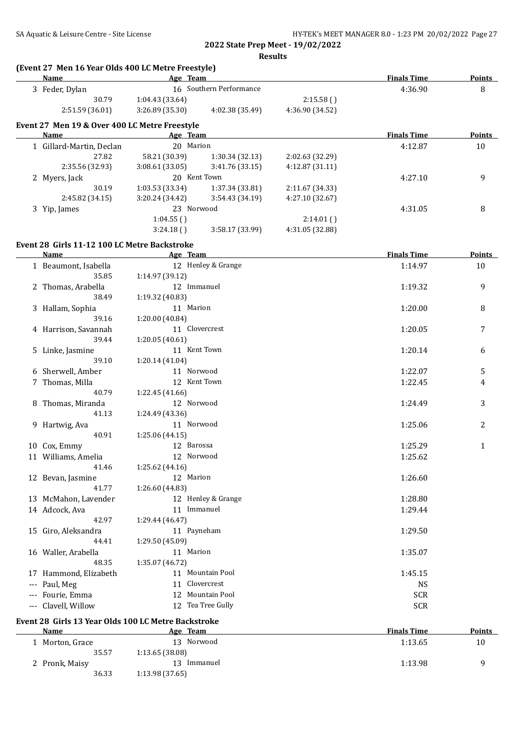|       | (Event 27 Men 16 Year Olds 400 LC Metre Freestyle)<br><b>Name</b> | Age Team        |                         |                 | <b>Finals Time</b> | <b>Points</b> |
|-------|-------------------------------------------------------------------|-----------------|-------------------------|-----------------|--------------------|---------------|
|       | 3 Feder, Dylan                                                    |                 | 16 Southern Performance |                 | 4:36.90            | 8             |
|       | 30.79                                                             | 1:04.43 (33.64) |                         | 2:15.58()       |                    |               |
|       | 2:51.59 (36.01)                                                   | 3:26.89 (35.30) | 4:02.38 (35.49)         | 4:36.90 (34.52) |                    |               |
|       |                                                                   |                 |                         |                 |                    |               |
|       | Event 27 Men 19 & Over 400 LC Metre Freestyle<br>Name             | Age Team        |                         |                 | <b>Finals Time</b> | <b>Points</b> |
|       | 1 Gillard-Martin, Declan                                          | 20 Marion       |                         |                 | 4:12.87            | 10            |
|       | 27.82                                                             | 58.21 (30.39)   | 1:30.34 (32.13)         | 2:02.63 (32.29) |                    |               |
|       | 2:35.56 (32.93)                                                   | 3:08.61(33.05)  | 3:41.76 (33.15)         | 4:12.87(31.11)  |                    |               |
|       |                                                                   |                 | 20 Kent Town            |                 | 4:27.10            | 9             |
|       | 2 Myers, Jack<br>30.19                                            |                 |                         |                 |                    |               |
|       |                                                                   | 1:03.53 (33.34) | 1:37.34 (33.81)         | 2:11.67 (34.33) |                    |               |
|       | 2:45.82 (34.15)                                                   | 3:20.24 (34.42) | 3:54.43 (34.19)         | 4:27.10 (32.67) |                    |               |
|       | 3 Yip, James                                                      | 23 Norwood      |                         |                 | 4:31.05            | 8             |
|       |                                                                   | 1:04.55()       |                         | 2:14.01()       |                    |               |
|       |                                                                   | 3:24.18()       | 3:58.17 (33.99)         | 4:31.05 (32.88) |                    |               |
|       | Event 28 Girls 11-12 100 LC Metre Backstroke                      |                 |                         |                 |                    |               |
|       | Name                                                              | Age Team        |                         |                 | <b>Finals Time</b> | Points        |
|       | 1 Beaumont, Isabella                                              |                 | 12 Henley & Grange      |                 | 1:14.97            | 10            |
|       | 35.85                                                             | 1:14.97 (39.12) |                         |                 |                    |               |
|       | 2 Thomas, Arabella                                                |                 | 12 Immanuel             |                 | 1:19.32            | 9             |
|       | 38.49                                                             | 1:19.32 (40.83) |                         |                 |                    |               |
|       | 3 Hallam, Sophia                                                  | 11 Marion       |                         |                 | 1:20.00            | 8             |
|       | 39.16                                                             | 1:20.00 (40.84) |                         |                 |                    |               |
|       | 4 Harrison, Savannah                                              |                 | 11 Clovercrest          |                 | 1:20.05            | 7             |
|       | 39.44                                                             | 1:20.05(40.61)  |                         |                 |                    |               |
|       | 5 Linke, Jasmine                                                  |                 | 11 Kent Town            |                 | 1:20.14            | 6             |
|       | 39.10                                                             | 1:20.14 (41.04) |                         |                 |                    |               |
|       | 6 Sherwell, Amber                                                 | 11 Norwood      |                         |                 | 1:22.07            | 5             |
|       | 7 Thomas, Milla                                                   |                 | 12 Kent Town            |                 | 1:22.45            | 4             |
|       | 40.79                                                             | 1:22.45 (41.66) |                         |                 |                    |               |
|       |                                                                   | 12 Norwood      |                         |                 | 1:24.49            | 3             |
|       | 8 Thomas, Miranda                                                 | 1:24.49 (43.36) |                         |                 |                    |               |
|       | 41.13                                                             |                 |                         |                 |                    |               |
|       | 9 Hartwig, Ava                                                    | 11 Norwood      |                         |                 | 1:25.06            | 2             |
|       | 40.91                                                             | 1:25.06 (44.15) |                         |                 |                    |               |
|       | 10 Cox, Emmy                                                      | 12 Barossa      |                         |                 | 1:25.29            | 1             |
|       | 11 Williams, Amelia                                               | 12 Norwood      |                         |                 | 1:25.62            |               |
|       | 41.46                                                             | 1:25.62 (44.16) |                         |                 |                    |               |
|       | 12 Bevan, Jasmine                                                 | 12 Marion       |                         |                 | 1:26.60            |               |
|       | 41.77                                                             | 1:26.60 (44.83) |                         |                 |                    |               |
|       | 13 McMahon, Lavender                                              |                 | 12 Henley & Grange      |                 | 1:28.80            |               |
|       | 14 Adcock, Ava                                                    |                 | 11 Immanuel             |                 | 1:29.44            |               |
|       | 42.97                                                             | 1:29.44 (46.47) |                         |                 |                    |               |
|       | 15 Giro, Aleksandra                                               |                 | 11 Payneham             |                 | 1:29.50            |               |
|       | 44.41                                                             | 1:29.50 (45.09) |                         |                 |                    |               |
|       | 16 Waller, Arabella                                               | 11 Marion       |                         |                 | 1:35.07            |               |
|       | 48.35                                                             | 1:35.07 (46.72) |                         |                 |                    |               |
|       | 17 Hammond, Elizabeth                                             |                 | 11 Mountain Pool        |                 | 1:45.15            |               |
| $---$ | Paul, Meg                                                         | 11              | Clovercrest             |                 | <b>NS</b>          |               |
| ---   | Fourie, Emma                                                      |                 | 12 Mountain Pool        |                 | <b>SCR</b>         |               |
| ---   | Clavell, Willow                                                   |                 | 12 Tea Tree Gully       |                 | <b>SCR</b>         |               |
|       |                                                                   |                 |                         |                 |                    |               |
|       | Event 28 Girls 13 Year Olds 100 LC Metre Backstroke               |                 |                         |                 |                    |               |
|       | <b>Name</b>                                                       | Age Team        |                         |                 | <b>Finals Time</b> | <b>Points</b> |

1 Morton, Grace 13 Norwood 13 Norwood 1:13.65 10

2 Pronk, Maisy 13 Immanuel 1:13.98 9 9 36.33 1:13.98 9 9

35.57 1:13.65 (38.08)

36.33 1:13.98 (37.65)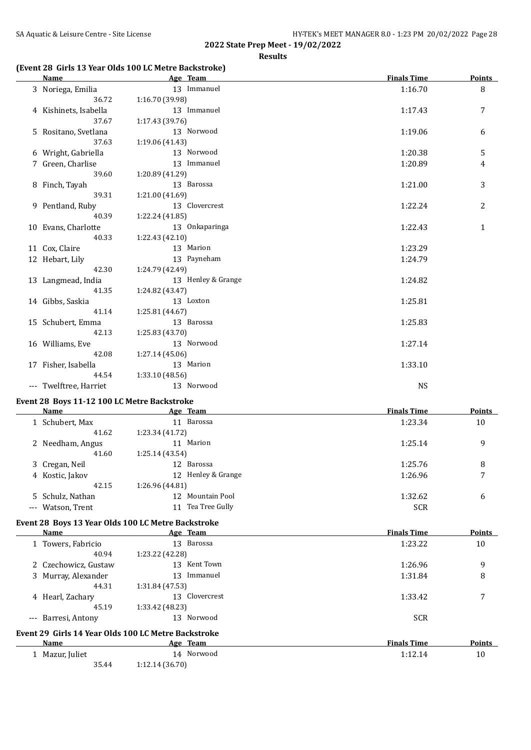## **(Event 28 Girls 13 Year Olds 100 LC Metre Backstroke)**

| <b>Name</b>            | Age Team           | <b>Finals Time</b> | <b>Points</b> |
|------------------------|--------------------|--------------------|---------------|
| 3 Noriega, Emilia      | 13 Immanuel        | 1:16.70            | 8             |
| 36.72                  | 1:16.70 (39.98)    |                    |               |
| 4 Kishinets, Isabella  | 13 Immanuel        | 1:17.43            | 7             |
| 37.67                  | 1:17.43(39.76)     |                    |               |
| 5 Rositano, Svetlana   | 13 Norwood         | 1:19.06            | 6             |
| 37.63                  | 1:19.06 (41.43)    |                    |               |
| 6 Wright, Gabriella    | 13 Norwood         | 1:20.38            | 5             |
| 7 Green, Charlise      | 13 Immanuel        | 1:20.89            | 4             |
| 39.60                  | 1:20.89 (41.29)    |                    |               |
| 8 Finch, Tayah         | 13 Barossa         | 1:21.00            | 3             |
| 39.31                  | 1:21.00 (41.69)    |                    |               |
| 9 Pentland, Ruby       | 13 Clovercrest     | 1:22.24            | 2             |
| 40.39                  | 1:22.24 (41.85)    |                    |               |
| 10 Evans, Charlotte    | 13 Onkaparinga     | 1:22.43            | $\mathbf{1}$  |
| 40.33                  | 1:22.43 (42.10)    |                    |               |
| 11 Cox, Claire         | 13 Marion          | 1:23.29            |               |
| 12 Hebart, Lily        | 13 Payneham        | 1:24.79            |               |
| 42.30                  | 1:24.79 (42.49)    |                    |               |
| 13 Langmead, India     | 13 Henley & Grange | 1:24.82            |               |
| 41.35                  | 1:24.82 (43.47)    |                    |               |
| 14 Gibbs, Saskia       | 13 Loxton          | 1:25.81            |               |
| 41.14                  | 1:25.81 (44.67)    |                    |               |
| 15 Schubert, Emma      | 13 Barossa         | 1:25.83            |               |
| 42.13                  | 1:25.83 (43.70)    |                    |               |
| 16 Williams, Eve       | 13 Norwood         | 1:27.14            |               |
| 42.08                  | 1:27.14(45.06)     |                    |               |
| 17 Fisher, Isabella    | 13 Marion          | 1:33.10            |               |
| 44.54                  | 1:33.10(48.56)     |                    |               |
| --- Twelftree, Harriet | 13 Norwood         | <b>NS</b>          |               |

## **Event 28 Boys 11-12 100 LC Metre Backstroke**

| Name              | Age Team        |                    | <b>Finals Time</b> | Points |
|-------------------|-----------------|--------------------|--------------------|--------|
| Schubert, Max     | 11              | Barossa            | 1:23.34            | 10     |
| 41.62             | 1:23.34 (41.72) |                    |                    |        |
| 2 Needham, Angus  | 11              | Marion             | 1:25.14            | 9      |
| 41.60             | 1:25.14(43.54)  |                    |                    |        |
| 3 Cregan, Neil    |                 | 12 Barossa         | 1:25.76            | 8      |
| 4 Kostic, Jakov   |                 | 12 Henley & Grange | 1:26.96            | 7      |
| 42.15             | 1:26.96 (44.81) |                    |                    |        |
| 5 Schulz, Nathan  | 12              | Mountain Pool      | 1:32.62            | 6      |
| --- Watson, Trent | 11              | Tea Tree Gully     | <b>SCR</b>         |        |

#### **Event 28 Boys 13 Year Olds 100 LC Metre Backstroke**

|                     | Name                 | Age Team                                            | <b>Finals Time</b> | Points |
|---------------------|----------------------|-----------------------------------------------------|--------------------|--------|
|                     | 1 Towers, Fabricio   | Barossa<br>13                                       | 1:23.22            | 10     |
|                     | 40.94                | 1:23.22 (42.28)                                     |                    |        |
|                     | 2 Czechowicz, Gustaw | 13 Kent Town                                        | 1:26.96            | 9      |
|                     | 3 Murray, Alexander  | Immanuel<br>13                                      | 1:31.84            | 8      |
|                     | 44.31                | 1:31.84(47.53)                                      |                    |        |
|                     | 4 Hearl, Zachary     | 13 Clovercrest                                      | 1:33.42            | 7      |
|                     | 45.19                | 1:33.42 (48.23)                                     |                    |        |
| $\qquad \qquad - -$ | Barresi, Antony      | 13 Norwood                                          | <b>SCR</b>         |        |
|                     |                      | Event 29 Girls 14 Year Olds 100 LC Metre Backstroke |                    |        |
|                     | Name                 | Age Team                                            | <b>Finals Time</b> | Points |
|                     | 1 Mazur, Juliet      | 14 Norwood                                          | 1:12.14            | 10     |
|                     | 35.44                | 1:12.14(36.70)                                      |                    |        |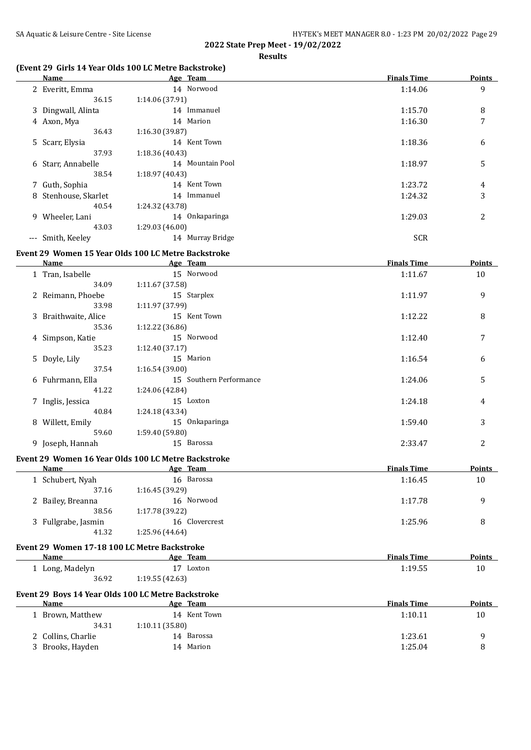#### **(Event 29 Girls 14 Year Olds 100 LC Metre Backstroke)**

|    | Name                 | Age Team         | <b>Finals Time</b> | <b>Points</b>  |
|----|----------------------|------------------|--------------------|----------------|
|    | 2 Everitt, Emma      | 14 Norwood       | 1:14.06            | 9              |
|    | 36.15                | 1:14.06 (37.91)  |                    |                |
|    | 3 Dingwall, Alinta   | 14 Immanuel      | 1:15.70            | 8              |
|    | 4 Axon, Mya          | 14 Marion        | 1:16.30            | 7              |
|    | 36.43                | 1:16.30 (39.87)  |                    |                |
|    | 5 Scarr, Elysia      | 14 Kent Town     | 1:18.36            | 6              |
|    | 37.93                | 1:18.36(40.43)   |                    |                |
|    | 6 Starr, Annabelle   | 14 Mountain Pool | 1:18.97            | 5              |
|    | 38.54                | 1:18.97(40.43)   |                    |                |
|    | 7 Guth, Sophia       | 14 Kent Town     | 1:23.72            | 4              |
|    | 8 Stenhouse, Skarlet | Immanuel<br>14   | 1:24.32            | 3              |
|    | 40.54                | 1:24.32 (43.78)  |                    |                |
| 9. | Wheeler, Lani        | 14 Onkaparinga   | 1:29.03            | $\overline{2}$ |
|    | 43.03                | 1:29.03 (46.00)  |                    |                |
|    | --- Smith, Keeley    | 14 Murray Bridge | <b>SCR</b>         |                |

#### **Event 29 Women 15 Year Olds 100 LC Metre Backstroke**

|   | Name                 | Age Team                       | <b>Finals Time</b> | <b>Points</b> |
|---|----------------------|--------------------------------|--------------------|---------------|
|   | 1 Tran, Isabelle     | 15 Norwood                     | 1:11.67            | 10            |
|   | 34.09                | 1:11.67 (37.58)                |                    |               |
|   | 2 Reimann, Phoebe    | 15 Starplex                    | 1:11.97            | 9             |
|   | 33.98                | 1:11.97 (37.99)                |                    |               |
|   | 3 Braithwaite, Alice | 15 Kent Town                   | 1:12.22            | 8             |
|   | 35.36                | 1:12.22 (36.86)                |                    |               |
|   | 4 Simpson, Katie     | 15 Norwood                     | 1:12.40            | 7             |
|   | 35.23                | 1:12.40(37.17)                 |                    |               |
|   | 5 Doyle, Lily        | 15 Marion                      | 1:16.54            | 6             |
|   | 37.54                | 1:16.54(39.00)                 |                    |               |
|   | 6 Fuhrmann, Ella     | 15 Southern Performance        | 1:24.06            | 5             |
|   | 41.22                | 1:24.06 (42.84)                |                    |               |
|   | 7 Inglis, Jessica    | 15 Loxton                      | 1:24.18            | 4             |
|   | 40.84                | 1:24.18 (43.34)                |                    |               |
| 8 | Willett, Emily       | Onkaparinga<br>15 <sup>2</sup> | 1:59.40            | 3             |
|   | 59.60                | 1:59.40 (59.80)                |                    |               |
|   | 9 Joseph, Hannah     | 15 Barossa                     | 2:33.47            | 2             |

## **Event 29 Women 16 Year Olds 100 LC Metre Backstroke**

|                     | Age Team       | <b>Finals Time</b> | <b>Points</b> |
|---------------------|----------------|--------------------|---------------|
| 1 Schubert, Nyah    | 16 Barossa     | 1:16.45            | 10            |
| 37.16               | 1:16.45(39.29) |                    |               |
| 2 Bailey, Breanna   | 16 Norwood     | 1:17.78            | q             |
| 38.56               | 1:17.78(39.22) |                    |               |
| 3 Fullgrabe, Jasmin | 16 Clovercrest | 1:25.96            | 8             |
| 41.32               | 1:25.96(44.64) |                    |               |
|                     |                |                    |               |

## **Event 29 Women 17-18 100 LC Metre Backstroke**

| Name            | Age Team           | <b>Finals Time</b> | Points |
|-----------------|--------------------|--------------------|--------|
| 1 Long, Madelyn | Loxton<br><b>.</b> | 1:19.55            | 10     |
| 36.92           | 1:19.55(42.63)     |                    |        |

# **Event 29 Boys 14 Year Olds 100 LC Metre Backstroke**

| Name               | <b>Team</b><br>Age | <b>Finals Time</b> | <b>Points</b> |
|--------------------|--------------------|--------------------|---------------|
| 1 Brown, Matthew   | 14 Kent Town       | 1:10.11            | 10            |
| 34.31              | 1:10.11(35.80)     |                    |               |
| 2 Collins, Charlie | 14 Barossa         | 1:23.61            |               |
| 3 Brooks, Hayden   | 14 Marion          | 1:25.04            |               |
|                    |                    |                    |               |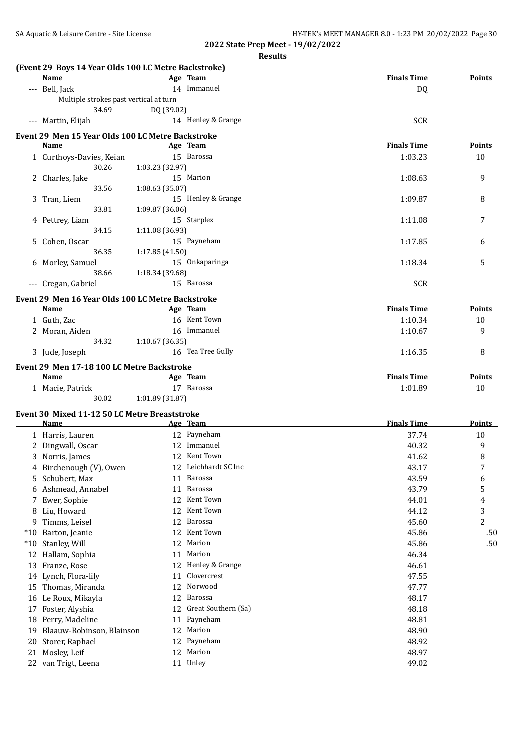|    | <b>Name</b>                                       | (Event 29 Boys 14 Year Olds 100 LC Metre Backstroke) | Age Team             | <b>Finals Time</b> | <b>Points</b> |
|----|---------------------------------------------------|------------------------------------------------------|----------------------|--------------------|---------------|
|    | --- Bell, Jack                                    |                                                      | 14 Immanuel          | DQ                 |               |
|    | Multiple strokes past vertical at turn            |                                                      |                      |                    |               |
|    | 34.69                                             | DQ (39.02)                                           |                      |                    |               |
|    | --- Martin, Elijah                                |                                                      | 14 Henley & Grange   | <b>SCR</b>         |               |
|    | Event 29 Men 15 Year Olds 100 LC Metre Backstroke |                                                      |                      |                    |               |
|    | Name                                              |                                                      | Age Team             | <b>Finals Time</b> | Points        |
|    | 1 Curthoys-Davies, Keian                          |                                                      | 15 Barossa           | 1:03.23            | 10            |
|    | 30.26                                             | 1:03.23 (32.97)                                      |                      |                    |               |
|    | 2 Charles, Jake                                   |                                                      | 15 Marion            | 1:08.63            | 9             |
|    | 33.56                                             | 1:08.63 (35.07)                                      |                      |                    |               |
|    | 3 Tran, Liem                                      |                                                      | 15 Henley & Grange   | 1:09.87            | 8             |
|    | 33.81                                             | 1:09.87 (36.06)                                      |                      |                    |               |
|    | 4 Pettrey, Liam                                   |                                                      | 15 Starplex          | 1:11.08            | 7             |
|    | 34.15                                             | 1:11.08 (36.93)                                      |                      |                    |               |
|    | 5 Cohen, Oscar                                    |                                                      | 15 Payneham          | 1:17.85            | 6             |
|    | 36.35                                             | 1:17.85 (41.50)                                      |                      |                    |               |
|    | 6 Morley, Samuel                                  |                                                      | 15 Onkaparinga       | 1:18.34            | 5             |
|    | 38.66                                             | 1:18.34 (39.68)                                      |                      |                    |               |
|    | --- Cregan, Gabriel                               |                                                      | 15 Barossa           | <b>SCR</b>         |               |
|    | Event 29 Men 16 Year Olds 100 LC Metre Backstroke |                                                      |                      |                    |               |
|    | Name                                              |                                                      | Age Team             | <b>Finals Time</b> | <b>Points</b> |
|    | 1 Guth, Zac                                       |                                                      | 16 Kent Town         | 1:10.34            | 10            |
|    | 2 Moran, Aiden                                    |                                                      | 16 Immanuel          | 1:10.67            | 9             |
|    | 34.32                                             | 1:10.67 (36.35)                                      |                      |                    |               |
|    | 3 Jude, Joseph                                    |                                                      | 16 Tea Tree Gully    | 1:16.35            | 8             |
|    |                                                   |                                                      |                      |                    |               |
|    | Event 29 Men 17-18 100 LC Metre Backstroke        |                                                      |                      |                    |               |
|    |                                                   |                                                      |                      |                    |               |
|    | Name                                              |                                                      | Age Team             | <b>Finals Time</b> | Points        |
|    | 1 Macie, Patrick                                  |                                                      | 17 Barossa           | 1:01.89            | 10            |
|    | 30.02                                             | 1:01.89 (31.87)                                      |                      |                    |               |
|    | Event 30 Mixed 11-12 50 LC Metre Breaststroke     |                                                      |                      |                    |               |
|    | Name                                              |                                                      | Age Team             | <b>Finals Time</b> | Points        |
|    | 1 Harris, Lauren                                  |                                                      | 12 Payneham          | 37.74              | 10            |
|    | 2 Dingwall, Oscar                                 |                                                      | 12 Immanuel          | 40.32              | 9             |
|    | 3 Norris, James                                   |                                                      | 12 Kent Town         | 41.62              | 8             |
|    | 4 Birchenough (V), Owen                           |                                                      | 12 Leichhardt SC Inc | 43.17              | 7             |
|    | 5 Schubert, Max                                   |                                                      | 11 Barossa           | 43.59              | 6             |
|    | 6 Ashmead, Annabel                                | 11                                                   | Barossa              | 43.79              | 5             |
|    | 7 Ewer, Sophie                                    | 12                                                   | Kent Town            | 44.01              | 4             |
|    | 8 Liu, Howard                                     | 12                                                   | Kent Town            | 44.12              | 3             |
|    | 9 Timms, Leisel                                   | 12                                                   | Barossa              | 45.60              | 2             |
|    | *10 Barton, Jeanie                                | 12                                                   | Kent Town            | 45.86              | .50           |
|    | *10 Stanley, Will                                 | 12                                                   | Marion               | 45.86              | .50           |
|    | 12 Hallam, Sophia                                 | 11                                                   | Marion               | 46.34              |               |
|    | 13 Franze, Rose                                   | 12                                                   | Henley & Grange      | 46.61              |               |
|    | 14 Lynch, Flora-lily                              | 11                                                   | Clovercrest          | 47.55              |               |
|    | 15 Thomas, Miranda                                | 12                                                   | Norwood              | 47.77              |               |
|    | 16 Le Roux, Mikayla                               | 12                                                   | Barossa              | 48.17              |               |
| 17 | Foster, Alyshia                                   | 12                                                   | Great Southern (Sa)  | 48.18              |               |
| 18 | Perry, Madeline                                   | 11                                                   | Payneham             | 48.81              |               |
| 19 | Blaauw-Robinson, Blainson                         | 12                                                   | Marion               | 48.90              |               |
| 20 | Storer, Raphael                                   | 12                                                   | Payneham             | 48.92              |               |
| 21 | Mosley, Leif                                      | 12                                                   | Marion               | 48.97              |               |
|    | 22 van Trigt, Leena                               |                                                      | 11 Unley             | 49.02              |               |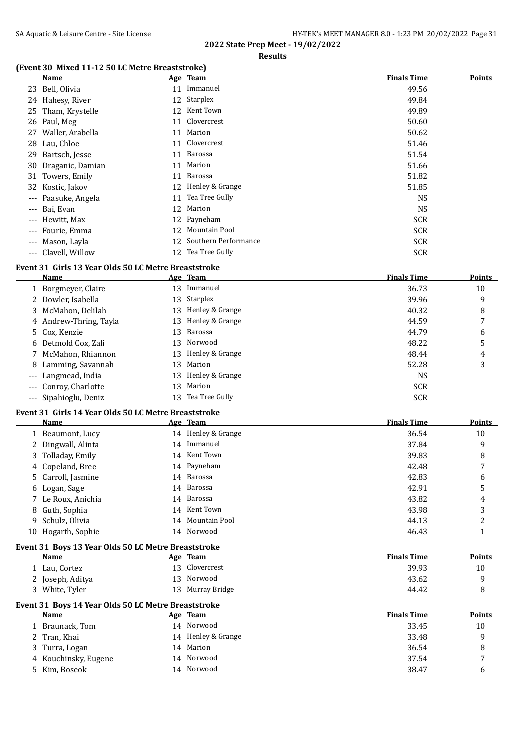#### **Results**

## **(Event 30 Mixed 11-12 50 LC Metre Breaststroke)**

| Name                |    | Age Team             | <b>Finals Time</b> | <b>Points</b> |
|---------------------|----|----------------------|--------------------|---------------|
| 23 Bell, Olivia     | 11 | Immanuel             | 49.56              |               |
| 24 Hahesy, River    |    | 12 Starplex          | 49.84              |               |
| 25 Tham, Krystelle  | 12 | Kent Town            | 49.89              |               |
| 26 Paul, Meg        | 11 | Clovercrest          | 50.60              |               |
| 27 Waller, Arabella | 11 | Marion               | 50.62              |               |
| 28 Lau, Chloe       | 11 | Clovercrest          | 51.46              |               |
| 29 Bartsch, Jesse   | 11 | Barossa              | 51.54              |               |
| 30 Draganic, Damian | 11 | Marion               | 51.66              |               |
| 31 Towers, Emily    | 11 | Barossa              | 51.82              |               |
| 32 Kostic, Jakov    | 12 | Henley & Grange      | 51.85              |               |
| --- Paasuke, Angela | 11 | Tea Tree Gully       | <b>NS</b>          |               |
| --- Bai, Evan       | 12 | Marion               | NS.                |               |
| --- Hewitt, Max     |    | 12 Payneham          | <b>SCR</b>         |               |
| --- Fourie, Emma    | 12 | Mountain Pool        | <b>SCR</b>         |               |
| --- Mason, Layla    | 12 | Southern Performance | <b>SCR</b>         |               |
| --- Clavell, Willow |    | 12 Tea Tree Gully    | <b>SCR</b>         |               |

## **Event 31 Girls 13 Year Olds 50 LC Metre Breaststroke**

| Name                   |    | Age Team           | <b>Finals Time</b> | <b>Points</b> |
|------------------------|----|--------------------|--------------------|---------------|
| 1 Borgmeyer, Claire    |    | 13 Immanuel        | 36.73              | 10            |
| 2 Dowler, Isabella     |    | 13 Starplex        | 39.96              | 9             |
| 3 McMahon, Delilah     |    | 13 Henley & Grange | 40.32              | 8             |
| 4 Andrew-Thring, Tayla |    | 13 Henley & Grange | 44.59              |               |
| 5 Cox, Kenzie          |    | 13 Barossa         | 44.79              | 6             |
| 6 Detmold Cox, Zali    |    | 13 Norwood         | 48.22              | 5             |
| 7 McMahon, Rhiannon    |    | 13 Henley & Grange | 48.44              | 4             |
| 8 Lamming, Savannah    |    | 13 Marion          | 52.28              | 3             |
| --- Langmead, India    |    | 13 Henley & Grange | NS                 |               |
| --- Conroy, Charlotte  |    | 13 Marion          | <b>SCR</b>         |               |
| --- Sipahioglu, Deniz  | 13 | Tea Tree Gully     | <b>SCR</b>         |               |

## **Event 31 Girls 14 Year Olds 50 LC Metre Breaststroke**

| Name               | Age Team           | <b>Finals Time</b> | <b>Points</b> |
|--------------------|--------------------|--------------------|---------------|
| 1 Beaumont, Lucy   | 14 Henley & Grange | 36.54              | 10            |
| 2 Dingwall, Alinta | 14 Immanuel        | 37.84              | 9             |
| 3 Tolladay, Emily  | 14 Kent Town       | 39.83              | 8             |
| 4 Copeland, Bree   | 14 Payneham        | 42.48              |               |
| 5 Carroll, Jasmine | 14 Barossa         | 42.83              | 6             |
| 6 Logan, Sage      | 14 Barossa         | 42.91              | 5             |
| 7 Le Roux, Anichia | 14 Barossa         | 43.82              | 4             |
| 8 Guth, Sophia     | 14 Kent Town       | 43.98              | 3             |
| 9 Schulz, Olivia   | 14 Mountain Pool   | 44.13              | 2             |
| 10 Hogarth, Sophie | 14 Norwood         | 46.43              |               |

## **Event 31 Boys 13 Year Olds 50 LC Metre Breaststroke**

| Name             | Age Team         | <b>Finals Time</b> | <b>Points</b> |
|------------------|------------------|--------------------|---------------|
| 1 Lau, Cortez    | 13 Clovercrest   | 39.93              | 10            |
| 2 Joseph, Aditya | 13 Norwood       | 43.62              |               |
| 3 White, Tyler   | 13 Murray Bridge | 44.42              |               |

## **Event 31 Boys 14 Year Olds 50 LC Metre Breaststroke**

| Name                 | Age Team           | <b>Finals Time</b> | <b>Points</b> |
|----------------------|--------------------|--------------------|---------------|
| 1 Braunack, Tom      | 14 Norwood         | 33.45              | 10            |
| 2 Tran, Khai         | 14 Henley & Grange | 33.48              |               |
| 3 Turra, Logan       | 14 Marion          | 36.54              |               |
| 4 Kouchinsky, Eugene | 14 Norwood         | 37.54              | -             |
| 5 Kim, Boseok        | 14 Norwood         | 38.47              | h             |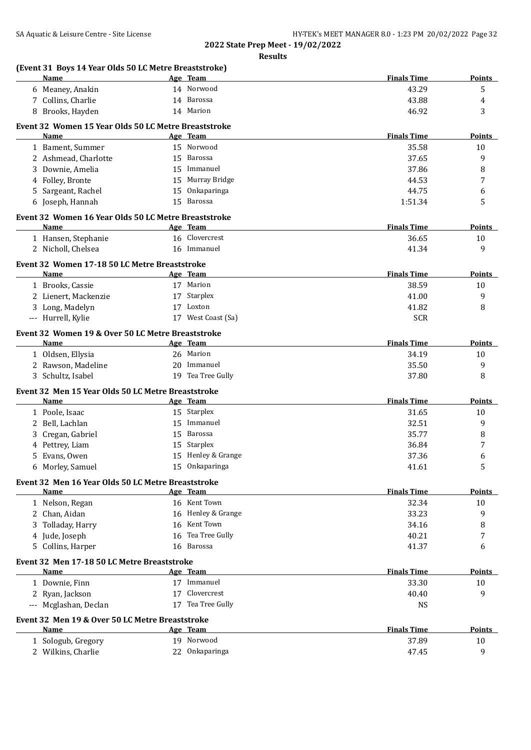| 14 Norwood<br>43.29<br>6 Meaney, Anakin<br>7 Collins, Charlie<br>14 Barossa<br>43.88<br>46.92<br>8 Brooks, Hayden<br>14 Marion<br>Event 32 Women 15 Year Olds 50 LC Metre Breaststroke<br><b>Finals Time</b><br>Name<br>Age Team<br>15 Norwood<br>1 Bament, Summer<br>35.58<br>10<br>2 Ashmead, Charlotte<br>15 Barossa<br>37.65<br>15 Immanuel<br>Downie, Amelia<br>37.86<br>3<br>15 Murray Bridge<br>4 Folley, Bronte<br>44.53<br>5 Sargeant, Rachel<br>Onkaparinga<br>44.75<br>15<br>6 Joseph, Hannah<br>15 Barossa<br>1:51.34<br>Event 32 Women 16 Year Olds 50 LC Metre Breaststroke<br><b>Finals Time</b><br>Name<br>Age Team<br>16 Clovercrest<br>1 Hansen, Stephanie<br>36.65<br>16 Immanuel<br>2 Nicholl, Chelsea<br>41.34<br>Event 32 Women 17-18 50 LC Metre Breaststroke<br><b>Finals Time</b><br>Name<br>Age Team<br>1 Brooks, Cassie<br>17 Marion<br>38.59<br>2 Lienert, Mackenzie<br>17 Starplex<br>41.00<br>3 Long, Madelyn<br>17 Loxton<br>41.82<br>17 West Coast (Sa)<br>--- Hurrell, Kylie<br><b>SCR</b><br>Event 32 Women 19 & Over 50 LC Metre Breaststroke<br><b>Name</b><br><b>Finals Time</b><br>Age Team<br>26 Marion<br>1 Oldsen, Ellysia<br>34.19<br>10<br>2 Rawson, Madeline<br>20 Immanuel<br>35.50<br>19 Tea Tree Gully<br>3 Schultz, Isabel<br>37.80<br>Event 32 Men 15 Year Olds 50 LC Metre Breaststroke<br><b>Finals Time</b><br>Name<br>Age Team<br>15 Starplex<br>1 Poole, Isaac<br>31.65<br>2 Bell, Lachlan<br>Immanuel<br>32.51<br>15<br>Cregan, Gabriel<br>Barossa<br>35.77<br>15<br>3<br>Starplex<br>36.84<br>Pettrey, Liam<br>15<br>Evans, Owen<br>15 Henley & Grange<br>37.36<br>5<br>15 Onkaparinga<br>6 Morley, Samuel<br>41.61<br>Event 32 Men 16 Year Olds 50 LC Metre Breaststroke<br><b>Finals Time</b><br>Name<br>Age Team<br>16 Kent Town<br>32.34<br>1 Nelson, Regan<br>16 Henley & Grange<br>33.23<br>2 Chan, Aidan<br>16 Kent Town<br>34.16<br>Tolladay, Harry<br>3<br>16 Tea Tree Gully<br>40.21<br>4 Jude, Joseph<br>Collins, Harper<br>16 Barossa<br>41.37<br>5<br>Event 32 Men 17-18 50 LC Metre Breaststroke<br>Name<br><b>Finals Time</b><br>Age Team<br>17 Immanuel<br>1 Downie, Finn<br>33.30<br>Clovercrest<br>2 Ryan, Jackson<br>17<br>40.40<br>17 Tea Tree Gully<br>--- Mcglashan, Declan<br><b>NS</b><br>Event 32 Men 19 & Over 50 LC Metre Breaststroke<br><b>Finals Time</b><br>Name<br>Age Team<br>19 Norwood<br>37.89<br>1 Sologub, Gregory | (Event 31 Boys 14 Year Olds 50 LC Metre Breaststroke)<br>Name | Age Team       | <b>Finals Time</b> | <b>Points</b> |
|------------------------------------------------------------------------------------------------------------------------------------------------------------------------------------------------------------------------------------------------------------------------------------------------------------------------------------------------------------------------------------------------------------------------------------------------------------------------------------------------------------------------------------------------------------------------------------------------------------------------------------------------------------------------------------------------------------------------------------------------------------------------------------------------------------------------------------------------------------------------------------------------------------------------------------------------------------------------------------------------------------------------------------------------------------------------------------------------------------------------------------------------------------------------------------------------------------------------------------------------------------------------------------------------------------------------------------------------------------------------------------------------------------------------------------------------------------------------------------------------------------------------------------------------------------------------------------------------------------------------------------------------------------------------------------------------------------------------------------------------------------------------------------------------------------------------------------------------------------------------------------------------------------------------------------------------------------------------------------------------------------------------------------------------------------------------------------------------------------------------------------------------------------------------------------------------------------------------------------------------------------------------------------------------------------------------------------------------------------------------------------------------------------------|---------------------------------------------------------------|----------------|--------------------|---------------|
|                                                                                                                                                                                                                                                                                                                                                                                                                                                                                                                                                                                                                                                                                                                                                                                                                                                                                                                                                                                                                                                                                                                                                                                                                                                                                                                                                                                                                                                                                                                                                                                                                                                                                                                                                                                                                                                                                                                                                                                                                                                                                                                                                                                                                                                                                                                                                                                                                  |                                                               |                |                    | 5             |
|                                                                                                                                                                                                                                                                                                                                                                                                                                                                                                                                                                                                                                                                                                                                                                                                                                                                                                                                                                                                                                                                                                                                                                                                                                                                                                                                                                                                                                                                                                                                                                                                                                                                                                                                                                                                                                                                                                                                                                                                                                                                                                                                                                                                                                                                                                                                                                                                                  |                                                               |                |                    | 4             |
|                                                                                                                                                                                                                                                                                                                                                                                                                                                                                                                                                                                                                                                                                                                                                                                                                                                                                                                                                                                                                                                                                                                                                                                                                                                                                                                                                                                                                                                                                                                                                                                                                                                                                                                                                                                                                                                                                                                                                                                                                                                                                                                                                                                                                                                                                                                                                                                                                  |                                                               |                |                    | 3             |
|                                                                                                                                                                                                                                                                                                                                                                                                                                                                                                                                                                                                                                                                                                                                                                                                                                                                                                                                                                                                                                                                                                                                                                                                                                                                                                                                                                                                                                                                                                                                                                                                                                                                                                                                                                                                                                                                                                                                                                                                                                                                                                                                                                                                                                                                                                                                                                                                                  |                                                               |                |                    |               |
|                                                                                                                                                                                                                                                                                                                                                                                                                                                                                                                                                                                                                                                                                                                                                                                                                                                                                                                                                                                                                                                                                                                                                                                                                                                                                                                                                                                                                                                                                                                                                                                                                                                                                                                                                                                                                                                                                                                                                                                                                                                                                                                                                                                                                                                                                                                                                                                                                  |                                                               |                |                    | Points        |
|                                                                                                                                                                                                                                                                                                                                                                                                                                                                                                                                                                                                                                                                                                                                                                                                                                                                                                                                                                                                                                                                                                                                                                                                                                                                                                                                                                                                                                                                                                                                                                                                                                                                                                                                                                                                                                                                                                                                                                                                                                                                                                                                                                                                                                                                                                                                                                                                                  |                                                               |                |                    |               |
|                                                                                                                                                                                                                                                                                                                                                                                                                                                                                                                                                                                                                                                                                                                                                                                                                                                                                                                                                                                                                                                                                                                                                                                                                                                                                                                                                                                                                                                                                                                                                                                                                                                                                                                                                                                                                                                                                                                                                                                                                                                                                                                                                                                                                                                                                                                                                                                                                  |                                                               |                |                    | 9             |
|                                                                                                                                                                                                                                                                                                                                                                                                                                                                                                                                                                                                                                                                                                                                                                                                                                                                                                                                                                                                                                                                                                                                                                                                                                                                                                                                                                                                                                                                                                                                                                                                                                                                                                                                                                                                                                                                                                                                                                                                                                                                                                                                                                                                                                                                                                                                                                                                                  |                                                               |                |                    |               |
|                                                                                                                                                                                                                                                                                                                                                                                                                                                                                                                                                                                                                                                                                                                                                                                                                                                                                                                                                                                                                                                                                                                                                                                                                                                                                                                                                                                                                                                                                                                                                                                                                                                                                                                                                                                                                                                                                                                                                                                                                                                                                                                                                                                                                                                                                                                                                                                                                  |                                                               |                |                    | 8             |
|                                                                                                                                                                                                                                                                                                                                                                                                                                                                                                                                                                                                                                                                                                                                                                                                                                                                                                                                                                                                                                                                                                                                                                                                                                                                                                                                                                                                                                                                                                                                                                                                                                                                                                                                                                                                                                                                                                                                                                                                                                                                                                                                                                                                                                                                                                                                                                                                                  |                                                               |                |                    | 7             |
|                                                                                                                                                                                                                                                                                                                                                                                                                                                                                                                                                                                                                                                                                                                                                                                                                                                                                                                                                                                                                                                                                                                                                                                                                                                                                                                                                                                                                                                                                                                                                                                                                                                                                                                                                                                                                                                                                                                                                                                                                                                                                                                                                                                                                                                                                                                                                                                                                  |                                                               |                |                    | 6             |
|                                                                                                                                                                                                                                                                                                                                                                                                                                                                                                                                                                                                                                                                                                                                                                                                                                                                                                                                                                                                                                                                                                                                                                                                                                                                                                                                                                                                                                                                                                                                                                                                                                                                                                                                                                                                                                                                                                                                                                                                                                                                                                                                                                                                                                                                                                                                                                                                                  |                                                               |                |                    | 5             |
|                                                                                                                                                                                                                                                                                                                                                                                                                                                                                                                                                                                                                                                                                                                                                                                                                                                                                                                                                                                                                                                                                                                                                                                                                                                                                                                                                                                                                                                                                                                                                                                                                                                                                                                                                                                                                                                                                                                                                                                                                                                                                                                                                                                                                                                                                                                                                                                                                  |                                                               |                |                    |               |
|                                                                                                                                                                                                                                                                                                                                                                                                                                                                                                                                                                                                                                                                                                                                                                                                                                                                                                                                                                                                                                                                                                                                                                                                                                                                                                                                                                                                                                                                                                                                                                                                                                                                                                                                                                                                                                                                                                                                                                                                                                                                                                                                                                                                                                                                                                                                                                                                                  |                                                               |                |                    | <b>Points</b> |
|                                                                                                                                                                                                                                                                                                                                                                                                                                                                                                                                                                                                                                                                                                                                                                                                                                                                                                                                                                                                                                                                                                                                                                                                                                                                                                                                                                                                                                                                                                                                                                                                                                                                                                                                                                                                                                                                                                                                                                                                                                                                                                                                                                                                                                                                                                                                                                                                                  |                                                               |                |                    | 10            |
|                                                                                                                                                                                                                                                                                                                                                                                                                                                                                                                                                                                                                                                                                                                                                                                                                                                                                                                                                                                                                                                                                                                                                                                                                                                                                                                                                                                                                                                                                                                                                                                                                                                                                                                                                                                                                                                                                                                                                                                                                                                                                                                                                                                                                                                                                                                                                                                                                  |                                                               |                |                    | 9             |
|                                                                                                                                                                                                                                                                                                                                                                                                                                                                                                                                                                                                                                                                                                                                                                                                                                                                                                                                                                                                                                                                                                                                                                                                                                                                                                                                                                                                                                                                                                                                                                                                                                                                                                                                                                                                                                                                                                                                                                                                                                                                                                                                                                                                                                                                                                                                                                                                                  |                                                               |                |                    |               |
|                                                                                                                                                                                                                                                                                                                                                                                                                                                                                                                                                                                                                                                                                                                                                                                                                                                                                                                                                                                                                                                                                                                                                                                                                                                                                                                                                                                                                                                                                                                                                                                                                                                                                                                                                                                                                                                                                                                                                                                                                                                                                                                                                                                                                                                                                                                                                                                                                  |                                                               |                |                    | <b>Points</b> |
|                                                                                                                                                                                                                                                                                                                                                                                                                                                                                                                                                                                                                                                                                                                                                                                                                                                                                                                                                                                                                                                                                                                                                                                                                                                                                                                                                                                                                                                                                                                                                                                                                                                                                                                                                                                                                                                                                                                                                                                                                                                                                                                                                                                                                                                                                                                                                                                                                  |                                                               |                |                    | 10            |
|                                                                                                                                                                                                                                                                                                                                                                                                                                                                                                                                                                                                                                                                                                                                                                                                                                                                                                                                                                                                                                                                                                                                                                                                                                                                                                                                                                                                                                                                                                                                                                                                                                                                                                                                                                                                                                                                                                                                                                                                                                                                                                                                                                                                                                                                                                                                                                                                                  |                                                               |                |                    | 9             |
|                                                                                                                                                                                                                                                                                                                                                                                                                                                                                                                                                                                                                                                                                                                                                                                                                                                                                                                                                                                                                                                                                                                                                                                                                                                                                                                                                                                                                                                                                                                                                                                                                                                                                                                                                                                                                                                                                                                                                                                                                                                                                                                                                                                                                                                                                                                                                                                                                  |                                                               |                |                    | 8             |
|                                                                                                                                                                                                                                                                                                                                                                                                                                                                                                                                                                                                                                                                                                                                                                                                                                                                                                                                                                                                                                                                                                                                                                                                                                                                                                                                                                                                                                                                                                                                                                                                                                                                                                                                                                                                                                                                                                                                                                                                                                                                                                                                                                                                                                                                                                                                                                                                                  |                                                               |                |                    |               |
|                                                                                                                                                                                                                                                                                                                                                                                                                                                                                                                                                                                                                                                                                                                                                                                                                                                                                                                                                                                                                                                                                                                                                                                                                                                                                                                                                                                                                                                                                                                                                                                                                                                                                                                                                                                                                                                                                                                                                                                                                                                                                                                                                                                                                                                                                                                                                                                                                  |                                                               |                |                    |               |
|                                                                                                                                                                                                                                                                                                                                                                                                                                                                                                                                                                                                                                                                                                                                                                                                                                                                                                                                                                                                                                                                                                                                                                                                                                                                                                                                                                                                                                                                                                                                                                                                                                                                                                                                                                                                                                                                                                                                                                                                                                                                                                                                                                                                                                                                                                                                                                                                                  |                                                               |                |                    |               |
|                                                                                                                                                                                                                                                                                                                                                                                                                                                                                                                                                                                                                                                                                                                                                                                                                                                                                                                                                                                                                                                                                                                                                                                                                                                                                                                                                                                                                                                                                                                                                                                                                                                                                                                                                                                                                                                                                                                                                                                                                                                                                                                                                                                                                                                                                                                                                                                                                  |                                                               |                |                    | <b>Points</b> |
|                                                                                                                                                                                                                                                                                                                                                                                                                                                                                                                                                                                                                                                                                                                                                                                                                                                                                                                                                                                                                                                                                                                                                                                                                                                                                                                                                                                                                                                                                                                                                                                                                                                                                                                                                                                                                                                                                                                                                                                                                                                                                                                                                                                                                                                                                                                                                                                                                  |                                                               |                |                    |               |
|                                                                                                                                                                                                                                                                                                                                                                                                                                                                                                                                                                                                                                                                                                                                                                                                                                                                                                                                                                                                                                                                                                                                                                                                                                                                                                                                                                                                                                                                                                                                                                                                                                                                                                                                                                                                                                                                                                                                                                                                                                                                                                                                                                                                                                                                                                                                                                                                                  |                                                               |                |                    | 9             |
|                                                                                                                                                                                                                                                                                                                                                                                                                                                                                                                                                                                                                                                                                                                                                                                                                                                                                                                                                                                                                                                                                                                                                                                                                                                                                                                                                                                                                                                                                                                                                                                                                                                                                                                                                                                                                                                                                                                                                                                                                                                                                                                                                                                                                                                                                                                                                                                                                  |                                                               |                |                    | 8             |
|                                                                                                                                                                                                                                                                                                                                                                                                                                                                                                                                                                                                                                                                                                                                                                                                                                                                                                                                                                                                                                                                                                                                                                                                                                                                                                                                                                                                                                                                                                                                                                                                                                                                                                                                                                                                                                                                                                                                                                                                                                                                                                                                                                                                                                                                                                                                                                                                                  |                                                               |                |                    |               |
|                                                                                                                                                                                                                                                                                                                                                                                                                                                                                                                                                                                                                                                                                                                                                                                                                                                                                                                                                                                                                                                                                                                                                                                                                                                                                                                                                                                                                                                                                                                                                                                                                                                                                                                                                                                                                                                                                                                                                                                                                                                                                                                                                                                                                                                                                                                                                                                                                  |                                                               |                |                    | Points        |
|                                                                                                                                                                                                                                                                                                                                                                                                                                                                                                                                                                                                                                                                                                                                                                                                                                                                                                                                                                                                                                                                                                                                                                                                                                                                                                                                                                                                                                                                                                                                                                                                                                                                                                                                                                                                                                                                                                                                                                                                                                                                                                                                                                                                                                                                                                                                                                                                                  |                                                               |                |                    | 10            |
|                                                                                                                                                                                                                                                                                                                                                                                                                                                                                                                                                                                                                                                                                                                                                                                                                                                                                                                                                                                                                                                                                                                                                                                                                                                                                                                                                                                                                                                                                                                                                                                                                                                                                                                                                                                                                                                                                                                                                                                                                                                                                                                                                                                                                                                                                                                                                                                                                  |                                                               |                |                    | 9             |
|                                                                                                                                                                                                                                                                                                                                                                                                                                                                                                                                                                                                                                                                                                                                                                                                                                                                                                                                                                                                                                                                                                                                                                                                                                                                                                                                                                                                                                                                                                                                                                                                                                                                                                                                                                                                                                                                                                                                                                                                                                                                                                                                                                                                                                                                                                                                                                                                                  |                                                               |                |                    | 8             |
|                                                                                                                                                                                                                                                                                                                                                                                                                                                                                                                                                                                                                                                                                                                                                                                                                                                                                                                                                                                                                                                                                                                                                                                                                                                                                                                                                                                                                                                                                                                                                                                                                                                                                                                                                                                                                                                                                                                                                                                                                                                                                                                                                                                                                                                                                                                                                                                                                  |                                                               |                |                    | 7             |
|                                                                                                                                                                                                                                                                                                                                                                                                                                                                                                                                                                                                                                                                                                                                                                                                                                                                                                                                                                                                                                                                                                                                                                                                                                                                                                                                                                                                                                                                                                                                                                                                                                                                                                                                                                                                                                                                                                                                                                                                                                                                                                                                                                                                                                                                                                                                                                                                                  |                                                               |                |                    | 6             |
|                                                                                                                                                                                                                                                                                                                                                                                                                                                                                                                                                                                                                                                                                                                                                                                                                                                                                                                                                                                                                                                                                                                                                                                                                                                                                                                                                                                                                                                                                                                                                                                                                                                                                                                                                                                                                                                                                                                                                                                                                                                                                                                                                                                                                                                                                                                                                                                                                  |                                                               |                |                    | 5             |
|                                                                                                                                                                                                                                                                                                                                                                                                                                                                                                                                                                                                                                                                                                                                                                                                                                                                                                                                                                                                                                                                                                                                                                                                                                                                                                                                                                                                                                                                                                                                                                                                                                                                                                                                                                                                                                                                                                                                                                                                                                                                                                                                                                                                                                                                                                                                                                                                                  |                                                               |                |                    |               |
|                                                                                                                                                                                                                                                                                                                                                                                                                                                                                                                                                                                                                                                                                                                                                                                                                                                                                                                                                                                                                                                                                                                                                                                                                                                                                                                                                                                                                                                                                                                                                                                                                                                                                                                                                                                                                                                                                                                                                                                                                                                                                                                                                                                                                                                                                                                                                                                                                  |                                                               |                |                    | <b>Points</b> |
|                                                                                                                                                                                                                                                                                                                                                                                                                                                                                                                                                                                                                                                                                                                                                                                                                                                                                                                                                                                                                                                                                                                                                                                                                                                                                                                                                                                                                                                                                                                                                                                                                                                                                                                                                                                                                                                                                                                                                                                                                                                                                                                                                                                                                                                                                                                                                                                                                  |                                                               |                |                    | 10            |
|                                                                                                                                                                                                                                                                                                                                                                                                                                                                                                                                                                                                                                                                                                                                                                                                                                                                                                                                                                                                                                                                                                                                                                                                                                                                                                                                                                                                                                                                                                                                                                                                                                                                                                                                                                                                                                                                                                                                                                                                                                                                                                                                                                                                                                                                                                                                                                                                                  |                                                               |                |                    | 9             |
|                                                                                                                                                                                                                                                                                                                                                                                                                                                                                                                                                                                                                                                                                                                                                                                                                                                                                                                                                                                                                                                                                                                                                                                                                                                                                                                                                                                                                                                                                                                                                                                                                                                                                                                                                                                                                                                                                                                                                                                                                                                                                                                                                                                                                                                                                                                                                                                                                  |                                                               |                |                    | 8             |
|                                                                                                                                                                                                                                                                                                                                                                                                                                                                                                                                                                                                                                                                                                                                                                                                                                                                                                                                                                                                                                                                                                                                                                                                                                                                                                                                                                                                                                                                                                                                                                                                                                                                                                                                                                                                                                                                                                                                                                                                                                                                                                                                                                                                                                                                                                                                                                                                                  |                                                               |                |                    | 7             |
|                                                                                                                                                                                                                                                                                                                                                                                                                                                                                                                                                                                                                                                                                                                                                                                                                                                                                                                                                                                                                                                                                                                                                                                                                                                                                                                                                                                                                                                                                                                                                                                                                                                                                                                                                                                                                                                                                                                                                                                                                                                                                                                                                                                                                                                                                                                                                                                                                  |                                                               |                |                    | 6             |
|                                                                                                                                                                                                                                                                                                                                                                                                                                                                                                                                                                                                                                                                                                                                                                                                                                                                                                                                                                                                                                                                                                                                                                                                                                                                                                                                                                                                                                                                                                                                                                                                                                                                                                                                                                                                                                                                                                                                                                                                                                                                                                                                                                                                                                                                                                                                                                                                                  |                                                               |                |                    |               |
|                                                                                                                                                                                                                                                                                                                                                                                                                                                                                                                                                                                                                                                                                                                                                                                                                                                                                                                                                                                                                                                                                                                                                                                                                                                                                                                                                                                                                                                                                                                                                                                                                                                                                                                                                                                                                                                                                                                                                                                                                                                                                                                                                                                                                                                                                                                                                                                                                  |                                                               |                |                    |               |
|                                                                                                                                                                                                                                                                                                                                                                                                                                                                                                                                                                                                                                                                                                                                                                                                                                                                                                                                                                                                                                                                                                                                                                                                                                                                                                                                                                                                                                                                                                                                                                                                                                                                                                                                                                                                                                                                                                                                                                                                                                                                                                                                                                                                                                                                                                                                                                                                                  |                                                               |                |                    | <b>Points</b> |
|                                                                                                                                                                                                                                                                                                                                                                                                                                                                                                                                                                                                                                                                                                                                                                                                                                                                                                                                                                                                                                                                                                                                                                                                                                                                                                                                                                                                                                                                                                                                                                                                                                                                                                                                                                                                                                                                                                                                                                                                                                                                                                                                                                                                                                                                                                                                                                                                                  |                                                               |                |                    | 10            |
|                                                                                                                                                                                                                                                                                                                                                                                                                                                                                                                                                                                                                                                                                                                                                                                                                                                                                                                                                                                                                                                                                                                                                                                                                                                                                                                                                                                                                                                                                                                                                                                                                                                                                                                                                                                                                                                                                                                                                                                                                                                                                                                                                                                                                                                                                                                                                                                                                  |                                                               |                |                    | 9             |
|                                                                                                                                                                                                                                                                                                                                                                                                                                                                                                                                                                                                                                                                                                                                                                                                                                                                                                                                                                                                                                                                                                                                                                                                                                                                                                                                                                                                                                                                                                                                                                                                                                                                                                                                                                                                                                                                                                                                                                                                                                                                                                                                                                                                                                                                                                                                                                                                                  |                                                               |                |                    |               |
|                                                                                                                                                                                                                                                                                                                                                                                                                                                                                                                                                                                                                                                                                                                                                                                                                                                                                                                                                                                                                                                                                                                                                                                                                                                                                                                                                                                                                                                                                                                                                                                                                                                                                                                                                                                                                                                                                                                                                                                                                                                                                                                                                                                                                                                                                                                                                                                                                  |                                                               |                |                    |               |
|                                                                                                                                                                                                                                                                                                                                                                                                                                                                                                                                                                                                                                                                                                                                                                                                                                                                                                                                                                                                                                                                                                                                                                                                                                                                                                                                                                                                                                                                                                                                                                                                                                                                                                                                                                                                                                                                                                                                                                                                                                                                                                                                                                                                                                                                                                                                                                                                                  |                                                               |                |                    | <b>Points</b> |
|                                                                                                                                                                                                                                                                                                                                                                                                                                                                                                                                                                                                                                                                                                                                                                                                                                                                                                                                                                                                                                                                                                                                                                                                                                                                                                                                                                                                                                                                                                                                                                                                                                                                                                                                                                                                                                                                                                                                                                                                                                                                                                                                                                                                                                                                                                                                                                                                                  |                                                               |                |                    | 10            |
|                                                                                                                                                                                                                                                                                                                                                                                                                                                                                                                                                                                                                                                                                                                                                                                                                                                                                                                                                                                                                                                                                                                                                                                                                                                                                                                                                                                                                                                                                                                                                                                                                                                                                                                                                                                                                                                                                                                                                                                                                                                                                                                                                                                                                                                                                                                                                                                                                  | 2 Wilkins, Charlie                                            | 22 Onkaparinga | 47.45              | 9             |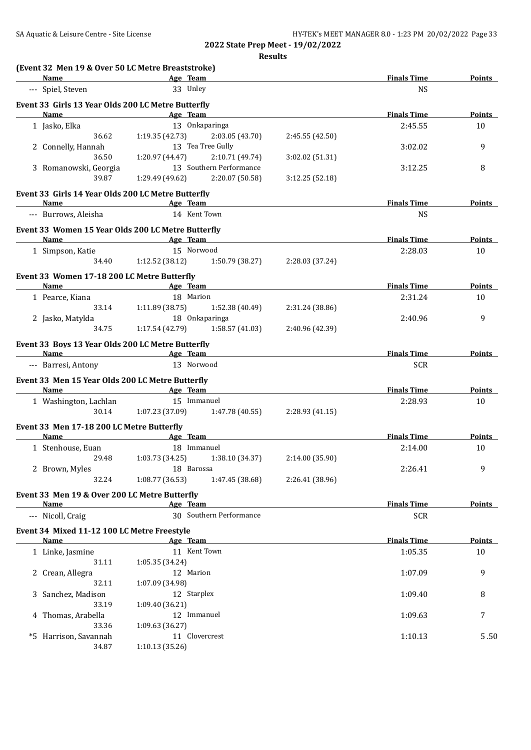| --- Spiel, Steven<br>Event 33 Girls 13 Year Olds 200 LC Metre Butterfly<br>Name<br>1 Jasko, Elka<br>36.62 | <b>Example 2016</b> Age Team<br>33 Unley<br><b>Example 2</b> Age Team                                                                                                                            |                                                                                                                                                                                                                                                                                                                                           |                                                                                                                                                                                                                                                                                                                                                                                                                                                                                                                                                                                                                                                                                                                          | <b>NS</b>                                                                                                                                                                                                                                                              |                                                                                                                                                                                                       |
|-----------------------------------------------------------------------------------------------------------|--------------------------------------------------------------------------------------------------------------------------------------------------------------------------------------------------|-------------------------------------------------------------------------------------------------------------------------------------------------------------------------------------------------------------------------------------------------------------------------------------------------------------------------------------------|--------------------------------------------------------------------------------------------------------------------------------------------------------------------------------------------------------------------------------------------------------------------------------------------------------------------------------------------------------------------------------------------------------------------------------------------------------------------------------------------------------------------------------------------------------------------------------------------------------------------------------------------------------------------------------------------------------------------------|------------------------------------------------------------------------------------------------------------------------------------------------------------------------------------------------------------------------------------------------------------------------|-------------------------------------------------------------------------------------------------------------------------------------------------------------------------------------------------------|
|                                                                                                           |                                                                                                                                                                                                  |                                                                                                                                                                                                                                                                                                                                           |                                                                                                                                                                                                                                                                                                                                                                                                                                                                                                                                                                                                                                                                                                                          |                                                                                                                                                                                                                                                                        |                                                                                                                                                                                                       |
|                                                                                                           |                                                                                                                                                                                                  |                                                                                                                                                                                                                                                                                                                                           |                                                                                                                                                                                                                                                                                                                                                                                                                                                                                                                                                                                                                                                                                                                          |                                                                                                                                                                                                                                                                        |                                                                                                                                                                                                       |
|                                                                                                           |                                                                                                                                                                                                  |                                                                                                                                                                                                                                                                                                                                           |                                                                                                                                                                                                                                                                                                                                                                                                                                                                                                                                                                                                                                                                                                                          | <b>Finals Time</b>                                                                                                                                                                                                                                                     | Points                                                                                                                                                                                                |
|                                                                                                           | 13 Onkaparinga                                                                                                                                                                                   |                                                                                                                                                                                                                                                                                                                                           |                                                                                                                                                                                                                                                                                                                                                                                                                                                                                                                                                                                                                                                                                                                          | 2:45.55                                                                                                                                                                                                                                                                | 10                                                                                                                                                                                                    |
|                                                                                                           | $1:19.35(42.73)$ $2:03.05(43.70)$                                                                                                                                                                |                                                                                                                                                                                                                                                                                                                                           | 2:45.55 (42.50)                                                                                                                                                                                                                                                                                                                                                                                                                                                                                                                                                                                                                                                                                                          |                                                                                                                                                                                                                                                                        |                                                                                                                                                                                                       |
| 2 Connelly, Hannah                                                                                        | 13 Tea Tree Gully                                                                                                                                                                                |                                                                                                                                                                                                                                                                                                                                           |                                                                                                                                                                                                                                                                                                                                                                                                                                                                                                                                                                                                                                                                                                                          | 3:02.02                                                                                                                                                                                                                                                                | 9                                                                                                                                                                                                     |
| 36.50                                                                                                     | 1:20.97 (44.47)                                                                                                                                                                                  | 2:10.71 (49.74)                                                                                                                                                                                                                                                                                                                           | 3:02.02 (51.31)                                                                                                                                                                                                                                                                                                                                                                                                                                                                                                                                                                                                                                                                                                          |                                                                                                                                                                                                                                                                        |                                                                                                                                                                                                       |
| 3 Romanowski, Georgia                                                                                     |                                                                                                                                                                                                  | 13 Southern Performance                                                                                                                                                                                                                                                                                                                   |                                                                                                                                                                                                                                                                                                                                                                                                                                                                                                                                                                                                                                                                                                                          | 3:12.25                                                                                                                                                                                                                                                                | 8                                                                                                                                                                                                     |
| 39.87                                                                                                     | 1:29.49 (49.62) 2:20.07 (50.58)                                                                                                                                                                  |                                                                                                                                                                                                                                                                                                                                           | 3:12.25(52.18)                                                                                                                                                                                                                                                                                                                                                                                                                                                                                                                                                                                                                                                                                                           |                                                                                                                                                                                                                                                                        |                                                                                                                                                                                                       |
| Event 33 Girls 14 Year Olds 200 LC Metre Butterfly                                                        |                                                                                                                                                                                                  |                                                                                                                                                                                                                                                                                                                                           |                                                                                                                                                                                                                                                                                                                                                                                                                                                                                                                                                                                                                                                                                                                          |                                                                                                                                                                                                                                                                        |                                                                                                                                                                                                       |
| Name Age Team                                                                                             |                                                                                                                                                                                                  |                                                                                                                                                                                                                                                                                                                                           |                                                                                                                                                                                                                                                                                                                                                                                                                                                                                                                                                                                                                                                                                                                          | <b>Finals Time</b>                                                                                                                                                                                                                                                     | Points                                                                                                                                                                                                |
| --- Burrows, Aleisha                                                                                      |                                                                                                                                                                                                  |                                                                                                                                                                                                                                                                                                                                           |                                                                                                                                                                                                                                                                                                                                                                                                                                                                                                                                                                                                                                                                                                                          | NS                                                                                                                                                                                                                                                                     |                                                                                                                                                                                                       |
|                                                                                                           |                                                                                                                                                                                                  |                                                                                                                                                                                                                                                                                                                                           |                                                                                                                                                                                                                                                                                                                                                                                                                                                                                                                                                                                                                                                                                                                          |                                                                                                                                                                                                                                                                        |                                                                                                                                                                                                       |
| Name                                                                                                      |                                                                                                                                                                                                  |                                                                                                                                                                                                                                                                                                                                           |                                                                                                                                                                                                                                                                                                                                                                                                                                                                                                                                                                                                                                                                                                                          | <b>Finals Time</b>                                                                                                                                                                                                                                                     | Points                                                                                                                                                                                                |
| 1 Simpson, Katie                                                                                          |                                                                                                                                                                                                  |                                                                                                                                                                                                                                                                                                                                           |                                                                                                                                                                                                                                                                                                                                                                                                                                                                                                                                                                                                                                                                                                                          | 2:28.03                                                                                                                                                                                                                                                                | 10                                                                                                                                                                                                    |
|                                                                                                           |                                                                                                                                                                                                  |                                                                                                                                                                                                                                                                                                                                           |                                                                                                                                                                                                                                                                                                                                                                                                                                                                                                                                                                                                                                                                                                                          |                                                                                                                                                                                                                                                                        |                                                                                                                                                                                                       |
|                                                                                                           |                                                                                                                                                                                                  |                                                                                                                                                                                                                                                                                                                                           |                                                                                                                                                                                                                                                                                                                                                                                                                                                                                                                                                                                                                                                                                                                          |                                                                                                                                                                                                                                                                        |                                                                                                                                                                                                       |
|                                                                                                           |                                                                                                                                                                                                  |                                                                                                                                                                                                                                                                                                                                           |                                                                                                                                                                                                                                                                                                                                                                                                                                                                                                                                                                                                                                                                                                                          |                                                                                                                                                                                                                                                                        | Points                                                                                                                                                                                                |
| 1 Pearce, Kiana                                                                                           |                                                                                                                                                                                                  |                                                                                                                                                                                                                                                                                                                                           |                                                                                                                                                                                                                                                                                                                                                                                                                                                                                                                                                                                                                                                                                                                          | 2:31.24                                                                                                                                                                                                                                                                | 10                                                                                                                                                                                                    |
|                                                                                                           |                                                                                                                                                                                                  |                                                                                                                                                                                                                                                                                                                                           | 2:31.24 (38.86)                                                                                                                                                                                                                                                                                                                                                                                                                                                                                                                                                                                                                                                                                                          |                                                                                                                                                                                                                                                                        |                                                                                                                                                                                                       |
| 2 Jasko, Matylda                                                                                          |                                                                                                                                                                                                  |                                                                                                                                                                                                                                                                                                                                           |                                                                                                                                                                                                                                                                                                                                                                                                                                                                                                                                                                                                                                                                                                                          | 2:40.96                                                                                                                                                                                                                                                                | 9                                                                                                                                                                                                     |
| 34.75                                                                                                     |                                                                                                                                                                                                  |                                                                                                                                                                                                                                                                                                                                           | 2:40.96 (42.39)                                                                                                                                                                                                                                                                                                                                                                                                                                                                                                                                                                                                                                                                                                          |                                                                                                                                                                                                                                                                        |                                                                                                                                                                                                       |
|                                                                                                           |                                                                                                                                                                                                  |                                                                                                                                                                                                                                                                                                                                           |                                                                                                                                                                                                                                                                                                                                                                                                                                                                                                                                                                                                                                                                                                                          |                                                                                                                                                                                                                                                                        |                                                                                                                                                                                                       |
|                                                                                                           |                                                                                                                                                                                                  |                                                                                                                                                                                                                                                                                                                                           |                                                                                                                                                                                                                                                                                                                                                                                                                                                                                                                                                                                                                                                                                                                          | <b>Finals Time</b>                                                                                                                                                                                                                                                     | <b>Points</b>                                                                                                                                                                                         |
| --- Barresi, Antony                                                                                       |                                                                                                                                                                                                  |                                                                                                                                                                                                                                                                                                                                           |                                                                                                                                                                                                                                                                                                                                                                                                                                                                                                                                                                                                                                                                                                                          | <b>SCR</b>                                                                                                                                                                                                                                                             |                                                                                                                                                                                                       |
|                                                                                                           |                                                                                                                                                                                                  |                                                                                                                                                                                                                                                                                                                                           |                                                                                                                                                                                                                                                                                                                                                                                                                                                                                                                                                                                                                                                                                                                          |                                                                                                                                                                                                                                                                        |                                                                                                                                                                                                       |
| <b>Name</b>                                                                                               |                                                                                                                                                                                                  |                                                                                                                                                                                                                                                                                                                                           |                                                                                                                                                                                                                                                                                                                                                                                                                                                                                                                                                                                                                                                                                                                          |                                                                                                                                                                                                                                                                        | Points                                                                                                                                                                                                |
|                                                                                                           |                                                                                                                                                                                                  |                                                                                                                                                                                                                                                                                                                                           |                                                                                                                                                                                                                                                                                                                                                                                                                                                                                                                                                                                                                                                                                                                          |                                                                                                                                                                                                                                                                        | 10                                                                                                                                                                                                    |
| 30.14                                                                                                     |                                                                                                                                                                                                  |                                                                                                                                                                                                                                                                                                                                           | 2:28.93(41.15)                                                                                                                                                                                                                                                                                                                                                                                                                                                                                                                                                                                                                                                                                                           |                                                                                                                                                                                                                                                                        |                                                                                                                                                                                                       |
|                                                                                                           |                                                                                                                                                                                                  |                                                                                                                                                                                                                                                                                                                                           |                                                                                                                                                                                                                                                                                                                                                                                                                                                                                                                                                                                                                                                                                                                          |                                                                                                                                                                                                                                                                        |                                                                                                                                                                                                       |
|                                                                                                           |                                                                                                                                                                                                  |                                                                                                                                                                                                                                                                                                                                           |                                                                                                                                                                                                                                                                                                                                                                                                                                                                                                                                                                                                                                                                                                                          |                                                                                                                                                                                                                                                                        | <b>Points</b>                                                                                                                                                                                         |
|                                                                                                           |                                                                                                                                                                                                  |                                                                                                                                                                                                                                                                                                                                           |                                                                                                                                                                                                                                                                                                                                                                                                                                                                                                                                                                                                                                                                                                                          |                                                                                                                                                                                                                                                                        | 10                                                                                                                                                                                                    |
| 29.48                                                                                                     |                                                                                                                                                                                                  |                                                                                                                                                                                                                                                                                                                                           |                                                                                                                                                                                                                                                                                                                                                                                                                                                                                                                                                                                                                                                                                                                          |                                                                                                                                                                                                                                                                        |                                                                                                                                                                                                       |
|                                                                                                           |                                                                                                                                                                                                  |                                                                                                                                                                                                                                                                                                                                           |                                                                                                                                                                                                                                                                                                                                                                                                                                                                                                                                                                                                                                                                                                                          |                                                                                                                                                                                                                                                                        | 9                                                                                                                                                                                                     |
|                                                                                                           |                                                                                                                                                                                                  |                                                                                                                                                                                                                                                                                                                                           |                                                                                                                                                                                                                                                                                                                                                                                                                                                                                                                                                                                                                                                                                                                          |                                                                                                                                                                                                                                                                        |                                                                                                                                                                                                       |
|                                                                                                           |                                                                                                                                                                                                  |                                                                                                                                                                                                                                                                                                                                           |                                                                                                                                                                                                                                                                                                                                                                                                                                                                                                                                                                                                                                                                                                                          |                                                                                                                                                                                                                                                                        |                                                                                                                                                                                                       |
|                                                                                                           |                                                                                                                                                                                                  |                                                                                                                                                                                                                                                                                                                                           |                                                                                                                                                                                                                                                                                                                                                                                                                                                                                                                                                                                                                                                                                                                          |                                                                                                                                                                                                                                                                        | <b>Points</b>                                                                                                                                                                                         |
|                                                                                                           |                                                                                                                                                                                                  |                                                                                                                                                                                                                                                                                                                                           |                                                                                                                                                                                                                                                                                                                                                                                                                                                                                                                                                                                                                                                                                                                          |                                                                                                                                                                                                                                                                        |                                                                                                                                                                                                       |
|                                                                                                           |                                                                                                                                                                                                  |                                                                                                                                                                                                                                                                                                                                           |                                                                                                                                                                                                                                                                                                                                                                                                                                                                                                                                                                                                                                                                                                                          |                                                                                                                                                                                                                                                                        |                                                                                                                                                                                                       |
|                                                                                                           |                                                                                                                                                                                                  |                                                                                                                                                                                                                                                                                                                                           |                                                                                                                                                                                                                                                                                                                                                                                                                                                                                                                                                                                                                                                                                                                          |                                                                                                                                                                                                                                                                        | <b>Points</b>                                                                                                                                                                                         |
|                                                                                                           |                                                                                                                                                                                                  |                                                                                                                                                                                                                                                                                                                                           |                                                                                                                                                                                                                                                                                                                                                                                                                                                                                                                                                                                                                                                                                                                          |                                                                                                                                                                                                                                                                        | 10                                                                                                                                                                                                    |
|                                                                                                           |                                                                                                                                                                                                  |                                                                                                                                                                                                                                                                                                                                           |                                                                                                                                                                                                                                                                                                                                                                                                                                                                                                                                                                                                                                                                                                                          |                                                                                                                                                                                                                                                                        |                                                                                                                                                                                                       |
|                                                                                                           |                                                                                                                                                                                                  |                                                                                                                                                                                                                                                                                                                                           |                                                                                                                                                                                                                                                                                                                                                                                                                                                                                                                                                                                                                                                                                                                          |                                                                                                                                                                                                                                                                        | 9                                                                                                                                                                                                     |
|                                                                                                           |                                                                                                                                                                                                  |                                                                                                                                                                                                                                                                                                                                           |                                                                                                                                                                                                                                                                                                                                                                                                                                                                                                                                                                                                                                                                                                                          |                                                                                                                                                                                                                                                                        |                                                                                                                                                                                                       |
|                                                                                                           |                                                                                                                                                                                                  |                                                                                                                                                                                                                                                                                                                                           |                                                                                                                                                                                                                                                                                                                                                                                                                                                                                                                                                                                                                                                                                                                          |                                                                                                                                                                                                                                                                        | 8                                                                                                                                                                                                     |
|                                                                                                           |                                                                                                                                                                                                  |                                                                                                                                                                                                                                                                                                                                           |                                                                                                                                                                                                                                                                                                                                                                                                                                                                                                                                                                                                                                                                                                                          |                                                                                                                                                                                                                                                                        |                                                                                                                                                                                                       |
|                                                                                                           |                                                                                                                                                                                                  |                                                                                                                                                                                                                                                                                                                                           |                                                                                                                                                                                                                                                                                                                                                                                                                                                                                                                                                                                                                                                                                                                          |                                                                                                                                                                                                                                                                        | 7                                                                                                                                                                                                     |
| 33.36                                                                                                     | 1:09.63 (36.27)                                                                                                                                                                                  |                                                                                                                                                                                                                                                                                                                                           |                                                                                                                                                                                                                                                                                                                                                                                                                                                                                                                                                                                                                                                                                                                          |                                                                                                                                                                                                                                                                        |                                                                                                                                                                                                       |
| *5 Harrison, Savannah                                                                                     | 11 Clovercrest                                                                                                                                                                                   |                                                                                                                                                                                                                                                                                                                                           |                                                                                                                                                                                                                                                                                                                                                                                                                                                                                                                                                                                                                                                                                                                          | 1:10.13                                                                                                                                                                                                                                                                | 5.50                                                                                                                                                                                                  |
|                                                                                                           |                                                                                                                                                                                                  |                                                                                                                                                                                                                                                                                                                                           |                                                                                                                                                                                                                                                                                                                                                                                                                                                                                                                                                                                                                                                                                                                          |                                                                                                                                                                                                                                                                        |                                                                                                                                                                                                       |
|                                                                                                           | 1 Stenhouse, Euan<br>2 Brown, Myles<br>32.24<br>Name<br>--- Nicoll, Craig<br>Name<br>1 Linke, Jasmine<br>31.11<br>2 Crean, Allegra<br>32.11<br>3 Sanchez, Madison<br>33.19<br>4 Thomas, Arabella | 34.40 1:12.52 (38.12)<br>Event 33 Women 17-18 200 LC Metre Butterfly<br>33.14 1:11.89 (38.75)<br>1:07.23 (37.09)<br>Event 33 Men 17-18 200 LC Metre Butterfly<br>1:08.77 (36.53)<br>Event 33 Men 19 & Over 200 LC Metre Butterfly<br>Event 34 Mixed 11-12 100 LC Metre Freestyle<br>1:05.35 (34.24)<br>1:07.09 (34.98)<br>1:09.40 (36.21) | 14 Kent Town<br>Event 33 Women 15 Year Olds 200 LC Metre Butterfly<br>Age Team<br>15 Norwood<br>18 Marion<br>1:52.38 (40.49)<br>18 Onkaparinga<br>$1:17.54(42.79)$ $1:58.57(41.03)$<br>Event 33 Boys 13 Year Olds 200 LC Metre Butterfly<br>Name Age Team<br>13 Norwood<br>Event 33 Men 15 Year Olds 200 LC Metre Butterfly<br>and the same of the same stage of the same stage of the same stage of the same stage of the same stage of the<br>1 Washington, Lachlan 15 Immanuel<br>1:47.78 (40.55)<br>Name Age Team<br>18 Immanuel<br>$1:03.73(34.25)$ $1:38.10(34.37)$<br>18 Barossa<br>1:47.45 (38.68)<br>Age Team<br>30 Southern Performance<br>Age Team<br>11 Kent Town<br>12 Marion<br>12 Starplex<br>12 Immanuel | $1:50.79$ (38.27) $2:28.03$ (37.24)<br><b>Name Age Team <i>Age Team Age Team Age Team Age Team Age Team Age Team Age Team</i> <b><i>Age Team Age Team Age Team Age Team Age Team Age Team Age Team Age Team Age Team</i></b></b><br>2:14.00 (35.90)<br>2:26.41 (38.96) | <b>Finals Time</b><br><b>Finals Time</b><br>2:28.93<br><b>Finals Time</b><br>2:14.00<br>2:26.41<br><b>Finals Time</b><br><b>SCR</b><br><b>Finals Time</b><br>1:05.35<br>1:07.09<br>1:09.40<br>1:09.63 |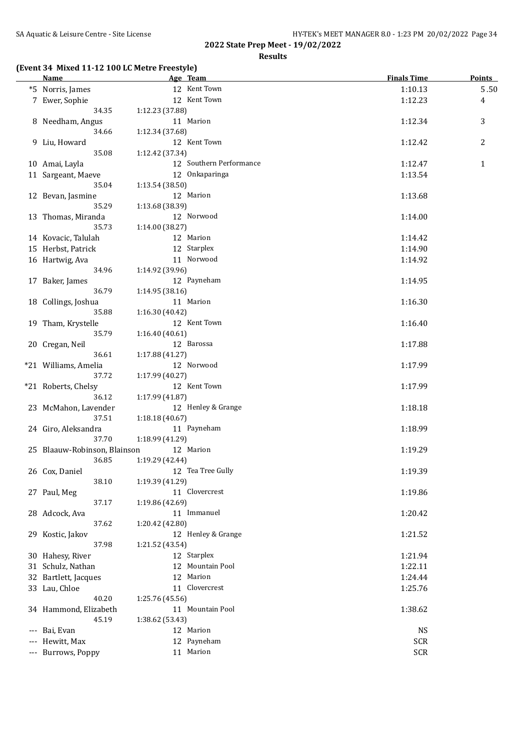**Results**

## **(Event 34 Mixed 11-12 100 LC Metre Freestyle)**

| <b>Name</b>                  | Age Team                        | <b>Finals Time</b> | <b>Points</b>  |
|------------------------------|---------------------------------|--------------------|----------------|
| *5 Norris, James             | 12 Kent Town                    | 1:10.13            | 5.50           |
| 7 Ewer, Sophie               | 12 Kent Town                    | 1:12.23            | 4              |
| 34.35                        | 1:12.23 (37.88)                 |                    |                |
| 8 Needham, Angus             | 11 Marion                       | 1:12.34            | 3              |
| 34.66                        | 1:12.34 (37.68)                 |                    |                |
| 9 Liu, Howard                | 12 Kent Town                    | 1:12.42            | $\overline{c}$ |
| 35.08                        | 1:12.42 (37.34)                 |                    |                |
| 10 Amai, Layla               | 12 Southern Performance         | 1:12.47            | $\mathbf{1}$   |
| 11 Sargeant, Maeve           | 12 Onkaparinga                  | 1:13.54            |                |
| 35.04                        | 1:13.54 (38.50)                 |                    |                |
| 12 Bevan, Jasmine            | 12 Marion                       | 1:13.68            |                |
| 35.29                        | 1:13.68 (38.39)                 |                    |                |
| 13 Thomas, Miranda           | 12 Norwood                      | 1:14.00            |                |
| 35.73                        | 1:14.00 (38.27)                 |                    |                |
| 14 Kovacic, Talulah          | 12 Marion                       | 1:14.42            |                |
| 15 Herbst, Patrick           | 12 Starplex                     | 1:14.90            |                |
| 16 Hartwig, Ava              | 11 Norwood                      | 1:14.92            |                |
| 34.96                        | 1:14.92 (39.96)                 |                    |                |
| 17 Baker, James              | 12 Payneham                     | 1:14.95            |                |
| 36.79                        | 1:14.95 (38.16)                 |                    |                |
| 18 Collings, Joshua          | 11 Marion                       |                    |                |
| 35.88                        |                                 | 1:16.30            |                |
|                              | 1:16.30 (40.42)<br>12 Kent Town |                    |                |
| 19 Tham, Krystelle<br>35.79  |                                 | 1:16.40            |                |
|                              | 1:16.40 (40.61)                 |                    |                |
| 20 Cregan, Neil              | 12 Barossa                      | 1:17.88            |                |
| 36.61                        | 1:17.88 (41.27)                 |                    |                |
| *21 Williams, Amelia         | 12 Norwood                      | 1:17.99            |                |
| 37.72                        | 1:17.99 (40.27)                 |                    |                |
| *21 Roberts, Chelsy          | 12 Kent Town                    | 1:17.99            |                |
| 36.12                        | 1:17.99 (41.87)                 |                    |                |
| 23 McMahon, Lavender         | 12 Henley & Grange              | 1:18.18            |                |
| 37.51                        | 1:18.18 (40.67)                 |                    |                |
| 24 Giro, Aleksandra          | 11 Payneham                     | 1:18.99            |                |
| 37.70                        | 1:18.99 (41.29)                 |                    |                |
| 25 Blaauw-Robinson, Blainson | 12 Marion                       | 1:19.29            |                |
| 36.85                        | 1:19.29 (42.44)                 |                    |                |
| 26 Cox, Daniel               | 12 Tea Tree Gully               | 1:19.39            |                |
| 38.10                        | 1:19.39 (41.29)                 |                    |                |
| 27 Paul, Meg                 | 11 Clovercrest                  | 1:19.86            |                |
| 37.17                        | 1:19.86 (42.69)                 |                    |                |
| 28 Adcock, Ava               | 11 Immanuel                     | 1:20.42            |                |
| 37.62                        | 1:20.42 (42.80)                 |                    |                |
| 29 Kostic, Jakov             | 12 Henley & Grange              | 1:21.52            |                |
| 37.98                        | 1:21.52 (43.54)                 |                    |                |
| 30 Hahesy, River             | 12 Starplex                     | 1:21.94            |                |
| 31 Schulz, Nathan            | 12 Mountain Pool                | 1:22.11            |                |
| 32 Bartlett, Jacques         | 12 Marion                       | 1:24.44            |                |
| 33 Lau, Chloe                | 11 Clovercrest                  | 1:25.76            |                |
| 40.20                        | 1:25.76 (45.56)                 |                    |                |
| 34 Hammond, Elizabeth        | 11 Mountain Pool                | 1:38.62            |                |
| 45.19                        | 1:38.62 (53.43)                 |                    |                |
| --- Bai, Evan                | 12 Marion                       | NS                 |                |
| Hewitt, Max                  | 12 Payneham                     | SCR                |                |
| --- Burrows, Poppy           | 11 Marion                       | SCR                |                |
|                              |                                 |                    |                |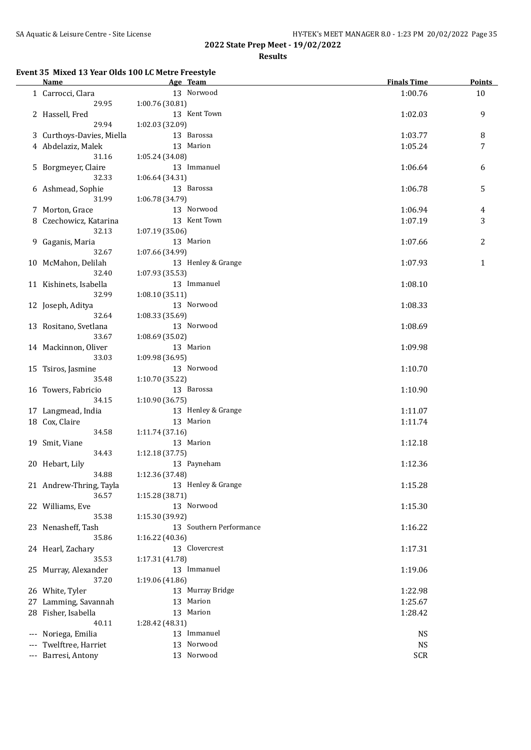$\overline{a}$ 

| SA Aquatic & Leisure Centre - Site License<br>HY-TEK's MEET MANAGER 8.0 - 1:23 PM 20/02/2022 Page 35 |
|------------------------------------------------------------------------------------------------------|
|------------------------------------------------------------------------------------------------------|

**2022 State Prep Meet - 19/02/2022**

**Results**

## **Event 35 Mixed 13 Year Olds 100 LC Metre Freestyle**

| <b>Name</b>                     | Age Team                | <b>Finals Time</b> | <b>Points</b> |
|---------------------------------|-------------------------|--------------------|---------------|
| 1 Carrocci, Clara               | 13 Norwood              | 1:00.76            | 10            |
| 29.95                           | 1:00.76 (30.81)         |                    |               |
| 2 Hassell, Fred                 | 13 Kent Town            | 1:02.03            | 9             |
| 29.94                           | 1:02.03 (32.09)         |                    |               |
| 3 Curthoys-Davies, Miella       | 13 Barossa              | 1:03.77            | 8             |
| 4 Abdelaziz, Malek              | 13 Marion               | 1:05.24            | 7             |
| 31.16                           | 1:05.24 (34.08)         |                    |               |
| 5 Borgmeyer, Claire             | 13 Immanuel             | 1:06.64            | 6             |
| 32.33                           | 1:06.64 (34.31)         |                    |               |
| 6 Ashmead, Sophie               | 13 Barossa              | 1:06.78            | 5             |
| 31.99                           | 1:06.78 (34.79)         |                    |               |
| 7 Morton, Grace                 | 13 Norwood              | 1:06.94            | 4             |
|                                 | 13 Kent Town            | 1:07.19            | 3             |
| 8 Czechowicz, Katarina<br>32.13 |                         |                    |               |
|                                 | 1:07.19 (35.06)         |                    |               |
| 9 Gaganis, Maria                | 13 Marion               | 1:07.66            | 2             |
| 32.67                           | 1:07.66 (34.99)         |                    |               |
| 10 McMahon, Delilah             | 13 Henley & Grange      | 1:07.93            | 1             |
| 32.40                           | 1:07.93 (35.53)         |                    |               |
| 11 Kishinets, Isabella          | 13 Immanuel             | 1:08.10            |               |
| 32.99                           | 1:08.10(35.11)          |                    |               |
| 12 Joseph, Aditya               | 13 Norwood              | 1:08.33            |               |
| 32.64                           | 1:08.33 (35.69)         |                    |               |
| 13 Rositano, Svetlana           | 13 Norwood              | 1:08.69            |               |
| 33.67                           | 1:08.69 (35.02)         |                    |               |
| 14 Mackinnon, Oliver            | 13 Marion               | 1:09.98            |               |
| 33.03                           | 1:09.98 (36.95)         |                    |               |
| 15 Tsiros, Jasmine              | 13 Norwood              | 1:10.70            |               |
| 35.48                           | 1:10.70 (35.22)         |                    |               |
| 16 Towers, Fabricio             | 13 Barossa              | 1:10.90            |               |
| 34.15                           | 1:10.90(36.75)          |                    |               |
| 17 Langmead, India              | 13 Henley & Grange      | 1:11.07            |               |
| 18 Cox, Claire                  | 13 Marion               | 1:11.74            |               |
| 34.58                           | 1:11.74(37.16)          |                    |               |
| 19 Smit, Viane                  | 13 Marion               | 1:12.18            |               |
| 34.43                           | 1:12.18 (37.75)         |                    |               |
| 20 Hebart, Lily                 | 13 Payneham             | 1:12.36            |               |
| 34.88                           | 1:12.36 (37.48)         |                    |               |
| 21 Andrew-Thring, Tayla         | 13 Henley & Grange      | 1:15.28            |               |
| 36.57                           | 1:15.28 (38.71)         |                    |               |
| 22 Williams, Eve                | 13 Norwood              | 1:15.30            |               |
| 35.38                           | 1:15.30 (39.92)         |                    |               |
| 23 Nenasheff, Tash              | 13 Southern Performance | 1:16.22            |               |
| 35.86                           | 1:16.22 (40.36)         |                    |               |
| 24 Hearl, Zachary               | 13 Clovercrest          | 1:17.31            |               |
| 35.53                           | 1:17.31 (41.78)         |                    |               |
| 25 Murray, Alexander            | 13 Immanuel             | 1:19.06            |               |
| 37.20                           | 1:19.06 (41.86)         |                    |               |
| 26 White, Tyler                 | 13 Murray Bridge        | 1:22.98            |               |
| 27 Lamming, Savannah            | Marion<br>13            |                    |               |
|                                 | 13 Marion               | 1:25.67            |               |
| 28 Fisher, Isabella             |                         | 1:28.42            |               |
| 40.11                           | 1:28.42 (48.31)         |                    |               |
| --- Noriega, Emilia             | 13 Immanuel             | <b>NS</b>          |               |
| Twelftree, Harriet              | Norwood<br>13           | <b>NS</b>          |               |
| --- Barresi, Antony             | 13 Norwood              | <b>SCR</b>         |               |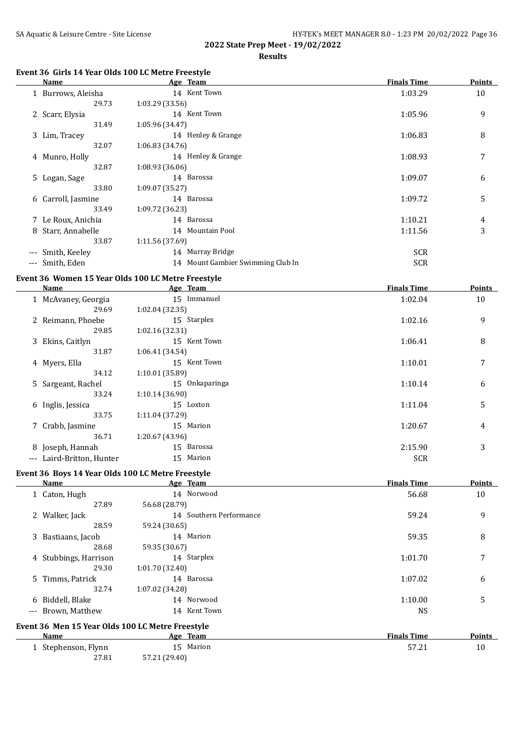## **Results**

## **Event 36 Girls 14 Year Olds 100 LC Metre Freestyle**

|                                          | Name               |                 | Age Team                          | <b>Finals Time</b> | <b>Points</b> |
|------------------------------------------|--------------------|-----------------|-----------------------------------|--------------------|---------------|
|                                          | 1 Burrows, Aleisha |                 | 14 Kent Town                      | 1:03.29            | 10            |
|                                          | 29.73              | 1:03.29(33.56)  |                                   |                    |               |
|                                          | 2 Scarr, Elysia    |                 | 14 Kent Town                      | 1:05.96            | 9             |
|                                          | 31.49              | 1:05.96 (34.47) |                                   |                    |               |
|                                          | 3 Lim, Tracey      |                 | 14 Henley & Grange                | 1:06.83            | 8             |
|                                          | 32.07              | 1:06.83(34.76)  |                                   |                    |               |
|                                          | 4 Munro, Holly     |                 | 14 Henley & Grange                | 1:08.93            | 7             |
|                                          | 32.87              | 1:08.93(36.06)  |                                   |                    |               |
|                                          | 5 Logan, Sage      |                 | 14 Barossa                        | 1:09.07            | 6             |
|                                          | 33.80              | 1:09.07 (35.27) |                                   |                    |               |
|                                          | 6 Carroll, Jasmine |                 | 14 Barossa                        | 1:09.72            | 5             |
|                                          | 33.49              | 1:09.72 (36.23) |                                   |                    |               |
|                                          | 7 Le Roux, Anichia |                 | 14 Barossa                        | 1:10.21            | 4             |
|                                          | 8 Starr, Annabelle |                 | 14 Mountain Pool                  | 1:11.56            | 3             |
|                                          | 33.87              | 1:11.56 (37.69) |                                   |                    |               |
| $\hspace{0.05cm} \ldots \hspace{0.05cm}$ | Smith, Keeley      |                 | 14 Murray Bridge                  | <b>SCR</b>         |               |
| $\cdots$                                 | Smith, Eden        |                 | 14 Mount Gambier Swimming Club In | <b>SCR</b>         |               |

## **Event 36 Women 15 Year Olds 100 LC Metre Freestyle**

|       | Name                  |                 | Age Team       | <b>Finals Time</b> | <b>Points</b> |
|-------|-----------------------|-----------------|----------------|--------------------|---------------|
|       | 1 McAvaney, Georgia   |                 | 15 Immanuel    | 1:02.04            | 10            |
|       | 29.69                 | 1:02.04(32.35)  |                |                    |               |
|       | 2 Reimann, Phoebe     |                 | 15 Starplex    | 1:02.16            | 9             |
|       | 29.85                 | 1:02.16(32.31)  |                |                    |               |
|       | 3 Ekins, Caitlyn      |                 | 15 Kent Town   | 1:06.41            | 8             |
|       | 31.87                 | 1:06.41(34.54)  |                |                    |               |
|       | 4 Myers, Ella         |                 | 15 Kent Town   | 1:10.01            | 7             |
|       | 34.12                 | 1:10.01 (35.89) |                |                    |               |
|       | 5 Sargeant, Rachel    |                 | 15 Onkaparinga | 1:10.14            | 6             |
|       | 33.24                 | 1:10.14(36.90)  |                |                    |               |
|       | 6 Inglis, Jessica     |                 | 15 Loxton      | 1:11.04            | 5             |
|       | 33.75                 | 1:11.04 (37.29) |                |                    |               |
|       | 7 Crabb, Jasmine      |                 | 15 Marion      | 1:20.67            | 4             |
|       | 36.71                 | 1:20.67 (43.96) |                |                    |               |
|       | 8 Joseph, Hannah      |                 | 15 Barossa     | 2:15.90            | 3             |
| $---$ | Laird-Britton, Hunter |                 | 15 Marion      | <b>SCR</b>         |               |
|       |                       |                 |                |                    |               |

## **Event 36 Boys 14 Year Olds 100 LC Metre Freestyle**

| <b>Name</b>                                      | Age Team                | <b>Finals Time</b> | <b>Points</b> |
|--------------------------------------------------|-------------------------|--------------------|---------------|
| 1 Caton, Hugh                                    | 14 Norwood              | 56.68              | 10            |
| 27.89                                            | 56.68 (28.79)           |                    |               |
| 2 Walker, Jack                                   | 14 Southern Performance | 59.24              | 9             |
| 28.59                                            | 59.24 (30.65)           |                    |               |
| 3 Bastiaans, Jacob                               | 14 Marion               | 59.35              | 8             |
| 28.68                                            | 59.35 (30.67)           |                    |               |
| 4 Stubbings, Harrison                            | 14 Starplex             | 1:01.70            | 7             |
| 29.30                                            | 1:01.70(32.40)          |                    |               |
| 5 Timms, Patrick                                 | 14 Barossa              | 1:07.02            | 6             |
| 32.74                                            | 1:07.02 (34.28)         |                    |               |
| 6 Biddell, Blake                                 | 14 Norwood              | 1:10.00            | 5             |
| --- Brown, Matthew                               | 14 Kent Town            | NS.                |               |
| Event 36 Men 15 Year Olds 100 LC Metre Freestyle |                         |                    |               |
| Name                                             | Age Team                | <b>Finals Time</b> | <b>Points</b> |
| 1 Stephenson, Flynn                              | 15 Marion               | 57.21              | 10            |
| 27.81                                            | 57.21 (29.40)           |                    |               |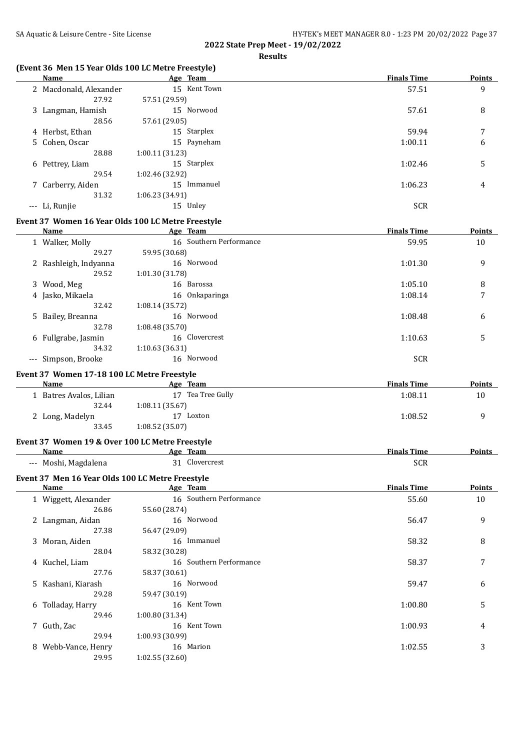## **Results**

## **(Event 36 Men 15 Year Olds 100 LC Metre Freestyle)**

| <b>Name</b>                                             |                 | Age Team                | <b>Finals Time</b> | <b>Points</b> |
|---------------------------------------------------------|-----------------|-------------------------|--------------------|---------------|
| 2 Macdonald, Alexander<br>27.92                         | 57.51 (29.59)   | 15 Kent Town            | 57.51              | 9             |
| 3 Langman, Hamish<br>28.56                              | 57.61 (29.05)   | 15 Norwood              | 57.61              | 8             |
| 4 Herbst, Ethan                                         |                 | 15 Starplex             | 59.94              | 7             |
| 5 Cohen, Oscar                                          |                 | 15 Payneham             | 1:00.11            | 6             |
| 28.88                                                   | 1:00.11 (31.23) |                         |                    |               |
| 6 Pettrey, Liam                                         |                 | 15 Starplex             | 1:02.46            | 5             |
| 29.54                                                   | 1:02.46 (32.92) |                         |                    |               |
| 7 Carberry, Aiden                                       |                 | 15 Immanuel             | 1:06.23            | 4             |
| 31.32                                                   | 1:06.23 (34.91) |                         |                    |               |
| --- Li, Runjie                                          |                 | 15 Unley                | <b>SCR</b>         |               |
| Event 37 Women 16 Year Olds 100 LC Metre Freestyle      |                 |                         |                    |               |
| Name                                                    |                 | Age Team                | <b>Finals Time</b> | <b>Points</b> |
| 1 Walker, Molly                                         |                 | 16 Southern Performance | 59.95              | 10            |
| 29.27                                                   | 59.95 (30.68)   |                         |                    |               |
| 2 Rashleigh, Indyanna<br>29.52                          | 1:01.30 (31.78) | 16 Norwood              | 1:01.30            | 9             |
| 3 Wood, Meg                                             |                 | 16 Barossa              | 1:05.10            | 8             |
| 4 Jasko, Mikaela                                        |                 | 16 Onkaparinga          | 1:08.14            | 7             |
| 32.42                                                   | 1:08.14 (35.72) |                         |                    |               |
| 5 Bailey, Breanna                                       |                 | 16 Norwood              | 1:08.48            | 6             |
| 32.78                                                   | 1:08.48 (35.70) |                         |                    |               |
| 6 Fullgrabe, Jasmin                                     |                 | 16 Clovercrest          | 1:10.63            | 5             |
| 34.32                                                   | 1:10.63 (36.31) |                         |                    |               |
| --- Simpson, Brooke                                     |                 | 16 Norwood              | <b>SCR</b>         |               |
| Event 37 Women 17-18 100 LC Metre Freestyle             |                 |                         |                    |               |
| Name                                                    |                 | Age Team                | <b>Finals Time</b> | Points        |
| 1 Batres Avalos, Lilian                                 |                 | 17 Tea Tree Gully       | 1:08.11            | 10            |
| 32.44                                                   | 1:08.11(35.67)  |                         |                    |               |
| 2 Long, Madelyn                                         |                 | 17 Loxton               | 1:08.52            | 9             |
| 33.45                                                   | 1:08.52 (35.07) |                         |                    |               |
| Event 37 Women 19 & Over 100 LC Metre Freestyle<br>Name |                 | Age Team                | <b>Finals Time</b> | Points        |
| --- Moshi, Magdalena                                    |                 | 31 Clovercrest          | <b>SCR</b>         |               |
| Event 37 Men 16 Year Olds 100 LC Metre Freestyle        |                 |                         |                    |               |
| Name                                                    |                 | Age Team                | <b>Finals Time</b> | <b>Points</b> |
| 1 Wiggett, Alexander                                    |                 | 16 Southern Performance | 55.60              | 10            |
| 26.86                                                   | 55.60 (28.74)   |                         |                    |               |
| 2 Langman, Aidan                                        |                 | 16 Norwood              | 56.47              | 9             |
| 27.38                                                   | 56.47 (29.09)   |                         |                    |               |
| 3 Moran, Aiden                                          |                 | 16 Immanuel             | 58.32              | 8             |
| 28.04                                                   | 58.32 (30.28)   |                         |                    |               |
| 4 Kuchel, Liam                                          |                 | 16 Southern Performance | 58.37              | 7             |
| 27.76                                                   | 58.37 (30.61)   |                         |                    |               |
| 5 Kashani, Kiarash                                      |                 | 16 Norwood              | 59.47              | 6             |
| 29.28                                                   | 59.47 (30.19)   |                         |                    |               |
| 6 Tolladay, Harry                                       |                 | 16 Kent Town            | 1:00.80            | 5             |
| 29.46                                                   | 1:00.80 (31.34) |                         |                    |               |
| 7 Guth, Zac                                             |                 | 16 Kent Town            | 1:00.93            | 4             |
| 29.94                                                   | 1:00.93 (30.99) |                         |                    |               |
| 8 Webb-Vance, Henry                                     |                 | 16 Marion               | 1:02.55            | 3             |
| 29.95                                                   | 1:02.55 (32.60) |                         |                    |               |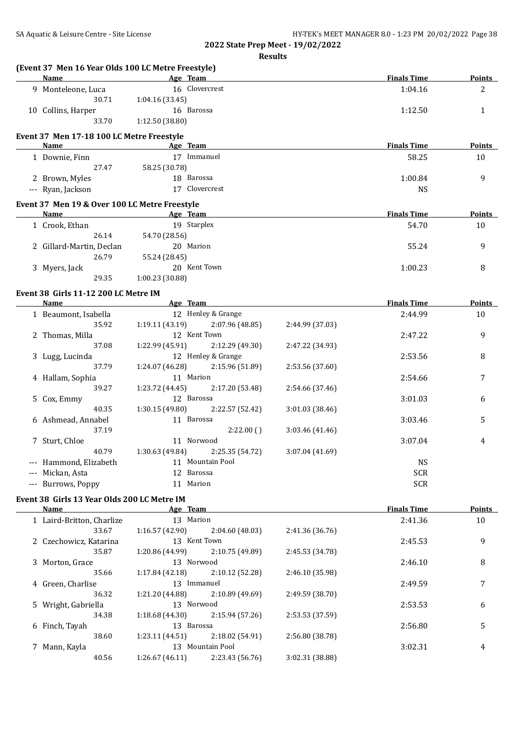| (Event 37 Men 16 Year Olds 100 LC Metre Freestyle) |                              |                                 |                 |                    |               |
|----------------------------------------------------|------------------------------|---------------------------------|-----------------|--------------------|---------------|
| Name                                               | Age Team                     |                                 |                 | <b>Finals Time</b> | <b>Points</b> |
| 9 Monteleone, Luca                                 |                              | 16 Clovercrest                  |                 | 1:04.16            | 2             |
| 30.71                                              | 1:04.16 (33.45)              |                                 |                 |                    |               |
| 10 Collins, Harper                                 |                              | 16 Barossa                      |                 | 1:12.50            | 1             |
| 33.70                                              | 1:12.50 (38.80)              |                                 |                 |                    |               |
| Event 37 Men 17-18 100 LC Metre Freestyle          |                              |                                 |                 |                    |               |
| <b>Name</b>                                        | <b>Example 2</b> Age Team    |                                 |                 | <b>Finals Time</b> | Points        |
| 1 Downie, Finn                                     |                              | 17 Immanuel                     |                 | 58.25              | 10            |
| 27.47                                              | 58.25 (30.78)                |                                 |                 |                    |               |
| 2 Brown, Myles                                     |                              | 18 Barossa                      |                 | 1:00.84            | 9             |
| --- Ryan, Jackson                                  |                              | 17 Clovercrest                  |                 | <b>NS</b>          |               |
| Event 37 Men 19 & Over 100 LC Metre Freestyle      |                              |                                 |                 |                    |               |
| Name                                               | <b>Example 2018</b> Age Team |                                 |                 | <b>Finals Time</b> | <b>Points</b> |
| 1 Crook, Ethan                                     |                              | 19 Starplex                     |                 | 54.70              | 10            |
| 26.14                                              | 54.70 (28.56)                |                                 |                 |                    |               |
| 2 Gillard-Martin, Declan                           |                              | 20 Marion                       |                 | 55.24              | 9             |
| 26.79                                              | 55.24 (28.45)                |                                 |                 |                    |               |
| 3 Myers, Jack                                      |                              | 20 Kent Town                    |                 | 1:00.23            | 8             |
| 29.35                                              | 1:00.23 (30.88)              |                                 |                 |                    |               |
|                                                    |                              |                                 |                 |                    |               |
| Event 38 Girls 11-12 200 LC Metre IM<br>Name       | Age Team                     |                                 |                 | <b>Finals Time</b> | Points        |
| 1 Beaumont, Isabella                               |                              | 12 Henley & Grange              |                 | 2:44.99            | 10            |
|                                                    |                              |                                 |                 |                    |               |
| 35.92                                              | 1:19.11(43.19)               | 2:07.96 (48.85)<br>12 Kent Town | 2:44.99 (37.03) |                    |               |
| 2 Thomas, Milla                                    |                              |                                 |                 | 2:47.22            | 9             |
| 37.08                                              | 1:22.99 (45.91)              | 2:12.29 (49.30)                 | 2:47.22 (34.93) |                    |               |
| 3 Lugg, Lucinda                                    |                              | 12 Henley & Grange              |                 | 2:53.56            | 8             |
| 37.79                                              | 1:24.07 (46.28)              | 2:15.96 (51.89)                 | 2:53.56 (37.60) |                    |               |
| 4 Hallam, Sophia                                   |                              | 11 Marion                       |                 | 2:54.66            | 7             |
| 39.27                                              | 1:23.72 (44.45)              | 2:17.20 (53.48)                 | 2:54.66 (37.46) |                    |               |
| 5 Cox, Emmy                                        |                              | 12 Barossa                      |                 | 3:01.03            | 6             |
| 40.35                                              | 1:30.15 (49.80)              | 2:22.57 (52.42)                 | 3:01.03 (38.46) |                    |               |
| 6 Ashmead, Annabel                                 |                              | 11 Barossa                      |                 | 3:03.46            | 5             |
| 37.19                                              |                              | 2:22.00()                       | 3:03.46 (41.46) |                    |               |
| 7 Sturt, Chloe                                     |                              | 11 Norwood                      |                 | 3:07.04            | 4             |
| 40.79                                              | 1:30.63 (49.84)              | 2:25.35 (54.72)                 | 3:07.04 (41.69) |                    |               |
| --- Hammond, Elizabeth                             |                              | 11 Mountain Pool                |                 | <b>NS</b>          |               |
| --- Mickan, Asta                                   |                              | 12 Barossa                      |                 | <b>SCR</b>         |               |
| --- Burrows, Poppy                                 |                              | 11 Marion                       |                 | <b>SCR</b>         |               |
| Event 38 Girls 13 Year Olds 200 LC Metre IM        |                              |                                 |                 |                    |               |
| Name                                               | Age Team                     |                                 |                 | <b>Finals Time</b> | <b>Points</b> |
| 1 Laird-Britton, Charlize                          |                              | 13 Marion                       |                 | 2:41.36            | 10            |
| 33.67                                              | 1:16.57 (42.90)              | 2:04.60 (48.03)                 | 2:41.36 (36.76) |                    |               |
| 2 Czechowicz, Katarina                             |                              | 13 Kent Town                    |                 | 2:45.53            | 9             |
| 35.87                                              | 1:20.86 (44.99)              | 2:10.75 (49.89)                 | 2:45.53 (34.78) |                    |               |
| 3 Morton, Grace                                    |                              | 13 Norwood                      |                 | 2:46.10            | 8             |
| 35.66                                              | 1:17.84 (42.18)              | 2:10.12 (52.28)                 | 2:46.10 (35.98) |                    |               |
| 4 Green, Charlise                                  |                              | 13 Immanuel                     |                 | 2:49.59            | 7             |
| 36.32                                              | 1:21.20 (44.88)              | 2:10.89 (49.69)                 | 2:49.59 (38.70) |                    |               |
|                                                    |                              | 13 Norwood                      |                 |                    |               |
| 5 Wright, Gabriella                                |                              |                                 |                 | 2:53.53            | 6             |
| 34.38                                              | 1:18.68 (44.30)              | 2:15.94 (57.26)                 | 2:53.53 (37.59) |                    |               |
| 6 Finch, Tayah                                     |                              | 13 Barossa                      |                 | 2:56.80            | 5             |
| 38.60                                              | 1:23.11 (44.51)              | 2:18.02 (54.91)                 | 2:56.80 (38.78) |                    |               |
| 7 Mann, Kayla                                      |                              | 13 Mountain Pool                |                 | 3:02.31            | 4             |
| 40.56                                              | 1:26.67(46.11)               | 2:23.43 (56.76)                 | 3:02.31 (38.88) |                    |               |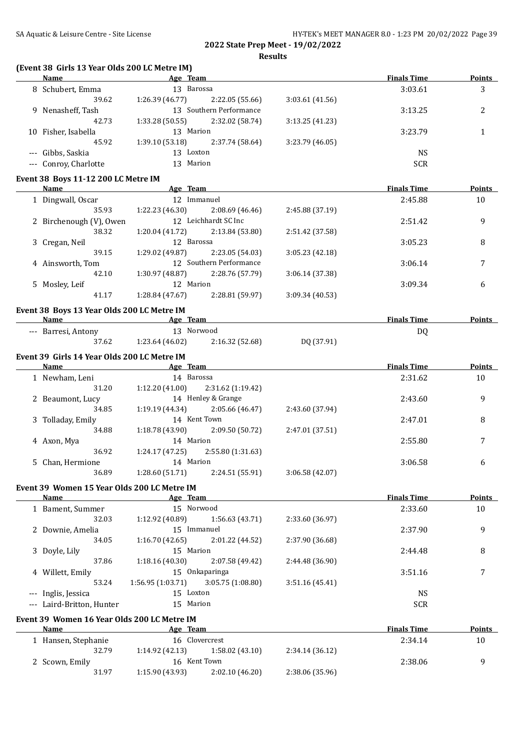**(Event 38 Girls 13 Year Olds 200 LC Metre IM)**

| Name                                        | Age Team                                                                                                                                                                                                                           |                 | <b>Finals Time</b> | <b>Points</b> |
|---------------------------------------------|------------------------------------------------------------------------------------------------------------------------------------------------------------------------------------------------------------------------------------|-----------------|--------------------|---------------|
| 8 Schubert, Emma                            | 13 Barossa                                                                                                                                                                                                                         |                 | 3:03.61            | 3             |
| 39.62                                       | 1:26.39(46.77)<br>2:22.05 (55.66)                                                                                                                                                                                                  | 3:03.61 (41.56) |                    |               |
| 9 Nenasheff, Tash                           | 13 Southern Performance                                                                                                                                                                                                            |                 | 3:13.25            | 2             |
| 42.73                                       | 1:33.28 (50.55)<br>2:32.02 (58.74)                                                                                                                                                                                                 | 3:13.25(41.23)  |                    |               |
| 10 Fisher, Isabella                         | 13 Marion                                                                                                                                                                                                                          |                 | 3:23.79            | 1             |
| 45.92                                       | 1:39.10(53.18)<br>2:37.74 (58.64)                                                                                                                                                                                                  | 3:23.79 (46.05) |                    |               |
| --- Gibbs, Saskia                           | 13 Loxton                                                                                                                                                                                                                          |                 | <b>NS</b>          |               |
| --- Conroy, Charlotte                       | 13 Marion                                                                                                                                                                                                                          |                 | <b>SCR</b>         |               |
|                                             |                                                                                                                                                                                                                                    |                 |                    |               |
| Event 38 Boys 11-12 200 LC Metre IM         |                                                                                                                                                                                                                                    |                 |                    |               |
| <b>Name</b>                                 | Age Team                                                                                                                                                                                                                           |                 | <b>Finals Time</b> | <b>Points</b> |
| 1 Dingwall, Oscar                           | 12 Immanuel                                                                                                                                                                                                                        |                 | 2:45.88            | 10            |
| 35.93                                       | 1:22.23 (46.30)<br>2:08.69 (46.46)                                                                                                                                                                                                 | 2:45.88 (37.19) |                    |               |
| 2 Birchenough (V), Owen                     | 12 Leichhardt SC Inc                                                                                                                                                                                                               |                 | 2:51.42            | 9             |
| 38.32                                       | 1:20.04 (41.72)<br>2:13.84 (53.80)                                                                                                                                                                                                 | 2:51.42 (37.58) |                    |               |
| 3 Cregan, Neil                              | 12 Barossa                                                                                                                                                                                                                         |                 | 3:05.23            | 8             |
| 39.15                                       | 1:29.02 (49.87)<br>2:23.05 (54.03)                                                                                                                                                                                                 | 3:05.23 (42.18) |                    |               |
|                                             | 12 Southern Performance                                                                                                                                                                                                            |                 |                    |               |
| 4 Ainsworth, Tom                            |                                                                                                                                                                                                                                    |                 | 3:06.14            | 7             |
| 42.10                                       | 1:30.97 (48.87)<br>2:28.76 (57.79)                                                                                                                                                                                                 | 3:06.14 (37.38) |                    |               |
| 5 Mosley, Leif                              | 12 Marion                                                                                                                                                                                                                          |                 | 3:09.34            | 6             |
| 41.17                                       | 2:28.81 (59.97)<br>1:28.84 (47.67)                                                                                                                                                                                                 | 3:09.34 (40.53) |                    |               |
| Event 38 Boys 13 Year Olds 200 LC Metre IM  |                                                                                                                                                                                                                                    |                 |                    |               |
| Name                                        | <b>Example 2</b> and 2 and 2 and 2 and 2 and 2 and 2 and 2 and 2 and 2 and 2 and 2 and 2 and 2 and 2 and 2 and 2 and 2 and 2 and 2 and 2 and 2 and 2 and 2 and 2 and 2 and 2 and 2 and 2 and 2 and 2 and 2 and 2 and 2 and 2 and 2 |                 | <b>Finals Time</b> | Points        |
| --- Barresi, Antony                         | 13 Norwood                                                                                                                                                                                                                         |                 | DQ                 |               |
| 37.62                                       |                                                                                                                                                                                                                                    |                 |                    |               |
|                                             | 1:23.64 (46.02)<br>2:16.32 (52.68)                                                                                                                                                                                                 | DQ (37.91)      |                    |               |
| Event 39 Girls 14 Year Olds 200 LC Metre IM |                                                                                                                                                                                                                                    |                 |                    |               |
| <b>Name</b>                                 | <b>Example 2</b> Age Team                                                                                                                                                                                                          |                 | <b>Finals Time</b> | <b>Points</b> |
| 1 Newham, Leni                              | 14 Barossa                                                                                                                                                                                                                         |                 | 2:31.62            | 10            |
| 31.20                                       | 1:12.20(41.00)<br>2:31.62 (1:19.42)                                                                                                                                                                                                |                 |                    |               |
| 2 Beaumont, Lucy                            | 14 Henley & Grange                                                                                                                                                                                                                 |                 | 2:43.60            | 9             |
| 34.85                                       | 1:19.19 (44.34)<br>2:05.66 (46.47)                                                                                                                                                                                                 | 2:43.60 (37.94) |                    |               |
|                                             | 14 Kent Town                                                                                                                                                                                                                       |                 | 2:47.01            | 8             |
| 3 Tolladay, Emily                           |                                                                                                                                                                                                                                    |                 |                    |               |
| 34.88                                       | 1:18.78 (43.90)<br>2:09.50 (50.72)                                                                                                                                                                                                 | 2:47.01 (37.51) |                    |               |
| 4 Axon, Mya                                 | 14 Marion                                                                                                                                                                                                                          |                 | 2:55.80            | 7             |
| 36.92                                       | 2:55.80 (1:31.63)<br>1:24.17 (47.25)                                                                                                                                                                                               |                 |                    |               |
| 5 Chan, Hermione                            | 14 Marion                                                                                                                                                                                                                          |                 | 3:06.58            | 6             |
| 36.89                                       | 1:28.60 (51.71)<br>2:24.51 (55.91)                                                                                                                                                                                                 | 3:06.58 (42.07) |                    |               |
| Event 39 Women 15 Year Olds 200 LC Metre IM |                                                                                                                                                                                                                                    |                 |                    |               |
| Name                                        | Age Team                                                                                                                                                                                                                           |                 | <b>Finals Time</b> | <b>Points</b> |
| 1 Bament, Summer                            | 15 Norwood                                                                                                                                                                                                                         |                 | 2:33.60            | 10            |
|                                             |                                                                                                                                                                                                                                    |                 |                    |               |
| 32.03                                       | 1:12.92 (40.89)<br>1:56.63 (43.71)                                                                                                                                                                                                 | 2:33.60 (36.97) |                    |               |
| 2 Downie, Amelia                            | 15 Immanuel                                                                                                                                                                                                                        |                 | 2:37.90            | 9             |
| 34.05                                       | 1:16.70(42.65)<br>2:01.22 (44.52)                                                                                                                                                                                                  | 2:37.90 (36.68) |                    |               |
| 3 Doyle, Lily                               | 15 Marion                                                                                                                                                                                                                          |                 | 2:44.48            | 8             |
| 37.86                                       | 1:18.16(40.30)<br>2:07.58 (49.42)                                                                                                                                                                                                  | 2:44.48 (36.90) |                    |               |
| 4 Willett, Emily                            | 15 Onkaparinga                                                                                                                                                                                                                     |                 | 3:51.16            | 7             |
| 53.24                                       | 1:56.95 (1:03.71)<br>3:05.75 (1:08.80)                                                                                                                                                                                             | 3:51.16(45.41)  |                    |               |
| --- Inglis, Jessica                         | 15 Loxton                                                                                                                                                                                                                          |                 | <b>NS</b>          |               |
| --- Laird-Britton, Hunter                   | 15 Marion                                                                                                                                                                                                                          |                 | <b>SCR</b>         |               |
|                                             |                                                                                                                                                                                                                                    |                 |                    |               |
| Event 39 Women 16 Year Olds 200 LC Metre IM |                                                                                                                                                                                                                                    |                 |                    |               |
| <b>Name</b>                                 | Age Team                                                                                                                                                                                                                           |                 | <b>Finals Time</b> | <b>Points</b> |
| 1 Hansen, Stephanie                         | 16 Clovercrest                                                                                                                                                                                                                     |                 | 2:34.14            | 10            |
| 32.79                                       | 1:14.92(42.13)<br>1:58.02 (43.10)                                                                                                                                                                                                  | 2:34.14 (36.12) |                    |               |
| 2 Scown, Emily                              | 16 Kent Town                                                                                                                                                                                                                       |                 | 2:38.06            | 9             |
| 31.97                                       | 1:15.90(43.93)<br>2:02.10 (46.20)                                                                                                                                                                                                  | 2:38.06 (35.96) |                    |               |
|                                             |                                                                                                                                                                                                                                    |                 |                    |               |
|                                             |                                                                                                                                                                                                                                    |                 |                    |               |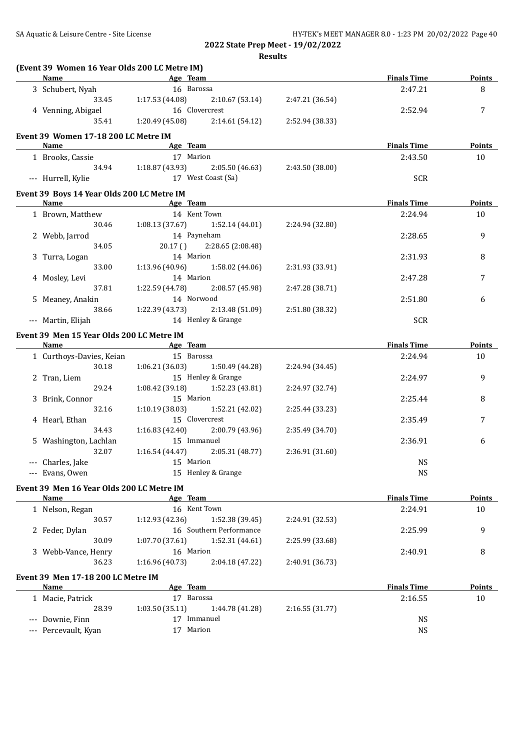**(Event 39 Women 16 Year Olds 200 LC Metre IM)**

|  | <b>Name</b>                                | <b>Example 2</b> Age Team                                                                                            |                    | <b>Finals Time</b> | <b>Points</b> |
|--|--------------------------------------------|----------------------------------------------------------------------------------------------------------------------|--------------------|--------------------|---------------|
|  | 3 Schubert, Nyah                           | 16 Barossa                                                                                                           |                    | 2:47.21            | 8             |
|  |                                            | 33.45 1:17.53 (44.08) 2:10.67 (53.14) 2:47.21 (36.54)                                                                |                    |                    |               |
|  | 4 Venning, Abigael                         | 16 Clovercrest                                                                                                       |                    | 2:52.94            | 7             |
|  | 35.41                                      | 1:20.49 (45.08) 2:14.61 (54.12) 2:52.94 (38.33)                                                                      |                    |                    |               |
|  |                                            |                                                                                                                      |                    |                    |               |
|  | Event 39 Women 17-18 200 LC Metre IM       |                                                                                                                      |                    |                    |               |
|  | Name                                       | <b>Example 2018 Age Team Age 2018 Age 10 April 2018 Age 2018 Age 2018 Age 2018 Age 2018 Age 2018 Age 2018 Age 20</b> |                    | <b>Finals Time</b> | <b>Points</b> |
|  | 1 Brooks, Cassie                           | 17 Marion                                                                                                            |                    | 2:43.50            | 10            |
|  |                                            | 34.94 1:18.87 (43.93) 2:05.50 (46.63) 2:43.50 (38.00)                                                                |                    |                    |               |
|  | --- Hurrell, Kylie                         | 17 West Coast (Sa)                                                                                                   |                    | <b>SCR</b>         |               |
|  | Event 39 Boys 14 Year Olds 200 LC Metre IM |                                                                                                                      |                    |                    |               |
|  |                                            | Name Age Team                                                                                                        |                    | <b>Finals Time</b> | <b>Points</b> |
|  | 1 Brown, Matthew                           | 2:24.94                                                                                                              | 10                 |                    |               |
|  |                                            | 14 Kent Town<br>30.46 1:08.13 (37.67) 1:52.14 (44.01)                                                                | 2:24.94 (32.80)    |                    |               |
|  |                                            |                                                                                                                      |                    |                    |               |
|  | 2 Webb, Jarrod                             | 14 Payneham<br>20.17 () 2:28.65 (2:08.48)                                                                            |                    | 2:28.65            | 9             |
|  | 34.05                                      |                                                                                                                      |                    |                    |               |
|  | 3 Turra, Logan                             | 14 Marion                                                                                                            |                    | 2:31.93            | 8             |
|  | 33.00                                      | $1:13.96(40.96)$ $1:58.02(44.06)$                                                                                    | 2:31.93 (33.91)    |                    |               |
|  | 4 Mosley, Levi                             | 14 Marion                                                                                                            |                    | 2:47.28            | 7             |
|  | 37.81                                      | $1:22.59(44.78)$ $2:08.57(45.98)$                                                                                    | 2:47.28 (38.71)    |                    |               |
|  | 5 Meaney, Anakin                           | 14 Norwood                                                                                                           |                    | 2:51.80            | 6             |
|  | 38.66                                      | $1:22.39(43.73)$ $2:13.48(51.09)$                                                                                    | 2:51.80 (38.32)    |                    |               |
|  | --- Martin, Elijah                         | 14 Henley & Grange                                                                                                   |                    | <b>SCR</b>         |               |
|  |                                            |                                                                                                                      |                    |                    |               |
|  | Event 39 Men 15 Year Olds 200 LC Metre IM  | Name Age Team                                                                                                        |                    | <b>Finals Time</b> | <b>Points</b> |
|  |                                            |                                                                                                                      |                    |                    |               |
|  | 1 Curthoys-Davies, Keian                   | 15 Barossa                                                                                                           |                    | 2:24.94            | 10            |
|  | 30.18                                      | $1:06.21(36.03)$ $1:50.49(44.28)$                                                                                    | 2:24.94 (34.45)    |                    |               |
|  | 2 Tran, Liem                               | 15 Henley & Grange                                                                                                   |                    | 2:24.97            | 9             |
|  | 29.24                                      | $1:08.42$ (39.18) $1:52.23$ (43.81)                                                                                  | 2:24.97 (32.74)    |                    |               |
|  | 3 Brink, Connor                            | 15 Marion                                                                                                            |                    | 2:25.44            | 8             |
|  | 32.16                                      | $1:10.19$ (38.03) $1:52.21$ (42.02)                                                                                  | 2:25.44 (33.23)    |                    |               |
|  | 4 Hearl, Ethan                             | 15 Clovercrest                                                                                                       |                    | 2:35.49            | 7             |
|  | 34.43                                      | $1:16.83(42.40)$ $2:00.79(43.96)$                                                                                    | 2:35.49 (34.70)    |                    |               |
|  | 5 Washington, Lachlan                      | 15 Immanuel                                                                                                          |                    | 2:36.91            | 6             |
|  | 32.07                                      | $1:16.54(44.47)$ $2:05.31(48.77)$                                                                                    |                    |                    |               |
|  | --- Charles, Jake                          | 15 Marion                                                                                                            | <b>NS</b>          |                    |               |
|  | --- Evans, Owen                            | 15 Henley & Grange                                                                                                   |                    | <b>NS</b>          |               |
|  |                                            |                                                                                                                      |                    |                    |               |
|  | Event 39 Men 16 Year Olds 200 LC Metre IM  |                                                                                                                      |                    |                    |               |
|  | <b>Name</b>                                | Age Team                                                                                                             |                    | <b>Finals Time</b> | <b>Points</b> |
|  | 1 Nelson, Regan                            | 16 Kent Town                                                                                                         |                    | 2:24.91            | 10            |
|  | 30.57                                      | 1:12.93(42.36)<br>1:52.38 (39.45)                                                                                    | 2:24.91 (32.53)    |                    |               |
|  | 2 Feder, Dylan                             | 16 Southern Performance                                                                                              |                    | 2:25.99            | 9             |
|  | 30.09                                      | 1:07.70 (37.61)<br>1:52.31 (44.61)                                                                                   | 2:25.99 (33.68)    |                    |               |
|  | 3 Webb-Vance, Henry                        | 16 Marion                                                                                                            |                    | 2:40.91            | 8             |
|  | 36.23                                      | 1:16.96 (40.73)<br>2:04.18 (47.22)                                                                                   | 2:40.91 (36.73)    |                    |               |
|  |                                            |                                                                                                                      |                    |                    |               |
|  | Event 39 Men 17-18 200 LC Metre IM         |                                                                                                                      |                    |                    |               |
|  | Age Team<br><b>Name</b>                    |                                                                                                                      | <b>Finals Time</b> | <b>Points</b>      |               |
|  | 1 Macie, Patrick                           | 17 Barossa                                                                                                           |                    | 2:16.55            | 10            |
|  | 28.39                                      | 1:03.50(35.11)<br>1:44.78 (41.28)                                                                                    | 2:16.55 (31.77)    |                    |               |
|  | --- Downie, Finn                           | 17 Immanuel                                                                                                          |                    | <b>NS</b>          |               |
|  | --- Percevault, Kyan                       | 17 Marion                                                                                                            |                    | <b>NS</b>          |               |
|  |                                            |                                                                                                                      |                    |                    |               |